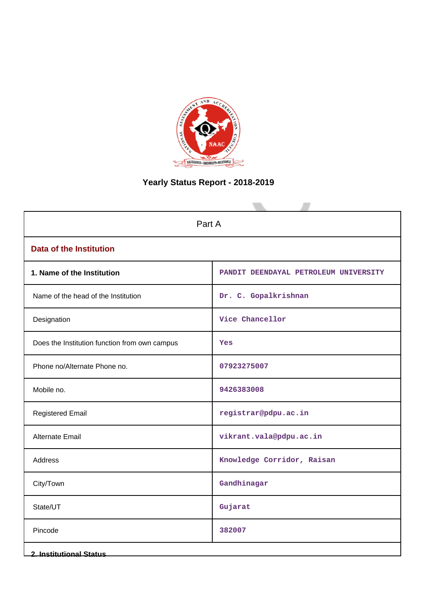

# **Yearly Status Report - 2018-2019**

| Part A                                        |                                       |  |  |  |
|-----------------------------------------------|---------------------------------------|--|--|--|
| <b>Data of the Institution</b>                |                                       |  |  |  |
| 1. Name of the Institution                    | PANDIT DEENDAYAL PETROLEUM UNIVERSITY |  |  |  |
| Name of the head of the Institution           | Dr. C. Gopalkrishnan                  |  |  |  |
| Designation                                   | Vice Chancellor                       |  |  |  |
| Does the Institution function from own campus | Yes                                   |  |  |  |
| Phone no/Alternate Phone no.                  | 07923275007                           |  |  |  |
| Mobile no.                                    | 9426383008                            |  |  |  |
| <b>Registered Email</b>                       | registrar@pdpu.ac.in                  |  |  |  |
| Alternate Email                               | vikrant.vala@pdpu.ac.in               |  |  |  |
| <b>Address</b>                                | Knowledge Corridor, Raisan            |  |  |  |
| City/Town                                     | Gandhinagar                           |  |  |  |
| State/UT                                      | Gujarat                               |  |  |  |
| Pincode                                       | 382007                                |  |  |  |
| <b>2. Institutional Status</b>                |                                       |  |  |  |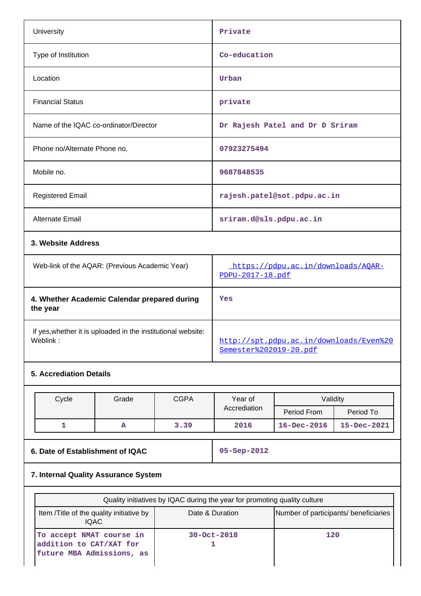| University                             | Private                         |
|----------------------------------------|---------------------------------|
| Type of Institution                    | Co-education                    |
| Location                               | Urban                           |
| <b>Financial Status</b>                | private                         |
| Name of the IQAC co-ordinator/Director | Dr Rajesh Patel and Dr D Sriram |
| Phone no/Alternate Phone no.           | 07923275494                     |
| Mobile no.                             | 9687848535                      |
| <b>Registered Email</b>                | rajesh.patel@sot.pdpu.ac.in     |
| Alternate Email                        | sriram.d@sls.pdpu.ac.in         |
| 3. Website Address                     |                                 |

| Web-link of the AQAR: (Previous Academic Year)                           | https://pdpu.ac.in/downloads/AOAR-<br>$PDPU-2017-18.pdf$                 |
|--------------------------------------------------------------------------|--------------------------------------------------------------------------|
| 4. Whether Academic Calendar prepared during<br>the year                 | Yes                                                                      |
| if yes, whether it is uploaded in the institutional website:<br>Weblink: | http://spt.pdpu.ac.in/downloads/Even%20<br><u>Semester%202019-20.pdf</u> |

# **5. Accrediation Details**

| Cycle | Grade | <b>CGPA</b><br>Validity<br>Year of |              |                   |                   |
|-------|-------|------------------------------------|--------------|-------------------|-------------------|
|       |       |                                    | Accrediation | Period From       | Period To         |
|       | A     | 3.39                               | 2016         | $16 - Dec - 2016$ | $15 - Dec - 2021$ |

**6. Date of Establishment of IQAC 05-Sep-2012**

## **7. Internal Quality Assurance System**

|                                                                                  | Quality initiatives by IQAC during the year for promoting quality culture |                                       |
|----------------------------------------------------------------------------------|---------------------------------------------------------------------------|---------------------------------------|
| Item /Title of the quality initiative by<br><b>IQAC</b>                          | Date & Duration                                                           | Number of participants/ beneficiaries |
| To accept NMAT course in<br>addition to CAT/XAT for<br>future MBA Admissions, as | $30 - Oct - 2018$                                                         | 120                                   |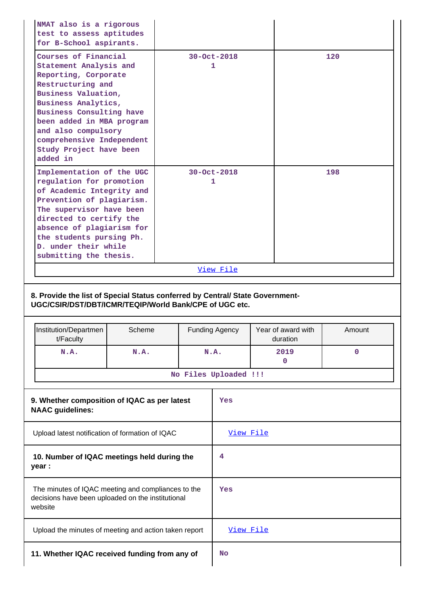|  | NMAT also is a rigorous<br>test to assess aptitudes<br>for B-School aspirants.                                                                                                                                                                                                                |                                                                               |                       |                                |             |  |
|--|-----------------------------------------------------------------------------------------------------------------------------------------------------------------------------------------------------------------------------------------------------------------------------------------------|-------------------------------------------------------------------------------|-----------------------|--------------------------------|-------------|--|
|  | Courses of Financial<br>Statement Analysis and<br>Reporting, Corporate<br>Restructuring and<br>Business Valuation,<br>Business Analytics,<br>Business Consulting have<br>been added in MBA program<br>and also compulsory<br>comprehensive Independent<br>Study Project have been<br>added in |                                                                               | 30-Oct-2018<br>1      |                                | 120         |  |
|  | Implementation of the UGC<br>regulation for promotion<br>of Academic Integrity and<br>Prevention of plagiarism.<br>The supervisor have been<br>directed to certify the<br>absence of plagiarism for<br>the students pursing Ph.<br>D. under their while<br>submitting the thesis.             |                                                                               | 30-Oct-2018<br>1      |                                | 198         |  |
|  |                                                                                                                                                                                                                                                                                               |                                                                               | View File             |                                |             |  |
|  |                                                                                                                                                                                                                                                                                               |                                                                               |                       |                                |             |  |
|  |                                                                                                                                                                                                                                                                                               |                                                                               |                       |                                |             |  |
|  | UGC/CSIR/DST/DBT/ICMR/TEQIP/World Bank/CPE of UGC etc.                                                                                                                                                                                                                                        | 8. Provide the list of Special Status conferred by Central/ State Government- |                       |                                |             |  |
|  | Institution/Departmen<br>t/Faculty                                                                                                                                                                                                                                                            | Scheme                                                                        | <b>Funding Agency</b> | Year of award with<br>duration | Amount      |  |
|  | N.A.                                                                                                                                                                                                                                                                                          | N.A.                                                                          | N.A.                  | 2019<br>0                      | $\mathbf 0$ |  |
|  |                                                                                                                                                                                                                                                                                               |                                                                               | No Files Uploaded !!! |                                |             |  |
|  | 9. Whether composition of IQAC as per latest<br><b>NAAC</b> guidelines:                                                                                                                                                                                                                       |                                                                               | Yes                   |                                |             |  |
|  | Upload latest notification of formation of IQAC                                                                                                                                                                                                                                               |                                                                               | View File             |                                |             |  |
|  | 10. Number of IQAC meetings held during the<br>year :                                                                                                                                                                                                                                         |                                                                               | 4                     |                                |             |  |
|  | The minutes of IQAC meeting and compliances to the<br>decisions have been uploaded on the institutional<br>website                                                                                                                                                                            |                                                                               | Yes                   |                                |             |  |
|  | Upload the minutes of meeting and action taken report                                                                                                                                                                                                                                         |                                                                               | View File             |                                |             |  |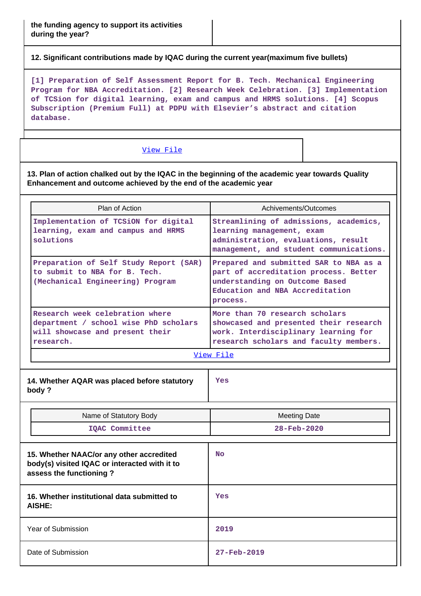**12. Significant contributions made by IQAC during the current year(maximum five bullets)**

**[1] Preparation of Self Assessment Report for B. Tech. Mechanical Engineering Program for NBA Accreditation. [2] Research Week Celebration. [3] Implementation of TCSion for digital learning, exam and campus and HRMS solutions. [4] Scopus Subscription (Premium Full) at PDPU with Elsevier's abstract and citation database.**

#### [View File](https://assessmentonline.naac.gov.in/public/Postacc/Contribution/3774_Contribution.xlsx)

**13. Plan of action chalked out by the IQAC in the beginning of the academic year towards Quality Enhancement and outcome achieved by the end of the academic year**

| Plan of Action                                                                                                           | Achivements/Outcomes                                                                                                                                             |  |  |
|--------------------------------------------------------------------------------------------------------------------------|------------------------------------------------------------------------------------------------------------------------------------------------------------------|--|--|
| Implementation of TCSiON for digital<br>learning, exam and campus and HRMS<br>solutions                                  | Streamlining of admissions, academics,<br>learning management, exam<br>administration, evaluations, result<br>management, and student communications.            |  |  |
| Preparation of Self Study Report (SAR)<br>to submit to NBA for B. Tech.<br>(Mechanical Engineering) Program              | Prepared and submitted SAR to NBA as a<br>part of accreditation process. Better<br>understanding on Outcome Based<br>Education and NBA Accreditation<br>process. |  |  |
| Research week celebration where<br>department / school wise PhD scholars<br>will showcase and present their<br>research. | More than 70 research scholars<br>showcased and presented their research<br>work. Interdisciplinary learning for<br>research scholars and faculty members.       |  |  |

[View File](https://assessmentonline.naac.gov.in/public/Postacc/Quality/3774_Quality.xlsx)

| 14. Whether AQAR was placed before statutory<br>body ?                                                               | Yes                                             |
|----------------------------------------------------------------------------------------------------------------------|-------------------------------------------------|
| Name of Statutory Body<br>IQAC Committee                                                                             | <b>Meeting Date</b><br>$28 - \text{Feb} - 2020$ |
| 15. Whether NAAC/or any other accredited<br>body(s) visited IQAC or interacted with it to<br>assess the functioning? | <b>No</b>                                       |

| 16. Whether institutional data submitted to<br>AISHE: | Yes                      |
|-------------------------------------------------------|--------------------------|
| Year of Submission                                    | 2019                     |
| Date of Submission                                    | $27 - \text{Feb} - 2019$ |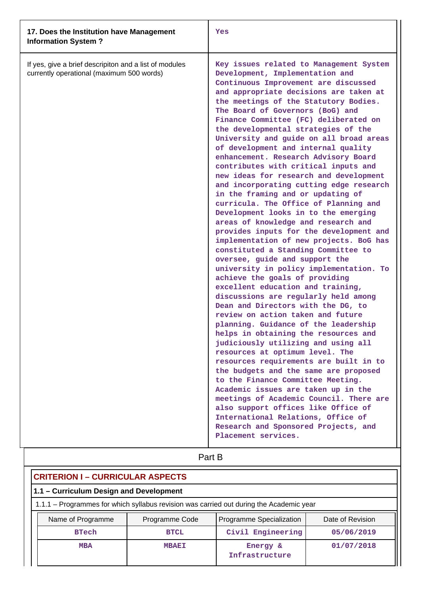| 17. Does the Institution have Management<br><b>Information System?</b>                              | Yes                                                                                                                                                                                                                                                                                                                                                                                                                                                                                                                                                                                                                                                                                                                                                                                                                                                                                                                                                                                                                                                                                                                                                                                                                                                                                                                                                                                                                                                                                                                                                                                                                                                               |
|-----------------------------------------------------------------------------------------------------|-------------------------------------------------------------------------------------------------------------------------------------------------------------------------------------------------------------------------------------------------------------------------------------------------------------------------------------------------------------------------------------------------------------------------------------------------------------------------------------------------------------------------------------------------------------------------------------------------------------------------------------------------------------------------------------------------------------------------------------------------------------------------------------------------------------------------------------------------------------------------------------------------------------------------------------------------------------------------------------------------------------------------------------------------------------------------------------------------------------------------------------------------------------------------------------------------------------------------------------------------------------------------------------------------------------------------------------------------------------------------------------------------------------------------------------------------------------------------------------------------------------------------------------------------------------------------------------------------------------------------------------------------------------------|
| If yes, give a brief descripiton and a list of modules<br>currently operational (maximum 500 words) | Key issues related to Management System<br>Development, Implementation and<br>Continuous Improvement are discussed<br>and appropriate decisions are taken at<br>the meetings of the Statutory Bodies.<br>The Board of Governors (BoG) and<br>Finance Committee (FC) deliberated on<br>the developmental strategies of the<br>University and guide on all broad areas<br>of development and internal quality<br>enhancement. Research Advisory Board<br>contributes with critical inputs and<br>new ideas for research and development<br>and incorporating cutting edge research<br>in the framing and or updating of<br>curricula. The Office of Planning and<br>Development looks in to the emerging<br>areas of knowledge and research and<br>provides inputs for the development and<br>implementation of new projects. BoG has<br>constituted a Standing Committee to<br>oversee, guide and support the<br>university in policy implementation. To<br>achieve the goals of providing<br>excellent education and training,<br>discussions are regularly held among<br>Dean and Directors with the DG, to<br>review on action taken and future<br>planning. Guidance of the leadership<br>helps in obtaining the resources and<br>judiciously utilizing and using all<br>resources at optimum level. The<br>resources requirements are built in to<br>the budgets and the same are proposed<br>to the Finance Committee Meeting.<br>Academic issues are taken up in the<br>meetings of Academic Council. There are<br>also support offices like Office of<br>International Relations, Office of<br>Research and Sponsored Projects, and<br>Placement services. |

| Part B                                                                                  |                |                          |                  |  |  |  |
|-----------------------------------------------------------------------------------------|----------------|--------------------------|------------------|--|--|--|
| <b>CRITERION I - CURRICULAR ASPECTS</b>                                                 |                |                          |                  |  |  |  |
| 1.1 - Curriculum Design and Development                                                 |                |                          |                  |  |  |  |
| 1.1.1 – Programmes for which syllabus revision was carried out during the Academic year |                |                          |                  |  |  |  |
| Name of Programme                                                                       | Programme Code | Programme Specialization | Date of Revision |  |  |  |
| <b>BTech</b>                                                                            | <b>BTCL</b>    | Civil Engineering        | 05/06/2019       |  |  |  |
| 01/07/2018<br><b>MBA</b><br><b>MBAEI</b><br>Energy &<br>Infrastructure                  |                |                          |                  |  |  |  |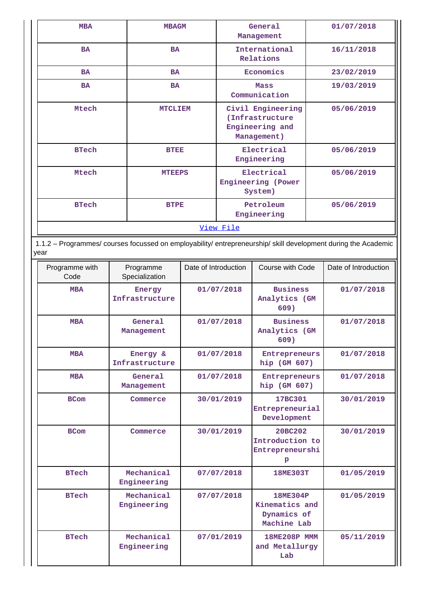| <b>MBA</b>   | <b>MBAGM</b>   | General<br>Management                                                  | 01/07/2018 |
|--------------|----------------|------------------------------------------------------------------------|------------|
| <b>BA</b>    | <b>BA</b>      | International<br>Relations                                             | 16/11/2018 |
| <b>BA</b>    | <b>BA</b>      | Economics                                                              | 23/02/2019 |
| <b>BA</b>    | <b>BA</b>      | <b>Mass</b><br>Communication                                           | 19/03/2019 |
| Mtech        | <b>MTCLIEM</b> | Civil Engineering<br>(Infrastructure<br>Engineering and<br>Management) | 05/06/2019 |
| <b>BTech</b> | <b>BTEE</b>    | Electrical<br>Engineering                                              | 05/06/2019 |
| Mtech        | <b>MTEEPS</b>  | Electrical<br>Engineering (Power<br>System)                            | 05/06/2019 |
| <b>BTech</b> | <b>BTPE</b>    | Petroleum<br>Engineering                                               | 05/06/2019 |
|              |                | <u>View File</u>                                                       |            |

 1.1.2 – Programmes/ courses focussed on employability/ entrepreneurship/ skill development during the Academic year

| Programme with<br>Code | Programme<br>Specialization | Date of Introduction | Course with Code                                         | Date of Introduction |
|------------------------|-----------------------------|----------------------|----------------------------------------------------------|----------------------|
| <b>MBA</b>             | Energy<br>Infrastructure    | 01/07/2018           | <b>Business</b><br>Analytics (GM<br>609)                 | 01/07/2018           |
| <b>MBA</b>             | General<br>Management       | 01/07/2018           | <b>Business</b><br>Analytics (GM<br>609)                 | 01/07/2018           |
| <b>MBA</b>             | Energy &<br>Infrastructure  | 01/07/2018           | Entrepreneurs<br>hip (GM 607)                            | 01/07/2018           |
| <b>MBA</b>             | General<br>Management       | 01/07/2018           | Entrepreneurs<br>hip (GM 607)                            | 01/07/2018           |
| <b>BCom</b>            | Commerce                    | 30/01/2019           | 17BC301<br>Entrepreneurial<br>Development                | 30/01/2019           |
| <b>BCom</b>            | Commerce                    | 30/01/2019           | 20BC202<br>Introduction to<br>Entrepreneurshi<br>P       | 30/01/2019           |
| <b>BTech</b>           | Mechanical<br>Engineering   | 07/07/2018           | 18ME303T                                                 | 01/05/2019           |
| <b>BTech</b>           | Mechanical<br>Engineering   | 07/07/2018           | 18ME304P<br>Kinematics and<br>Dynamics of<br>Machine Lab | 01/05/2019           |
| <b>BTech</b>           | Mechanical<br>Engineering   | 07/01/2019           | <b>18ME208P MMM</b><br>and Metallurgy<br>Lab             | 05/11/2019           |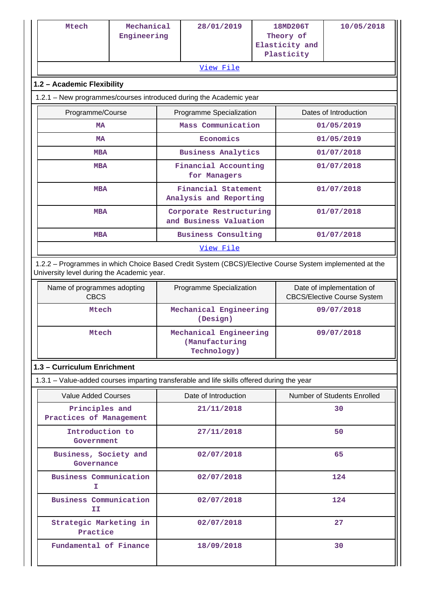| Mtech                                                                                                                                                 | Mechanical<br>Engineering |  | 28/01/2019                                              | 18MD206T<br>Theory of<br>Elasticity and<br>Plasticity |                                                                 | 10/05/2018                  |
|-------------------------------------------------------------------------------------------------------------------------------------------------------|---------------------------|--|---------------------------------------------------------|-------------------------------------------------------|-----------------------------------------------------------------|-----------------------------|
|                                                                                                                                                       |                           |  | View File                                               |                                                       |                                                                 |                             |
| 1.2 - Academic Flexibility                                                                                                                            |                           |  |                                                         |                                                       |                                                                 |                             |
| 1.2.1 - New programmes/courses introduced during the Academic year                                                                                    |                           |  |                                                         |                                                       |                                                                 |                             |
| Programme/Course                                                                                                                                      |                           |  | Programme Specialization                                |                                                       | Dates of Introduction                                           |                             |
| МA                                                                                                                                                    |                           |  | Mass Communication                                      |                                                       |                                                                 | 01/05/2019                  |
| MA                                                                                                                                                    |                           |  | Economics                                               |                                                       |                                                                 | 01/05/2019                  |
| <b>MBA</b>                                                                                                                                            |                           |  | <b>Business Analytics</b>                               |                                                       |                                                                 | 01/07/2018                  |
| <b>MBA</b>                                                                                                                                            |                           |  | Financial Accounting<br>for Managers                    |                                                       |                                                                 | 01/07/2018                  |
| <b>MBA</b>                                                                                                                                            |                           |  | Financial Statement<br>Analysis and Reporting           |                                                       |                                                                 | 01/07/2018                  |
| <b>MBA</b>                                                                                                                                            |                           |  | Corporate Restructuring<br>and Business Valuation       |                                                       |                                                                 | 01/07/2018                  |
| <b>MBA</b>                                                                                                                                            |                           |  | <b>Business Consulting</b>                              |                                                       |                                                                 | 01/07/2018                  |
|                                                                                                                                                       |                           |  | View File                                               |                                                       |                                                                 |                             |
| 1.2.2 - Programmes in which Choice Based Credit System (CBCS)/Elective Course System implemented at the<br>University level during the Academic year. |                           |  |                                                         |                                                       |                                                                 |                             |
| Name of programmes adopting<br><b>CBCS</b>                                                                                                            |                           |  | Programme Specialization                                |                                                       | Date of implementation of<br><b>CBCS/Elective Course System</b> |                             |
| Mtech                                                                                                                                                 |                           |  | Mechanical Engineering<br>(Design)                      |                                                       |                                                                 | 09/07/2018                  |
| Mtech                                                                                                                                                 |                           |  | Mechanical Engineering<br>(Manufacturing<br>Technology) |                                                       | 09/07/2018                                                      |                             |
| 1.3 - Curriculum Enrichment                                                                                                                           |                           |  |                                                         |                                                       |                                                                 |                             |
| 1.3.1 – Value-added courses imparting transferable and life skills offered during the year                                                            |                           |  |                                                         |                                                       |                                                                 |                             |
| <b>Value Added Courses</b>                                                                                                                            |                           |  | Date of Introduction                                    |                                                       |                                                                 | Number of Students Enrolled |
| Principles and<br>Practices of Management                                                                                                             |                           |  | 21/11/2018                                              |                                                       |                                                                 | 30                          |
| Introduction to<br>Government                                                                                                                         |                           |  | 27/11/2018                                              |                                                       | 50                                                              |                             |
| Business, Society and<br>Governance                                                                                                                   |                           |  | 02/07/2018                                              |                                                       |                                                                 | 65                          |
| <b>Business Communication</b><br>T                                                                                                                    |                           |  | 02/07/2018                                              |                                                       |                                                                 | 124                         |
| <b>Business Communication</b><br>ΙI                                                                                                                   |                           |  | 02/07/2018                                              |                                                       |                                                                 | 124                         |
| Strategic Marketing in<br>Practice                                                                                                                    |                           |  | 02/07/2018                                              |                                                       |                                                                 | 27                          |
| Fundamental of Finance                                                                                                                                |                           |  | 18/09/2018                                              |                                                       |                                                                 | 30                          |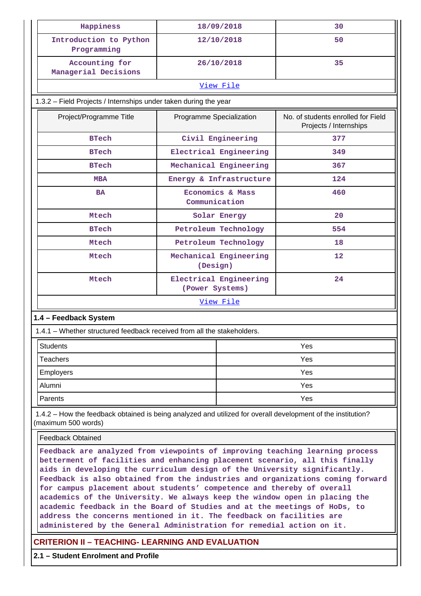| Happiness                                                                                                                                                                                                                                                                                                                                                                                                                                                                                                                                                                                                                               |                                                                                                                                  | 18/09/2018              | 30  |  |  |  |  |  |  |
|-----------------------------------------------------------------------------------------------------------------------------------------------------------------------------------------------------------------------------------------------------------------------------------------------------------------------------------------------------------------------------------------------------------------------------------------------------------------------------------------------------------------------------------------------------------------------------------------------------------------------------------------|----------------------------------------------------------------------------------------------------------------------------------|-------------------------|-----|--|--|--|--|--|--|
| Introduction to Python<br>Programming                                                                                                                                                                                                                                                                                                                                                                                                                                                                                                                                                                                                   |                                                                                                                                  | 12/10/2018              | 50  |  |  |  |  |  |  |
| Accounting for<br>Managerial Decisions                                                                                                                                                                                                                                                                                                                                                                                                                                                                                                                                                                                                  |                                                                                                                                  | 26/10/2018              | 35  |  |  |  |  |  |  |
|                                                                                                                                                                                                                                                                                                                                                                                                                                                                                                                                                                                                                                         |                                                                                                                                  | View File               |     |  |  |  |  |  |  |
| 1.3.2 - Field Projects / Internships under taken during the year                                                                                                                                                                                                                                                                                                                                                                                                                                                                                                                                                                        |                                                                                                                                  |                         |     |  |  |  |  |  |  |
| Project/Programme Title                                                                                                                                                                                                                                                                                                                                                                                                                                                                                                                                                                                                                 | No. of students enrolled for Field<br>Programme Specialization<br>Projects / Internships                                         |                         |     |  |  |  |  |  |  |
| <b>BTech</b>                                                                                                                                                                                                                                                                                                                                                                                                                                                                                                                                                                                                                            |                                                                                                                                  | Civil Engineering       | 377 |  |  |  |  |  |  |
| <b>BTech</b>                                                                                                                                                                                                                                                                                                                                                                                                                                                                                                                                                                                                                            |                                                                                                                                  | Electrical Engineering  | 349 |  |  |  |  |  |  |
| <b>BTech</b>                                                                                                                                                                                                                                                                                                                                                                                                                                                                                                                                                                                                                            |                                                                                                                                  | Mechanical Engineering  | 367 |  |  |  |  |  |  |
| <b>MBA</b>                                                                                                                                                                                                                                                                                                                                                                                                                                                                                                                                                                                                                              |                                                                                                                                  | Energy & Infrastructure | 124 |  |  |  |  |  |  |
| <b>BA</b>                                                                                                                                                                                                                                                                                                                                                                                                                                                                                                                                                                                                                               | Communication                                                                                                                    | Economics & Mass        | 460 |  |  |  |  |  |  |
| Mtech                                                                                                                                                                                                                                                                                                                                                                                                                                                                                                                                                                                                                                   |                                                                                                                                  | Solar Energy            | 20  |  |  |  |  |  |  |
| <b>BTech</b>                                                                                                                                                                                                                                                                                                                                                                                                                                                                                                                                                                                                                            |                                                                                                                                  | Petroleum Technology    | 554 |  |  |  |  |  |  |
| Mtech                                                                                                                                                                                                                                                                                                                                                                                                                                                                                                                                                                                                                                   |                                                                                                                                  | Petroleum Technology    | 18  |  |  |  |  |  |  |
| Mtech                                                                                                                                                                                                                                                                                                                                                                                                                                                                                                                                                                                                                                   | (Design)                                                                                                                         | Mechanical Engineering  | 12  |  |  |  |  |  |  |
| Mtech                                                                                                                                                                                                                                                                                                                                                                                                                                                                                                                                                                                                                                   | (Power Systems)                                                                                                                  | Electrical Engineering  | 24  |  |  |  |  |  |  |
|                                                                                                                                                                                                                                                                                                                                                                                                                                                                                                                                                                                                                                         |                                                                                                                                  | <u>View File</u>        |     |  |  |  |  |  |  |
| 1.4 - Feedback System                                                                                                                                                                                                                                                                                                                                                                                                                                                                                                                                                                                                                   |                                                                                                                                  |                         |     |  |  |  |  |  |  |
| 1.4.1 - Whether structured feedback received from all the stakeholders.                                                                                                                                                                                                                                                                                                                                                                                                                                                                                                                                                                 |                                                                                                                                  |                         |     |  |  |  |  |  |  |
| <b>Students</b>                                                                                                                                                                                                                                                                                                                                                                                                                                                                                                                                                                                                                         |                                                                                                                                  |                         | Yes |  |  |  |  |  |  |
| <b>Teachers</b>                                                                                                                                                                                                                                                                                                                                                                                                                                                                                                                                                                                                                         |                                                                                                                                  |                         | Yes |  |  |  |  |  |  |
| Employers                                                                                                                                                                                                                                                                                                                                                                                                                                                                                                                                                                                                                               |                                                                                                                                  |                         | Yes |  |  |  |  |  |  |
| Alumni                                                                                                                                                                                                                                                                                                                                                                                                                                                                                                                                                                                                                                  |                                                                                                                                  |                         | Yes |  |  |  |  |  |  |
| Parents                                                                                                                                                                                                                                                                                                                                                                                                                                                                                                                                                                                                                                 |                                                                                                                                  |                         | Yes |  |  |  |  |  |  |
| 1.4.2 – How the feedback obtained is being analyzed and utilized for overall development of the institution?<br>(maximum 500 words)                                                                                                                                                                                                                                                                                                                                                                                                                                                                                                     |                                                                                                                                  |                         |     |  |  |  |  |  |  |
| <b>Feedback Obtained</b>                                                                                                                                                                                                                                                                                                                                                                                                                                                                                                                                                                                                                |                                                                                                                                  |                         |     |  |  |  |  |  |  |
| Feedback are analyzed from viewpoints of improving teaching learning process<br>betterment of facilities and enhancing placement scenario, all this finally<br>aids in developing the curriculum design of the University significantly.<br>Feedback is also obtained from the industries and organizations coming forward<br>for campus placement about students' competence and thereby of overall<br>academics of the University. We always keep the window open in placing the<br>academic feedback in the Board of Studies and at the meetings of HoDs, to<br>address the concerns mentioned in it. The feedback on facilities are |                                                                                                                                  |                         |     |  |  |  |  |  |  |
|                                                                                                                                                                                                                                                                                                                                                                                                                                                                                                                                                                                                                                         | administered by the General Administration for remedial action on it.<br><b>CRITERION II - TEACHING- LEARNING AND EVALUATION</b> |                         |     |  |  |  |  |  |  |

**2.1 – Student Enrolment and Profile**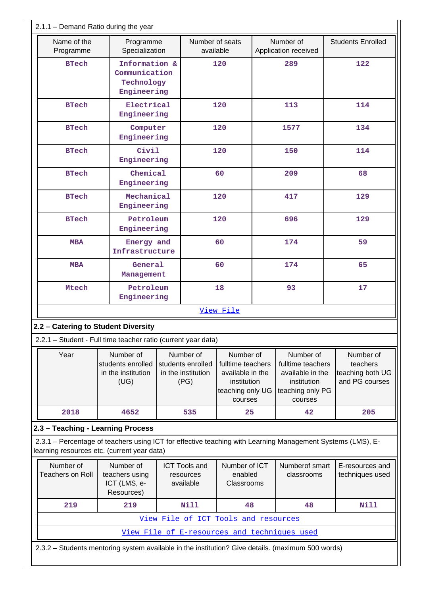| $2.1.1 -$ Demand Ratio during the year                                                                                                                    |                                                              |                                                           |  |                                                              |                                                                                                  |     |                                                                                                  |                                                             |
|-----------------------------------------------------------------------------------------------------------------------------------------------------------|--------------------------------------------------------------|-----------------------------------------------------------|--|--------------------------------------------------------------|--------------------------------------------------------------------------------------------------|-----|--------------------------------------------------------------------------------------------------|-------------------------------------------------------------|
| Name of the<br>Programme                                                                                                                                  |                                                              | Programme<br>Specialization                               |  | Number of seats<br>available                                 |                                                                                                  |     | Number of<br>Application received                                                                | <b>Students Enrolled</b>                                    |
| <b>BTech</b>                                                                                                                                              | Information &<br>Communication<br>Technology<br>Engineering  |                                                           |  |                                                              | 120                                                                                              |     | 289                                                                                              | 122                                                         |
| <b>BTech</b>                                                                                                                                              |                                                              | Electrical<br>Engineering                                 |  |                                                              | 120                                                                                              |     | 113                                                                                              | 114                                                         |
| <b>BTech</b>                                                                                                                                              |                                                              | Computer<br>Engineering                                   |  |                                                              | 120                                                                                              |     | 1577                                                                                             | 134                                                         |
| <b>BTech</b>                                                                                                                                              |                                                              | Civil<br>Engineering                                      |  |                                                              | 120                                                                                              |     | 150                                                                                              | 114                                                         |
| <b>BTech</b>                                                                                                                                              |                                                              | Chemical<br>Engineering                                   |  |                                                              | 60                                                                                               |     | 209                                                                                              | 68                                                          |
| <b>BTech</b>                                                                                                                                              |                                                              | Mechanical<br>Engineering                                 |  |                                                              | 120                                                                                              |     | 417                                                                                              | 129                                                         |
| <b>BTech</b>                                                                                                                                              |                                                              | Petroleum<br>Engineering                                  |  |                                                              | 120                                                                                              |     | 696                                                                                              | 129                                                         |
| <b>MBA</b>                                                                                                                                                |                                                              | Energy and<br>Infrastructure                              |  | 60                                                           |                                                                                                  | 174 |                                                                                                  | 59                                                          |
| <b>MBA</b>                                                                                                                                                |                                                              | General<br>Management                                     |  | 60                                                           |                                                                                                  | 174 |                                                                                                  | 65                                                          |
| Mtech                                                                                                                                                     |                                                              | Petroleum<br>Engineering                                  |  | 18                                                           |                                                                                                  | 93  |                                                                                                  | 17                                                          |
|                                                                                                                                                           |                                                              |                                                           |  |                                                              | View File                                                                                        |     |                                                                                                  |                                                             |
| 2.2 - Catering to Student Diversity                                                                                                                       |                                                              |                                                           |  |                                                              |                                                                                                  |     |                                                                                                  |                                                             |
| 2.2.1 - Student - Full time teacher ratio (current year data)                                                                                             |                                                              |                                                           |  |                                                              |                                                                                                  |     |                                                                                                  |                                                             |
| Year                                                                                                                                                      | Number of<br>students enrolled<br>in the institution<br>(UG) |                                                           |  | Number of<br>students enrolled<br>in the institution<br>(PG) | Number of<br>fulltime teachers<br>available in the<br>institution<br>teaching only UG<br>courses |     | Number of<br>fulltime teachers<br>available in the<br>institution<br>teaching only PG<br>courses | Number of<br>teachers<br>teaching both UG<br>and PG courses |
| 2018                                                                                                                                                      |                                                              | 4652                                                      |  | 535                                                          | 25                                                                                               |     | 42                                                                                               | 205                                                         |
| 2.3 - Teaching - Learning Process                                                                                                                         |                                                              |                                                           |  |                                                              |                                                                                                  |     |                                                                                                  |                                                             |
| 2.3.1 - Percentage of teachers using ICT for effective teaching with Learning Management Systems (LMS), E-<br>learning resources etc. (current year data) |                                                              |                                                           |  |                                                              |                                                                                                  |     |                                                                                                  |                                                             |
| Number of<br><b>Teachers on Roll</b>                                                                                                                      |                                                              | Number of<br>teachers using<br>ICT (LMS, e-<br>Resources) |  | <b>ICT Tools and</b><br>resources<br>available               | Number of ICT<br>enabled<br>Classrooms                                                           |     | Numberof smart<br>classrooms                                                                     | E-resources and<br>techniques used                          |
| 219                                                                                                                                                       |                                                              | 219                                                       |  | Nill                                                         | 48                                                                                               |     | 48                                                                                               | Nill                                                        |
|                                                                                                                                                           |                                                              |                                                           |  | View File of ICT Tools and resources                         |                                                                                                  |     |                                                                                                  |                                                             |
|                                                                                                                                                           |                                                              |                                                           |  |                                                              |                                                                                                  |     | View File of E-resources and techniques used                                                     |                                                             |
| 2.3.2 - Students mentoring system available in the institution? Give details. (maximum 500 words)                                                         |                                                              |                                                           |  |                                                              |                                                                                                  |     |                                                                                                  |                                                             |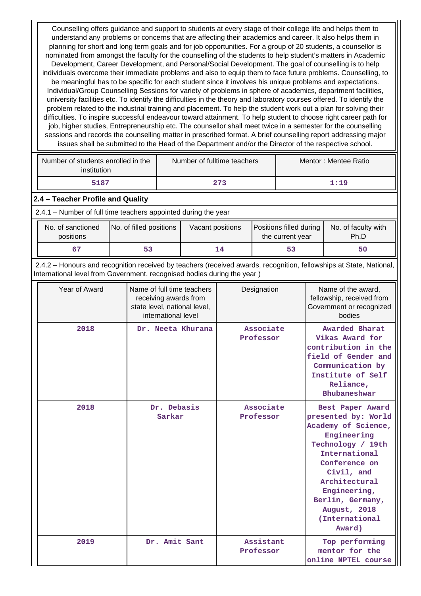Counselling offers guidance and support to students at every stage of their college life and helps them to understand any problems or concerns that are affecting their academics and career. It also helps them in planning for short and long term goals and for job opportunities. For a group of 20 students, a counsellor is nominated from amongst the faculty for the counselling of the students to help student's matters in Academic Development, Career Development, and Personal/Social Development. The goal of counselling is to help individuals overcome their immediate problems and also to equip them to face future problems. Counselling, to be meaningful has to be specific for each student since it involves his unique problems and expectations. Individual/Group Counselling Sessions for variety of problems in sphere of academics, department facilities, university facilities etc. To identify the difficulties in the theory and laboratory courses offered. To identify the problem related to the industrial training and placement. To help the student work out a plan for solving their difficulties. To inspire successful endeavour toward attainment. To help student to choose right career path for job, higher studies, Entrepreneurship etc. The counsellor shall meet twice in a semester for the counselling sessions and records the counselling matter in prescribed format. A brief counselling report addressing major issues shall be submitted to the Head of the Department and/or the Director of the respective school.

| Number of students enrolled in the<br>institution | Number of fulltime teachers | Mentor: Mentee Ratio |  |
|---------------------------------------------------|-----------------------------|----------------------|--|
| 5187                                              | 273                         | 1:19                 |  |

#### **2.4 – Teacher Profile and Quality**

2.4.1 – Number of full time teachers appointed during the year

| No. of sanctioned<br>positions | No. of filled positions | Vacant positions | Positions filled during<br>the current year | No. of faculty with<br>Ph.D |
|--------------------------------|-------------------------|------------------|---------------------------------------------|-----------------------------|
|                                |                         | 14               |                                             | 50                          |

 2.4.2 – Honours and recognition received by teachers (received awards, recognition, fellowships at State, National, International level from Government, recognised bodies during the year )

| Year of Award | Name of full time teachers<br>receiving awards from<br>state level, national level,<br>international level | Designation            | Name of the award,<br>fellowship, received from<br>Government or recognized<br>bodies                                                                                                                                                                      |
|---------------|------------------------------------------------------------------------------------------------------------|------------------------|------------------------------------------------------------------------------------------------------------------------------------------------------------------------------------------------------------------------------------------------------------|
| 2018          | Dr. Neeta Khurana                                                                                          | Associate<br>Professor | Awarded Bharat<br>Vikas Award for<br>contribution in the<br>field of Gender and<br>Communication by<br>Institute of Self<br>Reliance,<br>Bhubaneshwar                                                                                                      |
| 2018          | Dr. Debasis<br>Sarkar                                                                                      | Associate<br>Professor | Best Paper Award<br>presented by: World<br>Academy of Science,<br>Engineering<br>Technology / 19th<br>International<br>Conference on<br>Civil, and<br>Architectural<br>Engineering,<br>Berlin, Germany,<br><b>August, 2018</b><br>(International<br>Award) |
| 2019          | Dr. Amit Sant                                                                                              | Assistant<br>Professor | Top performing<br>mentor for the<br>online NPTEL course                                                                                                                                                                                                    |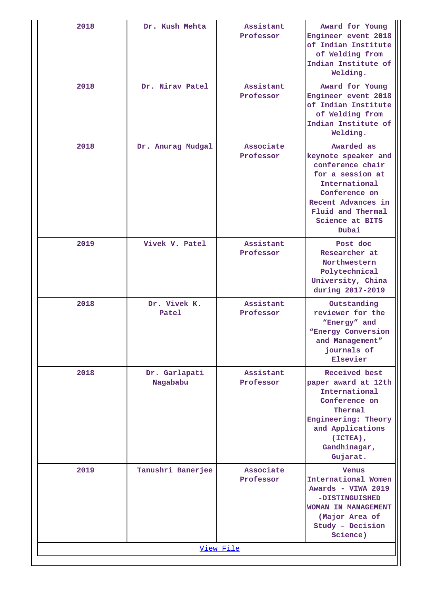| 2018      | Dr. Kush Mehta            | Assistant<br>Professor | Award for Young<br>Engineer event 2018<br>of Indian Institute<br>of Welding from<br>Indian Institute of<br>Welding.                                                                |  |  |  |  |
|-----------|---------------------------|------------------------|------------------------------------------------------------------------------------------------------------------------------------------------------------------------------------|--|--|--|--|
| 2018      | Dr. Nirav Patel           | Assistant<br>Professor | Award for Young<br>Engineer event 2018<br>of Indian Institute<br>of Welding from<br>Indian Institute of<br>Welding.                                                                |  |  |  |  |
| 2018      | Dr. Anurag Mudgal         | Associate<br>Professor | Awarded as<br>keynote speaker and<br>conference chair<br>for a session at<br>International<br>Conference on<br>Recent Advances in<br>Fluid and Thermal<br>Science at BITS<br>Dubai |  |  |  |  |
| 2019      | Vivek V. Patel            | Assistant<br>Professor | Post doc<br>Researcher at<br>Northwestern<br>Polytechnical<br>University, China<br>during 2017-2019                                                                                |  |  |  |  |
| 2018      | Dr. Vivek K.<br>Patel     | Assistant<br>Professor | Outstanding<br>reviewer for the<br>"Energy" and<br>"Energy Conversion<br>and Management"<br>journals of<br>Elsevier                                                                |  |  |  |  |
| 2018      | Dr. Garlapati<br>Nagababu | Assistant<br>Professor | Received best<br>paper award at 12th<br>International<br>Conference on<br>Thermal<br>Engineering: Theory<br>and Applications<br>(ICTEA),<br>Gandhinagar,<br>Gujarat.               |  |  |  |  |
| 2019      | Tanushri Banerjee         | Associate<br>Professor | <b>Venus</b><br>International Women<br>Awards - VIWA 2019<br>-DISTINGUISHED<br><b>WOMAN IN MANAGEMENT</b><br>(Major Area of<br>Study - Decision<br>Science)                        |  |  |  |  |
| View File |                           |                        |                                                                                                                                                                                    |  |  |  |  |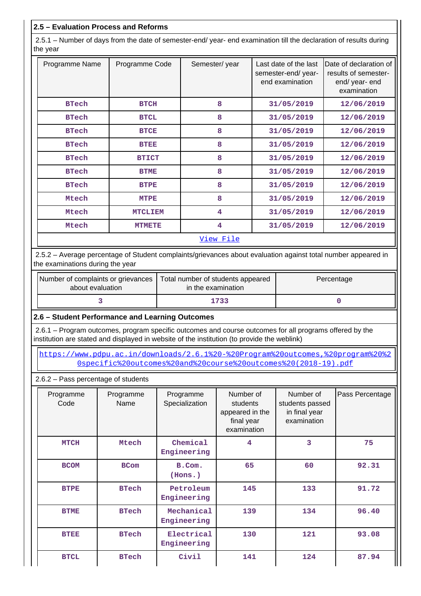### **2.5 – Evaluation Process and Reforms**

 2.5.1 – Number of days from the date of semester-end/ year- end examination till the declaration of results during the year

| Programme Name | Programme Code | Semester/year | Last date of the last<br>semester-end/year-<br>end examination | Date of declaration of<br>results of semester-<br>end/ year- end<br>examination |
|----------------|----------------|---------------|----------------------------------------------------------------|---------------------------------------------------------------------------------|
| <b>BTech</b>   | <b>BTCH</b>    | 8             | 31/05/2019                                                     | 12/06/2019                                                                      |
| <b>BTech</b>   | <b>BTCL</b>    | 8             | 31/05/2019                                                     | 12/06/2019                                                                      |
| <b>BTech</b>   | <b>BTCE</b>    | 8             | 31/05/2019                                                     | 12/06/2019                                                                      |
| <b>BTech</b>   | <b>BTEE</b>    | 8             | 31/05/2019                                                     | 12/06/2019                                                                      |
| <b>BTech</b>   | <b>BTICT</b>   | 8             | 31/05/2019                                                     | 12/06/2019                                                                      |
| <b>BTech</b>   | <b>BTME</b>    | 8             | 31/05/2019                                                     | 12/06/2019                                                                      |
| <b>BTech</b>   | <b>BTPE</b>    | 8             | 31/05/2019                                                     | 12/06/2019                                                                      |
| Mtech          | <b>MTPE</b>    | 8             | 31/05/2019                                                     | 12/06/2019                                                                      |
| Mtech          | <b>MTCLIEM</b> | 4             | 31/05/2019                                                     | 12/06/2019                                                                      |
| Mtech          | <b>MTMETE</b>  | 4             | 31/05/2019                                                     | 12/06/2019                                                                      |
|                |                | View File     |                                                                |                                                                                 |

 2.5.2 – Average percentage of Student complaints/grievances about evaluation against total number appeared in the examinations during the year

| Number of complaints or grievances<br>about evaluation | Total number of students appeared<br>in the examination | Percentage |  |
|--------------------------------------------------------|---------------------------------------------------------|------------|--|
|                                                        | 1733                                                    |            |  |

#### **2.6 – Student Performance and Learning Outcomes**

 2.6.1 – Program outcomes, program specific outcomes and course outcomes for all programs offered by the institution are stated and displayed in website of the institution (to provide the weblink)

 [https://www.pdpu.ac.in/downloads/2.6.1%20-%20Program%20outcomes,%20program%20%2](https://www.pdpu.ac.in/downloads/2.6.1%20-%20Program%20outcomes,%20program%20%20specific%20outcomes%20and%20course%20outcomes%20(2018-19).pdf) [0specific%20outcomes%20and%20course%20outcomes%20\(2018-19\).pdf](https://www.pdpu.ac.in/downloads/2.6.1%20-%20Program%20outcomes,%20program%20%20specific%20outcomes%20and%20course%20outcomes%20(2018-19).pdf)

#### 2.6.2 – Pass percentage of students

| Programme<br>Code | Programme<br>Name | Programme<br>Specialization | Number of<br>students<br>appeared in the<br>final year<br>examination | Number of<br>students passed<br>in final year<br>examination | Pass Percentage |
|-------------------|-------------------|-----------------------------|-----------------------------------------------------------------------|--------------------------------------------------------------|-----------------|
| <b>MTCH</b>       | Mtech             | Chemical<br>Engineering     | 4                                                                     | 3                                                            | 75              |
| <b>BCOM</b>       | <b>BCom</b>       | B.Com.<br>(Hons.)           | 65                                                                    | 60                                                           | 92.31           |
| <b>BTPE</b>       | <b>BTech</b>      | Petroleum<br>Engineering    | 145                                                                   | 133                                                          | 91.72           |
| <b>BTME</b>       | <b>BTech</b>      | Mechanical<br>Engineering   | 139                                                                   | 134                                                          | 96.40           |
| <b>BTEE</b>       | <b>BTech</b>      | Electrical<br>Engineering   | 130                                                                   | 121                                                          | 93.08           |
| <b>BTCL</b>       | <b>BTech</b>      | Civil                       | 141                                                                   | 124                                                          | 87.94           |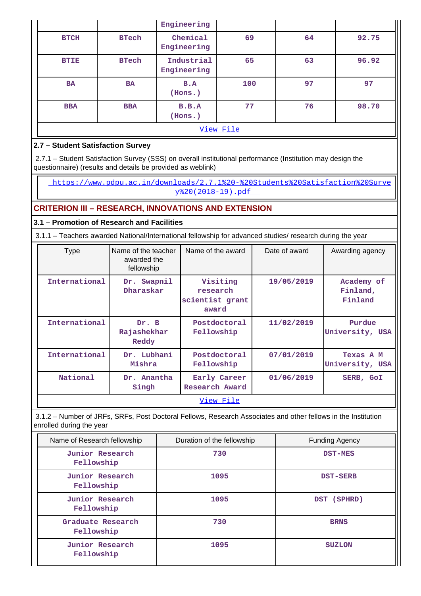|  |             |              | Engineering               |     |    |       |
|--|-------------|--------------|---------------------------|-----|----|-------|
|  | <b>BTCH</b> | <b>BTech</b> | Chemical<br>Engineering   | 69  | 64 | 92.75 |
|  | <b>BTIE</b> | <b>BTech</b> | Industrial<br>Engineering | 65  | 63 | 96.92 |
|  | <b>BA</b>   | <b>BA</b>    | B.A<br>(Hons.)            | 100 | 97 | 97    |
|  | <b>BBA</b>  | <b>BBA</b>   | B.B.A<br>(Hons.)          | 77  | 76 | 98.70 |
|  | View File   |              |                           |     |    |       |

## **2.7 – Student Satisfaction Survey**

 2.7.1 – Student Satisfaction Survey (SSS) on overall institutional performance (Institution may design the questionnaire) (results and details be provided as weblink)

 [https://www.pdpu.ac.in/downloads/2.7.1%20-%20Students%20Satisfaction%20Surve](https://www.pdpu.ac.in/downloads/2.7.1%20-%20Students%20Satisfaction%20Survey%20(2018-19).pdf) [y%20\(2018-19\).pdf](https://www.pdpu.ac.in/downloads/2.7.1%20-%20Students%20Satisfaction%20Survey%20(2018-19).pdf) 

## **CRITERION III – RESEARCH, INNOVATIONS AND EXTENSION**

### **3.1 – Promotion of Research and Facilities**

3.1.1 – Teachers awarded National/International fellowship for advanced studies/ research during the year

| <b>Type</b>   | Name of the teacher<br>awarded the<br>fellowship | Name of the award                                | Date of award | Awarding agency                   |
|---------------|--------------------------------------------------|--------------------------------------------------|---------------|-----------------------------------|
| International | Dr. Swapnil<br>Dharaskar                         | Visiting<br>research<br>scientist grant<br>award | 19/05/2019    | Academy of<br>Finland,<br>Finland |
| International | Dr. B<br>Rajashekhar<br>Reddy                    | Postdoctoral<br>Fellowship                       | 11/02/2019    | Purdue<br>University, USA         |
| International | Dr. Lubhani<br>Mishra                            | Postdoctoral<br>Fellowship                       | 07/01/2019    | Texas A M<br>University, USA      |
| National      | Dr. Anantha<br>Singh                             | Early Career<br>Research Award                   | 01/06/2019    | SERB, GOI                         |
|               |                                                  | View File                                        |               |                                   |

 3.1.2 – Number of JRFs, SRFs, Post Doctoral Fellows, Research Associates and other fellows in the Institution enrolled during the year

| Name of Research fellowship     | Duration of the fellowship | <b>Funding Agency</b> |
|---------------------------------|----------------------------|-----------------------|
| Junior Research<br>Fellowship   | 730                        | <b>DST-MES</b>        |
| Junior Research<br>Fellowship   | 1095                       | <b>DST-SERB</b>       |
| Junior Research<br>Fellowship   | 1095                       | DST (SPHRD)           |
| Graduate Research<br>Fellowship | 730                        | <b>BRNS</b>           |
| Junior Research<br>Fellowship   | 1095                       | <b>SUZLON</b>         |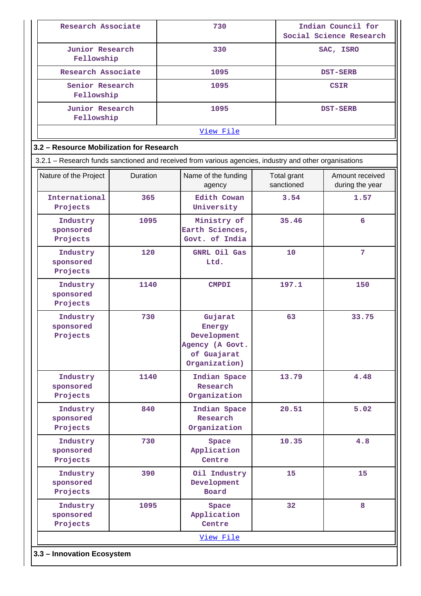| Research Associate                        |                                                  |  | 730                                                                                                    |           | Indian Council for<br>Social Science Research |                                    |  |  |  |
|-------------------------------------------|--------------------------------------------------|--|--------------------------------------------------------------------------------------------------------|-----------|-----------------------------------------------|------------------------------------|--|--|--|
| Junior Research<br>Fellowship             |                                                  |  | 330                                                                                                    | SAC, ISRO |                                               |                                    |  |  |  |
| Research Associate                        |                                                  |  | 1095                                                                                                   |           | <b>DST-SERB</b>                               |                                    |  |  |  |
| Senior Research<br>Fellowship             |                                                  |  | 1095                                                                                                   |           |                                               | <b>CSIR</b>                        |  |  |  |
| <b>Junior Research</b><br>Fellowship      |                                                  |  | 1095<br><b>DST-SERB</b>                                                                                |           |                                               |                                    |  |  |  |
| View File                                 |                                                  |  |                                                                                                        |           |                                               |                                    |  |  |  |
| 3.2 - Resource Mobilization for Research  |                                                  |  |                                                                                                        |           |                                               |                                    |  |  |  |
|                                           |                                                  |  | 3.2.1 - Research funds sanctioned and received from various agencies, industry and other organisations |           |                                               |                                    |  |  |  |
| Nature of the Project                     | Duration                                         |  | Name of the funding<br>agency                                                                          |           | Total grant<br>sanctioned                     | Amount received<br>during the year |  |  |  |
| International<br>Projects                 | 365                                              |  | Edith Cowan<br>University                                                                              |           | 3.54                                          | 1.57                               |  |  |  |
| Industry<br>sponsored<br>Projects         | 1095                                             |  | Ministry of<br>Earth Sciences,<br>Govt. of India                                                       |           | 35.46                                         | 6                                  |  |  |  |
| Industry<br>sponsored<br>Projects         | 120                                              |  | GNRL Oil Gas<br>Ltd.                                                                                   |           | 10                                            | 7                                  |  |  |  |
| Industry<br>sponsored<br>Projects         | 1140<br>730<br>Industry<br>sponsored<br>Projects |  | <b>CMPDI</b>                                                                                           |           | 197.1                                         | 150                                |  |  |  |
|                                           |                                                  |  | Gujarat<br>Energy<br>Development<br>Agency (A Govt.<br>of Guajarat<br>Organization)                    |           | 63                                            | 33.75                              |  |  |  |
| Industry<br>sponsored<br>Projects         | 1140                                             |  | Indian Space<br>Research<br>Organization                                                               |           | 13.79                                         | 4.48                               |  |  |  |
| Industry<br>sponsored<br>Projects         | 840                                              |  | Indian Space<br>Research<br>Organization                                                               |           | 20.51                                         | 5.02                               |  |  |  |
| Industry<br>sponsored<br>Projects         | 730                                              |  | Space<br>Application<br>Centre                                                                         |           | 10.35                                         | 4.8                                |  |  |  |
| Industry<br>sponsored<br>Projects         | 390                                              |  | Oil Industry<br>Development<br>Board                                                                   |           | 15                                            | 15                                 |  |  |  |
| 1095<br>Industry<br>sponsored<br>Projects |                                                  |  | 32<br>8<br>Space<br>Application<br>Centre                                                              |           |                                               |                                    |  |  |  |
|                                           |                                                  |  | View File                                                                                              |           |                                               |                                    |  |  |  |
| 3.3 - Innovation Ecosystem                |                                                  |  |                                                                                                        |           |                                               |                                    |  |  |  |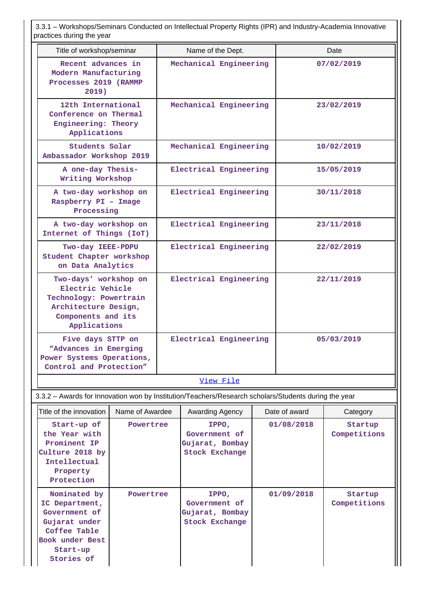3.3.1 – Workshops/Seminars Conducted on Intellectual Property Rights (IPR) and Industry-Academia Innovative practices during the year

| praotioco admig the year                                                                                                          |                 |                                                                    |                                                                    |  |            |                         |                         |  |  |  |
|-----------------------------------------------------------------------------------------------------------------------------------|-----------------|--------------------------------------------------------------------|--------------------------------------------------------------------|--|------------|-------------------------|-------------------------|--|--|--|
| Title of workshop/seminar                                                                                                         |                 |                                                                    | Name of the Dept.                                                  |  |            |                         | Date                    |  |  |  |
| Recent advances in<br>Modern Manufacturing<br>Processes 2019 (RAMMP<br>2019)                                                      |                 |                                                                    | Mechanical Engineering                                             |  |            |                         | 07/02/2019              |  |  |  |
| 12th International<br>Conference on Thermal<br>Engineering: Theory<br>Applications                                                |                 |                                                                    | Mechanical Engineering                                             |  |            |                         | 23/02/2019              |  |  |  |
| Students Solar<br>Ambassador Workshop 2019                                                                                        |                 |                                                                    | Mechanical Engineering<br>10/02/2019                               |  |            |                         |                         |  |  |  |
| A one-day Thesis-<br>Writing Workshop                                                                                             |                 |                                                                    | Electrical Engineering                                             |  |            | 15/05/2019              |                         |  |  |  |
| A two-day workshop on<br>Raspberry PI - Image<br>Processing                                                                       |                 |                                                                    | Electrical Engineering                                             |  |            |                         | 30/11/2018              |  |  |  |
| A two-day workshop on<br>Internet of Things (IoT)                                                                                 |                 |                                                                    | Electrical Engineering                                             |  |            |                         | 23/11/2018              |  |  |  |
| Two-day IEEE-PDPU<br>Student Chapter workshop<br>on Data Analytics                                                                |                 |                                                                    | Electrical Engineering                                             |  |            |                         | 22/02/2019              |  |  |  |
| Two-days' workshop on<br>Electric Vehicle<br>Technology: Powertrain<br>Architecture Design,<br>Components and its<br>Applications |                 |                                                                    | Electrical Engineering                                             |  |            |                         | 22/11/2019              |  |  |  |
| Five days STTP on<br>"Advances in Emerging<br>Power Systems Operations,<br>Control and Protection"                                |                 |                                                                    | Electrical Engineering                                             |  |            | 05/03/2019              |                         |  |  |  |
|                                                                                                                                   |                 |                                                                    | View File                                                          |  |            |                         |                         |  |  |  |
| 3.3.2 - Awards for Innovation won by Institution/Teachers/Research scholars/Students during the year                              |                 |                                                                    |                                                                    |  |            |                         |                         |  |  |  |
| Title of the innovation                                                                                                           | Name of Awardee |                                                                    | Awarding Agency                                                    |  |            | Date of award           | Category                |  |  |  |
| Start-up of<br>Powertree<br>the Year with<br>Prominent IP<br>Culture 2018 by<br>Intellectual<br>Property<br>Protection            |                 |                                                                    | IPPO,<br>Government of<br>Gujarat, Bombay<br><b>Stock Exchange</b> |  |            | 01/08/2018              | Startup<br>Competitions |  |  |  |
| Nominated by<br>IC Department,<br>Government of<br>Gujarat under<br>Coffee Table<br>Book under Best<br>Start-up<br>Stories of     | Powertree       | IPPO,<br>Government of<br>Gujarat, Bombay<br><b>Stock Exchange</b> |                                                                    |  | 01/09/2018 | Startup<br>Competitions |                         |  |  |  |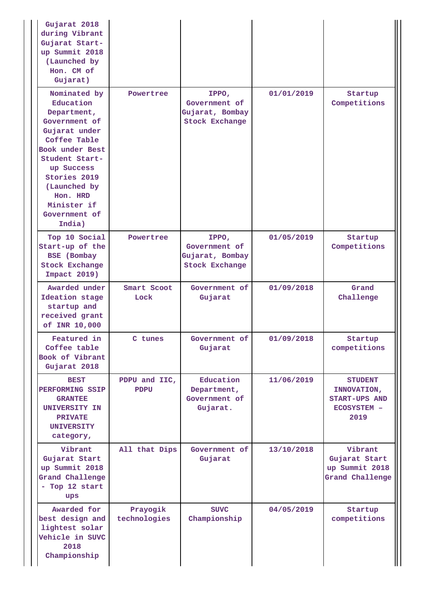| Gujarat 2018<br>during Vibrant<br>Gujarat Start-<br>up Summit 2018<br>(Launched by<br>Hon. CM of<br>Gujarat)                                                                                                                        |                              |                                                                    |            |                                                                              |
|-------------------------------------------------------------------------------------------------------------------------------------------------------------------------------------------------------------------------------------|------------------------------|--------------------------------------------------------------------|------------|------------------------------------------------------------------------------|
| Nominated by<br>Education<br>Department,<br>Government of<br>Gujarat under<br>Coffee Table<br>Book under Best<br>Student Start-<br>up Success<br>Stories 2019<br>(Launched by<br>Hon. HRD<br>Minister if<br>Government of<br>India) | Powertree                    | IPPO,<br>Government of<br>Gujarat, Bombay<br><b>Stock Exchange</b> | 01/01/2019 | Startup<br>Competitions                                                      |
| Top 10 Social<br>Start-up of the<br><b>BSE</b> (Bombay<br>Stock Exchange<br><b>Impact 2019)</b>                                                                                                                                     | Powertree                    | IPPO,<br>Government of<br>Gujarat, Bombay<br><b>Stock Exchange</b> | 01/05/2019 | Startup<br>Competitions                                                      |
| Awarded under<br>Ideation stage<br>startup and<br>received grant<br>of INR 10,000                                                                                                                                                   | Smart Scoot<br>Lock          | Government of<br>Gujarat                                           | 01/09/2018 | Grand<br>Challenge                                                           |
| Featured in<br>Coffee table<br>Book of Vibrant<br>Gujarat 2018                                                                                                                                                                      | C tunes                      | Government of<br>Gujarat                                           | 01/09/2018 | Startup<br>competitions                                                      |
| <b>BEST</b><br>PERFORMING SSIP<br><b>GRANTEE</b><br>UNIVERSITY IN<br><b>PRIVATE</b><br><b>UNIVERSITY</b><br>category,                                                                                                               | PDPU and IIC,<br><b>PDPU</b> | Education<br>Department,<br>Government of<br>Gujarat.              | 11/06/2019 | <b>STUDENT</b><br>INNOVATION,<br>START-UPS AND<br><b>ECOSYSTEM -</b><br>2019 |
| Vibrant<br>Gujarat Start<br>up Summit 2018<br><b>Grand Challenge</b><br>- Top 12 start<br>ups                                                                                                                                       | All that Dips                | Government of<br>Gujarat                                           | 13/10/2018 | Vibrant<br>Gujarat Start<br>up Summit 2018<br>Grand Challenge                |
| Awarded for<br>best design and<br>lightest solar<br>Vehicle in SUVC<br>2018<br>Championship                                                                                                                                         | Prayogik<br>technologies     | <b>SUVC</b><br>Championship                                        | 04/05/2019 | Startup<br>competitions                                                      |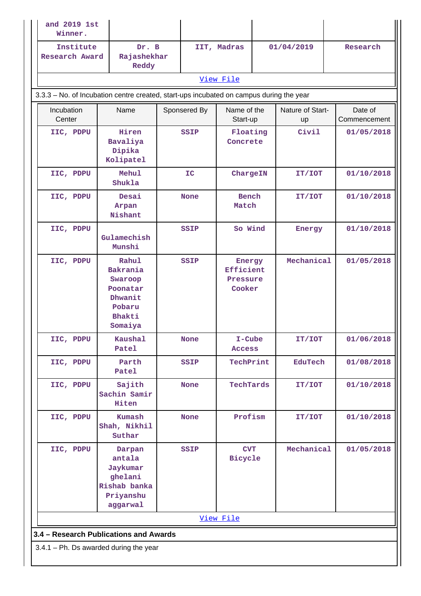| and 2019 1st<br>Winner.            |                                                                                          |  |                                     |                                           |            |                        |                         |  |
|------------------------------------|------------------------------------------------------------------------------------------|--|-------------------------------------|-------------------------------------------|------------|------------------------|-------------------------|--|
| Institute<br><b>Research Award</b> | Dr. B<br>Rajashekhar<br>Reddy                                                            |  |                                     | IIT, Madras                               |            | 01/04/2019             | Research                |  |
|                                    |                                                                                          |  |                                     | View File                                 |            |                        |                         |  |
|                                    | 3.3.3 - No. of Incubation centre created, start-ups incubated on campus during the year  |  |                                     |                                           |            |                        |                         |  |
| Incubation<br>Center               | Name                                                                                     |  | Sponsered By                        | Name of the<br>Start-up                   |            | Nature of Start-<br>up | Date of<br>Commencement |  |
| IIC, PDPU                          | Hiren<br>Bavaliya<br>Dipika<br>Kolipatel                                                 |  | Floating<br><b>SSIP</b><br>Concrete |                                           | Civil      | 01/05/2018             |                         |  |
| IIC, PDPU                          | Mehul<br>Shukla                                                                          |  | IC                                  | ChargeIN                                  |            | IT/IOT                 | 01/10/2018              |  |
| IIC, PDPU                          | Desai<br>Arpan<br>Nishant                                                                |  | <b>None</b>                         | <b>Bench</b><br>Match                     |            | IT/IOT                 | 01/10/2018              |  |
| IIC, PDPU                          | Gulamechish<br>Munshi                                                                    |  | <b>SSIP</b>                         | So Wind                                   |            |                        | 01/10/2018<br>Energy    |  |
| IIC, PDPU                          | Rahul<br>Bakrania<br>Swaroop<br>Poonatar<br>Dhwanit<br>Pobaru<br>Bhakti<br>Somaiya       |  | <b>SSIP</b>                         | Energy<br>Efficient<br>Pressure<br>Cooker |            | Mechanical             | 01/05/2018              |  |
| IIC, PDPU                          | Kaushal<br>Patel                                                                         |  | <b>None</b>                         | I-Cube<br><b>Access</b>                   |            | IT/IOT                 | 01/06/2018              |  |
| IIC, PDPU                          | Parth<br>Patel                                                                           |  | SSIP                                | TechPrint                                 |            | <b>EduTech</b>         | 01/08/2018              |  |
| IIC, PDPU                          | Sajith<br>Sachin Samir<br>Hiten                                                          |  | <b>None</b>                         | TechTards                                 |            | IT/IOT                 | 01/10/2018              |  |
| IIC, PDPU                          | Kumash<br>Shah, Nikhil<br>Suthar                                                         |  | <b>None</b>                         | Profism                                   |            | IT/IOT                 | 01/10/2018              |  |
| IIC, PDPU                          | SSIP<br>Darpan<br>antala<br>Jaykumar<br>ghelani<br>Rishab banka<br>Priyanshu<br>aggarwal |  | <b>CVT</b><br>Bicycle               |                                           | Mechanical | 01/05/2018             |                         |  |
|                                    |                                                                                          |  |                                     | View File                                 |            |                        |                         |  |
|                                    | 3.4 - Research Publications and Awards                                                   |  |                                     |                                           |            |                        |                         |  |
|                                    | $3.4.1$ – Ph. Ds awarded during the year                                                 |  |                                     |                                           |            |                        |                         |  |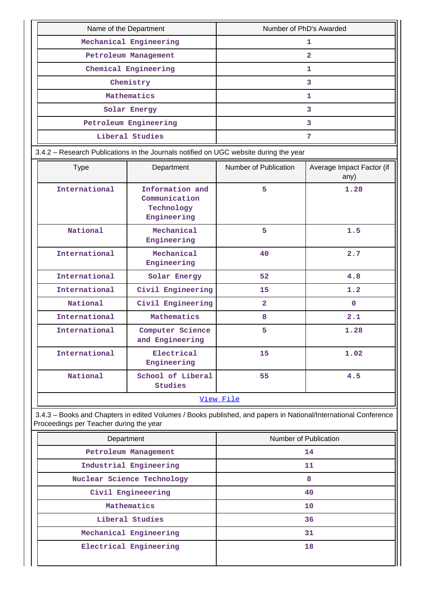| Name of the Department | Number of PhD's Awarded |  |  |  |  |
|------------------------|-------------------------|--|--|--|--|
| Mechanical Engineering |                         |  |  |  |  |
| Petroleum Management   |                         |  |  |  |  |
| Chemical Engineering   |                         |  |  |  |  |
| Chemistry              |                         |  |  |  |  |
| Mathematics            |                         |  |  |  |  |
| Solar Energy           |                         |  |  |  |  |
| Petroleum Engineering  |                         |  |  |  |  |
| Liberal Studies        |                         |  |  |  |  |

3.4.2 – Research Publications in the Journals notified on UGC website during the year

| <b>Type</b>   | Department                                                    | Number of Publication | Average Impact Factor (if<br>any) |  |  |  |  |  |  |
|---------------|---------------------------------------------------------------|-----------------------|-----------------------------------|--|--|--|--|--|--|
| International | Information and<br>Communication<br>Technology<br>Engineering | 5                     | 1.28                              |  |  |  |  |  |  |
| National      | Mechanical<br>Engineering                                     | 5                     | 1.5                               |  |  |  |  |  |  |
| International | Mechanical<br>Engineering                                     | 40                    | 2.7                               |  |  |  |  |  |  |
| International | Solar Energy                                                  | 52                    | 4.8                               |  |  |  |  |  |  |
| International | Civil Engineering                                             | 15                    | 1.2                               |  |  |  |  |  |  |
| National      | Civil Engineering                                             | $\overline{2}$        | $\mathbf{0}$                      |  |  |  |  |  |  |
| International | Mathematics                                                   | 8                     | 2.1                               |  |  |  |  |  |  |
| International | Computer Science<br>and Engineering                           | 5                     | 1.28                              |  |  |  |  |  |  |
| International | Electrical<br>Engineering                                     | 15                    | 1.02                              |  |  |  |  |  |  |
| National      | School of Liberal<br><b>Studies</b>                           | 55                    | 4.5                               |  |  |  |  |  |  |
|               | View File                                                     |                       |                                   |  |  |  |  |  |  |

 3.4.3 – Books and Chapters in edited Volumes / Books published, and papers in National/International Conference Proceedings per Teacher during the year

| Number of Publication |  |  |  |  |
|-----------------------|--|--|--|--|
| 14                    |  |  |  |  |
| 11                    |  |  |  |  |
| 8                     |  |  |  |  |
| 40                    |  |  |  |  |
| 10                    |  |  |  |  |
| 36                    |  |  |  |  |
| 31                    |  |  |  |  |
| 18                    |  |  |  |  |
|                       |  |  |  |  |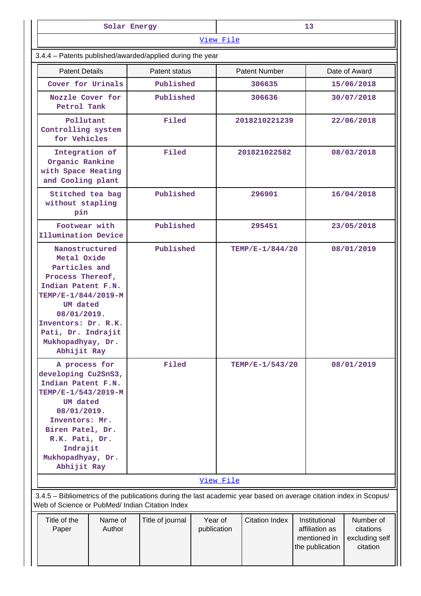|                                                                                                                                                                                                                             | Solar Energy      |                  |  | 13 <sub>1</sub>                                 |                      |  |                                                                    |                                                      |  |
|-----------------------------------------------------------------------------------------------------------------------------------------------------------------------------------------------------------------------------|-------------------|------------------|--|-------------------------------------------------|----------------------|--|--------------------------------------------------------------------|------------------------------------------------------|--|
| 3.4.4 - Patents published/awarded/applied during the year                                                                                                                                                                   |                   |                  |  | View File                                       |                      |  |                                                                    |                                                      |  |
|                                                                                                                                                                                                                             |                   |                  |  |                                                 |                      |  |                                                                    |                                                      |  |
| <b>Patent Details</b>                                                                                                                                                                                                       |                   | Patent status    |  |                                                 | <b>Patent Number</b> |  | Date of Award                                                      |                                                      |  |
| Cover for Urinals                                                                                                                                                                                                           |                   | Published        |  |                                                 | 306635               |  |                                                                    | 15/06/2018                                           |  |
| Nozzle Cover for<br>Petrol Tank                                                                                                                                                                                             |                   | Published        |  |                                                 | 306636               |  |                                                                    | 30/07/2018                                           |  |
| Pollutant<br>Controlling system<br>for Vehicles                                                                                                                                                                             |                   | Filed            |  | 2018210221239                                   |                      |  |                                                                    | 22/06/2018                                           |  |
| Integration of<br>Organic Rankine<br>with Space Heating<br>and Cooling plant                                                                                                                                                |                   | Filed            |  | 201821022582                                    |                      |  |                                                                    | 08/03/2018                                           |  |
| Stitched tea bag<br>without stapling<br>pin                                                                                                                                                                                 |                   | Published        |  |                                                 | 296901               |  |                                                                    |                                                      |  |
| Footwear with<br>Illumination Device                                                                                                                                                                                        |                   | Published        |  |                                                 | 295451               |  | 16/04/2018<br>23/05/2018<br>08/01/2019                             |                                                      |  |
| Nanostructured<br>Metal Oxide<br>Particles and<br>Process Thereof,<br>Indian Patent F.N.<br>TEMP/E-1/844/2019-M<br>UM dated<br>08/01/2019.<br>Inventors: Dr. R.K.<br>Pati, Dr. Indrajit<br>Mukhopadhyay, Dr.<br>Abhijit Ray |                   | Published        |  |                                                 | TEMP/E-1/844/20      |  |                                                                    |                                                      |  |
| A process for<br>developing Cu2SnS3,<br>Indian Patent F.N.<br>TEMP/E-1/543/2019-M<br>UM dated<br>08/01/2019.<br>Inventors: Mr.<br>Biren Patel, Dr.<br>R.K. Pati, Dr.<br>Indrajit<br>Mukhopadhyay, Dr.<br>Abhijit Ray        |                   | Filed            |  |                                                 | TEMP/E-1/543/20      |  |                                                                    | 08/01/2019                                           |  |
|                                                                                                                                                                                                                             |                   |                  |  | View File                                       |                      |  |                                                                    |                                                      |  |
| 3.4.5 - Bibliometrics of the publications during the last academic year based on average citation index in Scopus/<br>Web of Science or PubMed/ Indian Citation Index                                                       |                   |                  |  |                                                 |                      |  |                                                                    |                                                      |  |
| Title of the<br>Paper                                                                                                                                                                                                       | Name of<br>Author | Title of journal |  | Year of<br><b>Citation Index</b><br>publication |                      |  | Institutional<br>affiliation as<br>mentioned in<br>the publication | Number of<br>citations<br>excluding self<br>citation |  |

ЩI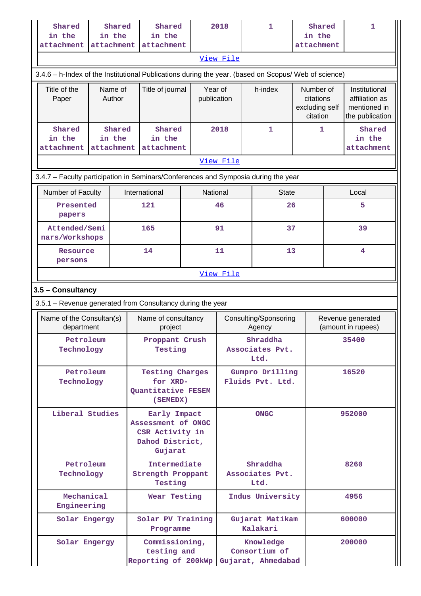| Shared<br>in the<br>attachment                                                                          |                   | Shared<br>in the<br>attachment               |                                                                                                    | Shared<br>in the<br>attachment                                       |  |          | 2018                   |                                     | 1                                                    | Shared<br>in the<br>attachment |                                                                    | $\mathbf{1}$                            |
|---------------------------------------------------------------------------------------------------------|-------------------|----------------------------------------------|----------------------------------------------------------------------------------------------------|----------------------------------------------------------------------|--|----------|------------------------|-------------------------------------|------------------------------------------------------|--------------------------------|--------------------------------------------------------------------|-----------------------------------------|
|                                                                                                         |                   |                                              |                                                                                                    |                                                                      |  |          | View File              |                                     |                                                      |                                |                                                                    |                                         |
| 3.4.6 - h-Index of the Institutional Publications during the year. (based on Scopus/ Web of science)    |                   |                                              |                                                                                                    |                                                                      |  |          |                        |                                     |                                                      |                                |                                                                    |                                         |
| Title of the<br>Paper                                                                                   | Name of<br>Author |                                              |                                                                                                    | Title of journal                                                     |  | Year of  | h-index<br>publication |                                     | Number of<br>citations<br>excluding self<br>citation |                                | Institutional<br>affiliation as<br>mentioned in<br>the publication |                                         |
| Shared<br>in the<br>attachment                                                                          |                   | Shared<br>in the<br>attachment               |                                                                                                    | Shared<br>in the<br>attachment                                       |  |          | 2018<br>1<br>View File |                                     | 1                                                    |                                | Shared<br>in the<br>attachment                                     |                                         |
|                                                                                                         |                   |                                              |                                                                                                    |                                                                      |  |          |                        |                                     |                                                      |                                |                                                                    |                                         |
| 3.4.7 - Faculty participation in Seminars/Conferences and Symposia during the year<br>Number of Faculty |                   |                                              |                                                                                                    | International                                                        |  | National |                        |                                     | <b>State</b>                                         |                                |                                                                    | Local                                   |
| Presented<br>papers                                                                                     |                   |                                              |                                                                                                    | 121                                                                  |  |          | 46                     |                                     | 26                                                   |                                |                                                                    | 5                                       |
| Attended/Semi<br>nars/Workshops                                                                         |                   |                                              |                                                                                                    | 165                                                                  |  |          | 91                     |                                     | 37                                                   |                                |                                                                    | 39                                      |
| Resource<br>persons                                                                                     |                   |                                              |                                                                                                    | 14                                                                   |  |          | 11<br>13               |                                     |                                                      |                                | 4                                                                  |                                         |
|                                                                                                         |                   |                                              |                                                                                                    |                                                                      |  |          | View File              |                                     |                                                      |                                |                                                                    |                                         |
| 3.5 - Consultancy                                                                                       |                   |                                              |                                                                                                    |                                                                      |  |          |                        |                                     |                                                      |                                |                                                                    |                                         |
| 3.5.1 - Revenue generated from Consultancy during the year                                              |                   |                                              |                                                                                                    |                                                                      |  |          |                        |                                     |                                                      |                                |                                                                    |                                         |
| Name of the Consultan(s)<br>department                                                                  |                   |                                              |                                                                                                    | Name of consultancy<br>project                                       |  |          |                        |                                     | Consulting/Sponsoring<br>Agency                      |                                |                                                                    | Revenue generated<br>(amount in rupees) |
| Petroleum<br>Technology                                                                                 |                   |                                              |                                                                                                    | Proppant Crush<br>Testing                                            |  |          |                        |                                     | Shraddha<br>Associates Pvt.<br>Ltd.                  |                                | 35400                                                              |                                         |
| Petroleum<br>Technology                                                                                 |                   |                                              |                                                                                                    | <b>Testing Charges</b><br>for XRD-<br>Quantitative FESEM<br>(SEMEDX) |  |          |                        |                                     | Gumpro Drilling<br>Fluids Pvt. Ltd.                  |                                |                                                                    | 16520                                   |
| Liberal Studies                                                                                         |                   |                                              | Early Impact<br><b>ONGC</b><br>Assessment of ONGC<br>CSR Activity in<br>Dahod District,<br>Gujarat |                                                                      |  |          |                        | 952000                              |                                                      |                                |                                                                    |                                         |
| Petroleum<br>Technology                                                                                 |                   | Intermediate<br>Strength Proppant<br>Testing |                                                                                                    |                                                                      |  |          |                        | Shraddha<br>Associates Pvt.<br>Ltd. |                                                      |                                | 8260                                                               |                                         |
| Mechanical<br>Engineering                                                                               |                   |                                              | Wear Testing                                                                                       |                                                                      |  |          |                        |                                     | Indus University                                     |                                |                                                                    | 4956                                    |
| Solar Engergy                                                                                           |                   |                                              |                                                                                                    | Solar PV Training<br>Programme                                       |  |          |                        |                                     | Gujarat Matikam<br>Kalakari                          |                                |                                                                    | 600000                                  |
| Solar Engergy                                                                                           |                   |                                              |                                                                                                    | Commissioning,<br>testing and<br>Reporting of 200kWp                 |  |          |                        |                                     | Knowledge<br>Consortium of<br>Gujarat, Ahmedabad     |                                |                                                                    | 200000                                  |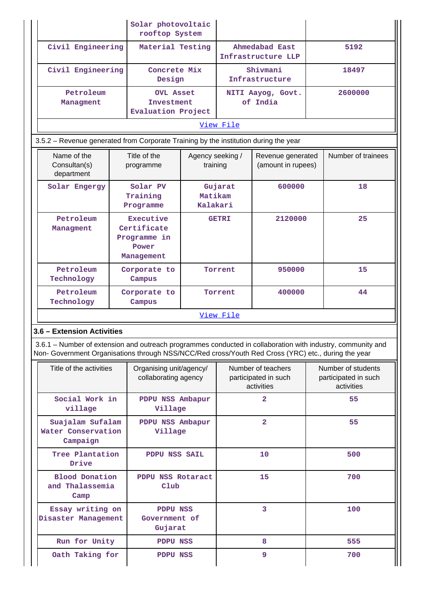|  |                                                                                                     |                                                                 | Solar photovoltaic<br>rooftop System                        |                              |                                         |                                                          |                    |                                                                                                                                                                                            |  |  |
|--|-----------------------------------------------------------------------------------------------------|-----------------------------------------------------------------|-------------------------------------------------------------|------------------------------|-----------------------------------------|----------------------------------------------------------|--------------------|--------------------------------------------------------------------------------------------------------------------------------------------------------------------------------------------|--|--|
|  | Civil Engineering                                                                                   |                                                                 | Material Testing                                            |                              |                                         | Ahmedabad East<br>Infrastructure LLP                     |                    | 5192                                                                                                                                                                                       |  |  |
|  | Civil Engineering                                                                                   |                                                                 | Concrete Mix<br>Design                                      |                              |                                         | Shivmani<br>Infrastructure                               |                    | 18497                                                                                                                                                                                      |  |  |
|  | Petroleum<br>Managment                                                                              |                                                                 | <b>OVL Asset</b><br>Investment<br><b>Evaluation Project</b> |                              |                                         | NITI Aayog, Govt.<br>of India                            |                    | 2600000                                                                                                                                                                                    |  |  |
|  |                                                                                                     |                                                                 |                                                             |                              | View File                               |                                                          |                    |                                                                                                                                                                                            |  |  |
|  | 3.5.2 – Revenue generated from Corporate Training by the institution during the year                |                                                                 |                                                             |                              |                                         |                                                          |                    |                                                                                                                                                                                            |  |  |
|  | Name of the<br>Consultan(s)<br>department                                                           |                                                                 | Title of the<br>programme                                   | Agency seeking /<br>training | Revenue generated<br>(amount in rupees) |                                                          | Number of trainees |                                                                                                                                                                                            |  |  |
|  | Solar Engergy                                                                                       |                                                                 | Solar PV<br>Training<br>Programme                           | Matikam<br>Kalakari          | Gujarat                                 | 600000                                                   |                    | 18                                                                                                                                                                                         |  |  |
|  | Petroleum<br>Managment                                                                              | Executive<br>Certificate<br>Programme in<br>Power<br>Management |                                                             |                              | <b>GETRI</b>                            | 2120000                                                  |                    | 25                                                                                                                                                                                         |  |  |
|  | Petroleum<br>Technology                                                                             | Corporate to<br>Campus                                          |                                                             |                              | Torrent<br>950000                       |                                                          |                    | 15                                                                                                                                                                                         |  |  |
|  | Petroleum<br>Technology                                                                             |                                                                 | Corporate to<br>Campus                                      |                              | Torrent                                 | 400000                                                   |                    | 44                                                                                                                                                                                         |  |  |
|  |                                                                                                     |                                                                 |                                                             |                              | View File                               |                                                          |                    |                                                                                                                                                                                            |  |  |
|  | 3.6 - Extension Activities                                                                          |                                                                 |                                                             |                              |                                         |                                                          |                    |                                                                                                                                                                                            |  |  |
|  | Non- Government Organisations through NSS/NCC/Red cross/Youth Red Cross (YRC) etc., during the year |                                                                 |                                                             |                              |                                         |                                                          |                    |                                                                                                                                                                                            |  |  |
|  | Title of the activities                                                                             |                                                                 | Organising unit/agency/<br>collaborating agency             |                              |                                         | Number of teachers<br>participated in such<br>activities |                    | 3.6.1 – Number of extension and outreach programmes conducted in collaboration with industry, community and<br>Number of students<br>participated in such<br>activities<br>55<br>55<br>500 |  |  |
|  | Social Work in<br>village                                                                           |                                                                 | PDPU NSS Ambapur<br>Village                                 |                              |                                         | $\overline{a}$                                           |                    |                                                                                                                                                                                            |  |  |
|  | Suajalam Sufalam<br>Water Conservation<br>Campaign                                                  |                                                                 | PDPU NSS Ambapur<br>Village                                 |                              |                                         | $\overline{2}$                                           |                    |                                                                                                                                                                                            |  |  |
|  | Tree Plantation<br>Drive                                                                            |                                                                 | PDPU NSS SAIL                                               |                              |                                         |                                                          | 10                 |                                                                                                                                                                                            |  |  |
|  | <b>Blood Donation</b><br>PDPU NSS Rotaract<br>and Thalassemia<br>Club<br>Camp                       |                                                                 |                                                             |                              | 15                                      |                                                          | 700                |                                                                                                                                                                                            |  |  |
|  | Essay writing on<br>Disaster Management                                                             |                                                                 | PDPU NSS<br>Government of<br>Gujarat                        |                              |                                         | 3                                                        |                    | 100                                                                                                                                                                                        |  |  |
|  | Run for Unity                                                                                       |                                                                 | PDPU NSS                                                    |                              |                                         | 8                                                        |                    | 555                                                                                                                                                                                        |  |  |
|  | Oath Taking for                                                                                     |                                                                 | <b>PDPU NSS</b>                                             |                              |                                         | 9                                                        |                    | 700                                                                                                                                                                                        |  |  |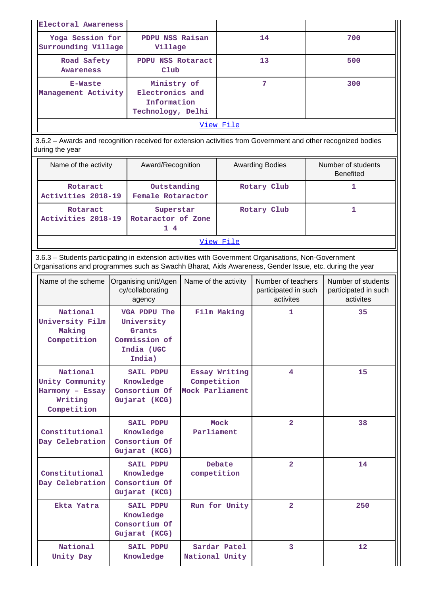| Electoral Awareness                     |                                                                    |           |     |
|-----------------------------------------|--------------------------------------------------------------------|-----------|-----|
| Yoga Session for<br>Surrounding Village | PDPU NSS Raisan<br>Village                                         | 14        | 700 |
| Road Safety<br><b>Awareness</b>         | PDPU NSS Rotaract<br>Club                                          | 13        | 500 |
| E-Waste<br>Management Activity          | Ministry of<br>Electronics and<br>Information<br>Technology, Delhi | 7         | 300 |
|                                         |                                                                    | View File |     |

 3.6.2 – Awards and recognition received for extension activities from Government and other recognized bodies during the year

| Name of the activity           | Award/Recognition                     | <b>Awarding Bodies</b> | Number of students<br><b>Benefited</b> |
|--------------------------------|---------------------------------------|------------------------|----------------------------------------|
| Rotaract<br>Activities 2018-19 | Outstanding<br>Female Rotaractor      | Rotary Club            |                                        |
| Rotaract<br>Activities 2018-19 | Superstar<br>Rotaractor of Zone<br>14 | Rotary Club            |                                        |

#### [View File](https://assessmentonline.naac.gov.in/public/Postacc/Awards_for_extension/3774_Awards_for_extension_1623740049.xlsx)

 3.6.3 – Students participating in extension activities with Government Organisations, Non-Government Organisations and programmes such as Swachh Bharat, Aids Awareness, Gender Issue, etc. during the year

| Name of the scheme                                                       | Organising unit/Agen<br>cy/collaborating<br>agency                            | Name of the activity                            | Number of teachers<br>participated in such<br>activites | Number of students<br>participated in such<br>activites |
|--------------------------------------------------------------------------|-------------------------------------------------------------------------------|-------------------------------------------------|---------------------------------------------------------|---------------------------------------------------------|
| National<br>University Film<br>Making<br>Competition                     | VGA PDPU The<br>University<br>Grants<br>Commission of<br>India (UGC<br>India) | Film Making                                     | $\mathbf{1}$                                            | 35                                                      |
| National<br>Unity Community<br>Harmony - Essay<br>Writing<br>Competition | <b>SAIL PDPU</b><br>Knowledge<br>Consortium Of<br>Gujarat (KCG)               | Essay Writing<br>Competition<br>Mock Parliament | 4                                                       | 15                                                      |
| Constitutional<br>Day Celebration                                        | <b>SAIL PDPU</b><br>Knowledge<br>Consortium Of<br>Gujarat (KCG)               | Mock<br>Parliament                              | $\overline{2}$                                          | 38                                                      |
| Constitutional<br>Day Celebration                                        | <b>SAIL PDPU</b><br>Knowledge<br>Consortium Of<br>Gujarat (KCG)               | <b>Debate</b><br>competition                    | $\overline{2}$                                          | 14                                                      |
| Ekta Yatra                                                               | <b>SAIL PDPU</b><br>Knowledge<br>Consortium Of<br>Gujarat (KCG)               | Run for Unity                                   | $\overline{2}$                                          | 250                                                     |
| National<br>Unity Day                                                    | <b>SAIL PDPU</b><br>Knowledge                                                 | Sardar Patel<br>National Unity                  | 3                                                       | 12                                                      |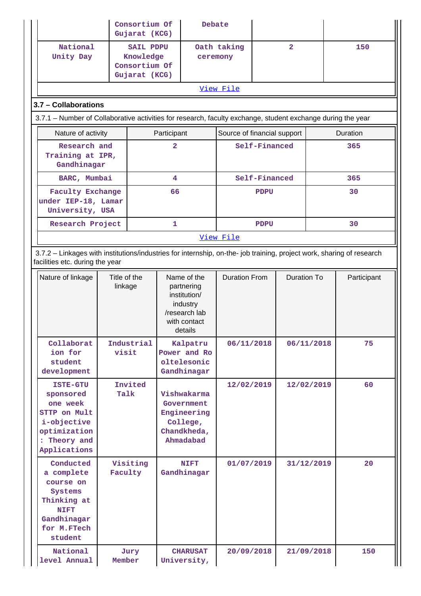|                                                                                                                                                          |                                                 | Consortium Of<br>Gujarat (KCG)                                  |                | Debate                                                                                            |                             |               |                |            |             |
|----------------------------------------------------------------------------------------------------------------------------------------------------------|-------------------------------------------------|-----------------------------------------------------------------|----------------|---------------------------------------------------------------------------------------------------|-----------------------------|---------------|----------------|------------|-------------|
| National<br>Unity Day                                                                                                                                    |                                                 | <b>SAIL PDPU</b><br>Knowledge<br>Consortium Of<br>Gujarat (KCG) |                | ceremony                                                                                          | Oath taking                 |               | $\overline{2}$ |            | 150         |
|                                                                                                                                                          |                                                 |                                                                 |                |                                                                                                   | View File                   |               |                |            |             |
| 3.7 - Collaborations                                                                                                                                     |                                                 |                                                                 |                |                                                                                                   |                             |               |                |            |             |
| 3.7.1 – Number of Collaborative activities for research, faculty exchange, student exchange during the year                                              |                                                 |                                                                 |                |                                                                                                   |                             |               |                |            |             |
| Nature of activity                                                                                                                                       |                                                 |                                                                 | Participant    |                                                                                                   | Source of financial support |               | Duration       |            |             |
|                                                                                                                                                          | Research and<br>Training at IPR,<br>Gandhinagar |                                                                 | $\overline{a}$ |                                                                                                   |                             | Self-Financed |                |            | 365         |
| BARC, Mumbai                                                                                                                                             |                                                 |                                                                 | 4              |                                                                                                   |                             | Self-Financed |                |            | 365         |
| <b>Faculty Exchange</b><br>under IEP-18, Lamar<br>University, USA                                                                                        |                                                 |                                                                 | 66             |                                                                                                   |                             | <b>PDPU</b>   |                |            | 30          |
| Research Project                                                                                                                                         |                                                 |                                                                 | 1.             |                                                                                                   |                             | <b>PDPU</b>   |                |            | 30          |
|                                                                                                                                                          |                                                 |                                                                 |                |                                                                                                   | View File                   |               |                |            |             |
| 3.7.2 - Linkages with institutions/industries for internship, on-the- job training, project work, sharing of research<br>facilities etc. during the year |                                                 |                                                                 |                |                                                                                                   |                             |               |                |            |             |
| Nature of linkage                                                                                                                                        | Title of the<br>linkage                         |                                                                 |                | Name of the<br>partnering<br>institution/<br>industry<br>/research lab<br>with contact<br>details | <b>Duration From</b>        |               | Duration To    |            | Participant |
| Collaborat<br>ion for<br>student<br>development                                                                                                          | visit                                           | Industrial                                                      |                | Kalpatru<br>Power and Ro<br>oltelesonic<br>Gandhinagar                                            | 06/11/2018                  |               |                | 06/11/2018 | 75          |
| <b>ISTE-GTU</b><br>sponsored<br>one week<br>STTP on Mult<br>i-objective<br>optimization<br>: Theory and<br>Applications                                  | Talk                                            | Invited                                                         |                | Vishwakarma<br>Government<br>Engineering<br>College,<br>Chandkheda,<br>Ahmadabad                  | 12/02/2019                  |               |                | 12/02/2019 | 60          |
| Conducted<br>a complete<br>course on<br>Systems<br>Thinking at<br><b>NIFT</b><br>Gandhinagar<br>for M.FTech<br>student                                   | Faculty                                         | Visiting                                                        |                | <b>NIFT</b><br>Gandhinagar                                                                        | 01/07/2019                  |               |                | 31/12/2019 | 20          |
| National<br>level Annual                                                                                                                                 | Member                                          | Jury                                                            |                | <b>CHARUSAT</b><br>University,                                                                    | 20/09/2018                  |               |                | 21/09/2018 | 150         |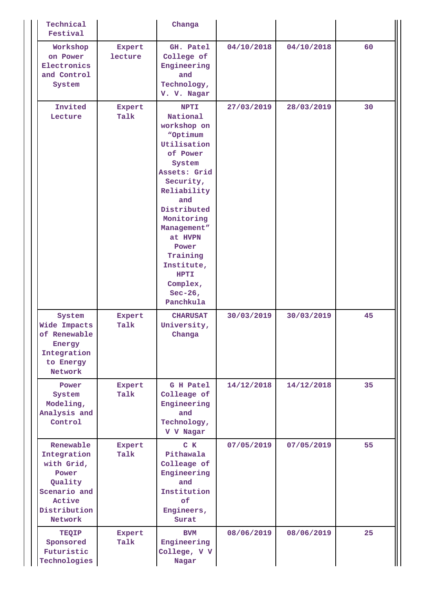| Technical<br>Festival                                                                                           |                   | Changa                                                                                                                                                                                                                                                                                  |            |            |    |
|-----------------------------------------------------------------------------------------------------------------|-------------------|-----------------------------------------------------------------------------------------------------------------------------------------------------------------------------------------------------------------------------------------------------------------------------------------|------------|------------|----|
| Workshop<br>on Power<br>Electronics<br>and Control<br>System                                                    | Expert<br>lecture | GH. Patel<br>College of<br>Engineering<br>and<br>Technology,<br>V. V. Nagar                                                                                                                                                                                                             | 04/10/2018 | 04/10/2018 | 60 |
| Invited<br>Lecture                                                                                              | Expert<br>Talk    | <b>NPTI</b><br>National<br>workshop on<br>"Optimum<br>Utilisation<br>of Power<br>System<br>Assets: Grid<br>Security,<br>Reliability<br>and<br>Distributed<br>Monitoring<br>Management"<br>at HVPN<br>Power<br>Training<br>Institute,<br><b>HPTI</b><br>Complex,<br>Sec-26,<br>Panchkula | 27/03/2019 | 28/03/2019 | 30 |
| System<br>Wide Impacts<br>of Renewable<br>Energy<br>Integration<br>to Energy<br>Network                         | Expert<br>Talk    | <b>CHARUSAT</b><br>University,<br>Changa                                                                                                                                                                                                                                                | 30/03/2019 | 30/03/2019 | 45 |
| Power<br>System<br>Modeling,<br>Analysis and<br>Control                                                         | Expert<br>Talk    | G H Patel<br>Colleage of<br>Engineering<br>and<br>Technology,<br>V V Nagar                                                                                                                                                                                                              | 14/12/2018 | 14/12/2018 | 35 |
| Renewable<br>Integration<br>with Grid,<br>Power<br>Quality<br>Scenario and<br>Active<br>Distribution<br>Network | Expert<br>Talk    | $C$ $K$<br>Pithawala<br>Colleage of<br>Engineering<br>and<br>Institution<br>of<br>Engineers,<br>Surat                                                                                                                                                                                   | 07/05/2019 | 07/05/2019 | 55 |
| TEQIP<br>Sponsored<br>Futuristic<br>Technologies                                                                | Expert<br>Talk    | <b>BVM</b><br>Engineering<br>College, V V<br>Nagar                                                                                                                                                                                                                                      | 08/06/2019 | 08/06/2019 | 25 |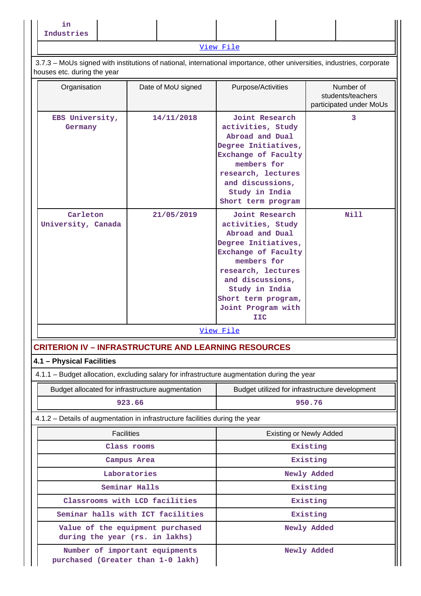**in Industries**

[View File](https://assessmentonline.naac.gov.in/public/Postacc/Linkages/3774_Linkages_1614688939.xlsx)

 3.7.3 – MoUs signed with institutions of national, international importance, other universities, industries, corporate houses etc. during the year

| nodood oto. Garnig the your                                                                 |                                   |                                                                                                                                                                                                                                     |                                                           |  |  |  |  |  |
|---------------------------------------------------------------------------------------------|-----------------------------------|-------------------------------------------------------------------------------------------------------------------------------------------------------------------------------------------------------------------------------------|-----------------------------------------------------------|--|--|--|--|--|
| Organisation                                                                                | Date of MoU signed                | Purpose/Activities                                                                                                                                                                                                                  | Number of<br>students/teachers<br>participated under MoUs |  |  |  |  |  |
| EBS University,<br>Germany                                                                  | 14/11/2018                        | Joint Research<br>activities, Study<br>Abroad and Dual<br>Degree Initiatives,<br>Exchange of Faculty<br>members for<br>research, lectures<br>and discussions,<br>Study in India<br>Short term program                               | 3                                                         |  |  |  |  |  |
| Carleton<br>University, Canada                                                              | 21/05/2019                        | Joint Research<br>activities, Study<br>Abroad and Dual<br>Degree Initiatives,<br>Exchange of Faculty<br>members for<br>research, lectures<br>and discussions,<br>Study in India<br>Short term program,<br>Joint Program with<br>IIC | Nill                                                      |  |  |  |  |  |
|                                                                                             |                                   | View File                                                                                                                                                                                                                           |                                                           |  |  |  |  |  |
| <b>CRITERION IV - INFRASTRUCTURE AND LEARNING RESOURCES</b>                                 |                                   |                                                                                                                                                                                                                                     |                                                           |  |  |  |  |  |
| 4.1 - Physical Facilities                                                                   |                                   |                                                                                                                                                                                                                                     |                                                           |  |  |  |  |  |
| 4.1.1 – Budget allocation, excluding salary for infrastructure augmentation during the year |                                   |                                                                                                                                                                                                                                     |                                                           |  |  |  |  |  |
| Budget allocated for infrastructure augmentation                                            |                                   | Budget utilized for infrastructure development                                                                                                                                                                                      |                                                           |  |  |  |  |  |
|                                                                                             | 923.66                            |                                                                                                                                                                                                                                     | 950.76                                                    |  |  |  |  |  |
| 4.1.2 - Details of augmentation in infrastructure facilities during the year                |                                   |                                                                                                                                                                                                                                     |                                                           |  |  |  |  |  |
| <b>Facilities</b>                                                                           |                                   | <b>Existing or Newly Added</b>                                                                                                                                                                                                      |                                                           |  |  |  |  |  |
|                                                                                             | Class rooms                       |                                                                                                                                                                                                                                     | Existing                                                  |  |  |  |  |  |
|                                                                                             | Campus Area                       |                                                                                                                                                                                                                                     | Existing                                                  |  |  |  |  |  |
|                                                                                             | Laboratories                      |                                                                                                                                                                                                                                     | Newly Added                                               |  |  |  |  |  |
|                                                                                             | Seminar Halls                     |                                                                                                                                                                                                                                     | Existing                                                  |  |  |  |  |  |
|                                                                                             | Classrooms with LCD facilities    |                                                                                                                                                                                                                                     | Existing                                                  |  |  |  |  |  |
|                                                                                             | Seminar halls with ICT facilities |                                                                                                                                                                                                                                     | Existing                                                  |  |  |  |  |  |

 **Value of the equipment purchased during the year (rs. in lakhs)**

 **Number of important equipments purchased (Greater than 1-0 lakh)**  **Newly Added**

 **Newly Added**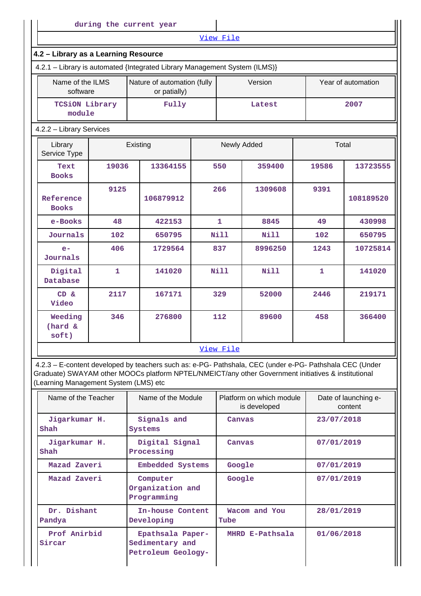|                                                                            | during the current year |          |                                             |              |             |              |                    |
|----------------------------------------------------------------------------|-------------------------|----------|---------------------------------------------|--------------|-------------|--------------|--------------------|
|                                                                            |                         |          |                                             | View File    |             |              |                    |
| 4.2 - Library as a Learning Resource                                       |                         |          |                                             |              |             |              |                    |
| 4.2.1 - Library is automated {Integrated Library Management System (ILMS)} |                         |          |                                             |              |             |              |                    |
| Name of the ILMS<br>software                                               |                         |          | Nature of automation (fully<br>or patially) |              | Version     |              | Year of automation |
| <b>TCSiON Library</b><br>module                                            |                         |          | Fully                                       |              | Latest      |              | 2007               |
| 4.2.2 - Library Services                                                   |                         |          |                                             |              |             |              |                    |
| Library<br>Service Type                                                    |                         | Existing |                                             |              | Newly Added |              | Total              |
| Text<br><b>Books</b>                                                       | 19036                   |          | 13364155                                    | 550          | 359400      | 19586        | 13723555           |
| Reference<br><b>Books</b>                                                  | 9125                    |          | 106879912                                   | 266          | 1309608     | 9391         | 108189520          |
| e-Books                                                                    | 48                      |          | 422153                                      | $\mathbf{1}$ | 8845        | 49           | 430998             |
| Journals                                                                   | 102                     |          | 650795                                      | <b>Nill</b>  | <b>Nill</b> | 102          | 650795             |
| $e-$<br>Journals                                                           | 406                     |          | 1729564                                     | 837          | 8996250     | 1243         | 10725814           |
| Digital<br>Database                                                        | $\mathbf{1}$            |          | 141020                                      | <b>Nill</b>  | <b>Nill</b> | $\mathbf{1}$ | 141020             |
| CD &<br>Video                                                              | 2117                    |          | 167171                                      | 329          | 52000       | 2446         | 219171             |
| Weeding<br>(hard &<br>soft)                                                | 346                     |          | 276800                                      | 112          | 89600       | 458          | 366400             |
|                                                                            |                         |          |                                             | View File    |             |              |                    |

II

 4.2.3 – E-content developed by teachers such as: e-PG- Pathshala, CEC (under e-PG- Pathshala CEC (Under Graduate) SWAYAM other MOOCs platform NPTEL/NMEICT/any other Government initiatives & institutional (Learning Management System (LMS) etc

| Name of the Teacher    | Name of the Module                                        | Platform on which module<br>is developed | Date of launching e-<br>content |
|------------------------|-----------------------------------------------------------|------------------------------------------|---------------------------------|
| Jigarkumar H.<br>Shah  | Signals and<br>Systems                                    | Canvas                                   | 23/07/2018                      |
| Jigarkumar H.<br>Shah  | Digital Signal<br>Processing                              | Canvas                                   | 07/01/2019                      |
| Mazad Zaveri           | Embedded Systems                                          | Google                                   | 07/01/2019                      |
| Mazad Zaveri           | Computer<br>Organization and<br>Programming               | Google                                   | 07/01/2019                      |
| Dr. Dishant<br>Pandya  | In-house Content<br>Developing                            | Wacom and You<br>Tube                    | 28/01/2019                      |
| Prof Anirbid<br>Sircar | Epathsala Paper-<br>Sedimentary and<br>Petroleum Geology- | MHRD E-Pathsala                          | 01/06/2018                      |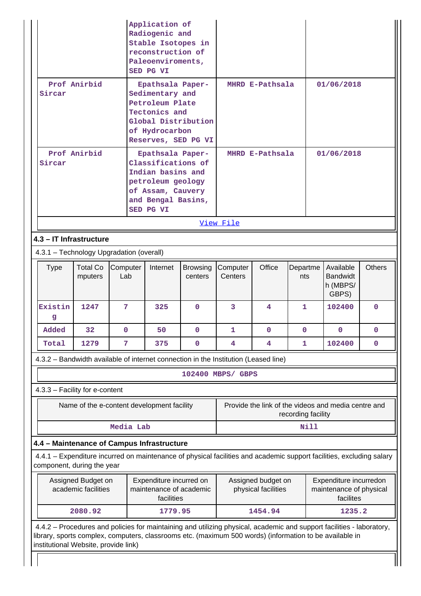|                                                                                                                                                 |                                           |                 | Application of<br>Radiogenic and<br>Stable Isotopes in<br>reconstruction of<br>Paleoenviroments,<br>SED PG VI                            |                            |                     |                                           |                    |                                                                |               |
|-------------------------------------------------------------------------------------------------------------------------------------------------|-------------------------------------------|-----------------|------------------------------------------------------------------------------------------------------------------------------------------|----------------------------|---------------------|-------------------------------------------|--------------------|----------------------------------------------------------------|---------------|
| Sircar                                                                                                                                          | Prof Anirbid                              |                 | Epathsala Paper-<br>Sedimentary and<br>Petroleum Plate<br>Tectonics and<br>Global Distribution<br>of Hydrocarbon<br>Reserves, SED PG VI  |                            |                     | MHRD E-Pathsala                           |                    | 01/06/2018                                                     |               |
| Prof Anirbid<br>Sircar                                                                                                                          |                                           |                 | Epathsala Paper-<br>Classifications of<br>Indian basins and<br>petroleum geology<br>of Assam, Cauvery<br>and Bengal Basins,<br>SED PG VI |                            |                     | MHRD E-Pathsala                           |                    | 01/06/2018                                                     |               |
|                                                                                                                                                 |                                           |                 |                                                                                                                                          |                            | View File           |                                           |                    |                                                                |               |
| 4.3 - IT Infrastructure                                                                                                                         |                                           |                 |                                                                                                                                          |                            |                     |                                           |                    |                                                                |               |
| 4.3.1 - Technology Upgradation (overall)                                                                                                        |                                           |                 |                                                                                                                                          |                            |                     |                                           |                    |                                                                |               |
| <b>Type</b>                                                                                                                                     | <b>Total Co</b><br>mputers                | Computer<br>Lab | Internet                                                                                                                                 | <b>Browsing</b><br>centers | Computer<br>Centers | Office                                    | Departme<br>nts    | Available<br><b>Bandwidt</b><br>h (MBPS/<br>GBPS)              | <b>Others</b> |
| Existin<br>g                                                                                                                                    | 1247                                      | 7               | 325                                                                                                                                      | 0                          | 3                   | 4                                         | 1                  | 102400                                                         | $\mathbf{0}$  |
| Added                                                                                                                                           | 32                                        | $\mathbf 0$     | 50                                                                                                                                       | 0                          | $\mathbf{1}$        | 0                                         | $\mathbf{0}$       | $\mathbf{0}$                                                   | $\mathbf 0$   |
| Total                                                                                                                                           | 1279                                      | 7               | 375                                                                                                                                      | $\mathbf 0$                | 4                   | 4                                         | 1                  | 102400                                                         | 0             |
|                                                                                                                                                 |                                           |                 | 4.3.2 - Bandwidth available of internet connection in the Institution (Leased line)                                                      |                            |                     |                                           |                    |                                                                |               |
|                                                                                                                                                 |                                           |                 |                                                                                                                                          |                            | 102400 MBPS/ GBPS   |                                           |                    |                                                                |               |
| 4.3.3 - Facility for e-content                                                                                                                  |                                           |                 |                                                                                                                                          |                            |                     |                                           |                    |                                                                |               |
|                                                                                                                                                 |                                           |                 | Name of the e-content development facility                                                                                               |                            |                     |                                           | recording facility | Provide the link of the videos and media centre and            |               |
|                                                                                                                                                 |                                           | Media Lab       |                                                                                                                                          |                            |                     |                                           | <b>Nill</b>        |                                                                |               |
| 4.4 - Maintenance of Campus Infrastructure                                                                                                      |                                           |                 |                                                                                                                                          |                            |                     |                                           |                    |                                                                |               |
| component, during the year                                                                                                                      |                                           |                 | 4.4.1 – Expenditure incurred on maintenance of physical facilities and academic support facilities, excluding salary                     |                            |                     |                                           |                    |                                                                |               |
|                                                                                                                                                 | Assigned Budget on<br>academic facilities |                 | Expenditure incurred on<br>maintenance of academic<br>facilities                                                                         |                            |                     | Assigned budget on<br>physical facilities |                    | Expenditure incurredon<br>maintenance of physical<br>facilites |               |
|                                                                                                                                                 | 2080.92                                   |                 | 1779.95                                                                                                                                  |                            |                     | 1454.94                                   |                    | 1235.2                                                         |               |
| library, sports complex, computers, classrooms etc. (maximum 500 words) (information to be available in<br>institutional Website, provide link) |                                           |                 | 4.4.2 - Procedures and policies for maintaining and utilizing physical, academic and support facilities - laboratory,                    |                            |                     |                                           |                    |                                                                |               |

 $\perp$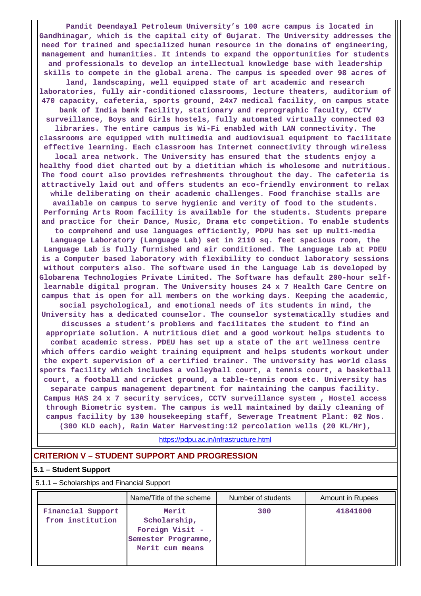**Pandit Deendayal Petroleum University's 100 acre campus is located in Gandhinagar, which is the capital city of Gujarat. The University addresses the need for trained and specialized human resource in the domains of engineering, management and humanities. It intends to expand the opportunities for students and professionals to develop an intellectual knowledge base with leadership skills to compete in the global arena. The campus is speeded over 98 acres of land, landscaping, well equipped state of art academic and research laboratories, fully air-conditioned classrooms, lecture theaters, auditorium of 470 capacity, cafeteria, sports ground, 24x7 medical facility, on campus state bank of India bank facility, stationary and reprographic faculty, CCTV surveillance, Boys and Girls hostels, fully automated virtually connected 03 libraries. The entire campus is Wi-Fi enabled with LAN connectivity. The classrooms are equipped with multimedia and audiovisual equipment to facilitate effective learning. Each classroom has Internet connectivity through wireless local area network. The University has ensured that the students enjoy a healthy food diet charted out by a dietitian which is wholesome and nutritious. The food court also provides refreshments throughout the day. The cafeteria is attractively laid out and offers students an eco-friendly environment to relax while deliberating on their academic challenges. Food franchise stalls are available on campus to serve hygienic and verity of food to the students. Performing Arts Room facility is available for the students. Students prepare and practice for their Dance, Music, Drama etc competition. To enable students to comprehend and use languages efficiently, PDPU has set up multi-media Language Laboratory (Language Lab) set in 2110 sq. feet spacious room, the Language Lab is fully furnished and air conditioned. The Language Lab at PDEU is a Computer based laboratory with flexibility to conduct laboratory sessions without computers also. The software used in the Language Lab is developed by Globarena Technologies Private Limited. The Software has default 200-hour selflearnable digital program. The University houses 24 x 7 Health Care Centre on campus that is open for all members on the working days. Keeping the academic, social psychological, and emotional needs of its students in mind, the University has a dedicated counselor. The counselor systematically studies and discusses a student's problems and facilitates the student to find an appropriate solution. A nutritious diet and a good workout helps students to combat academic stress. PDEU has set up a state of the art wellness centre which offers cardio weight training equipment and helps students workout under the expert supervision of a certified trainer. The university has world class sports facility which includes a volleyball court, a tennis court, a basketball court, a football and cricket ground, a table-tennis room etc. University has separate campus management department for maintaining the campus facility. Campus HAS 24 x 7 security services, CCTV surveillance system , Hostel access through Biometric system. The campus is well maintained by daily cleaning of campus facility by 130 housekeeping staff, Sewerage Treatment Plant: 02 Nos. (300 KLD each), Rain Water Harvesting:12 percolation wells (20 KL/Hr),**

<https://pdpu.ac.in/infrastructure.html>

#### **CRITERION V – STUDENT SUPPORT AND PROGRESSION**

#### **5.1 – Student Support**

| 5.1.1 - Scholarships and Financial Support |                                                                                    |                    |                  |
|--------------------------------------------|------------------------------------------------------------------------------------|--------------------|------------------|
|                                            | Name/Title of the scheme                                                           | Number of students | Amount in Rupees |
| Financial Support<br>from institution      | Merit<br>Scholarship,<br>Foreign Visit -<br>Semester Programme,<br>Merit cum means | 300                | 41841000         |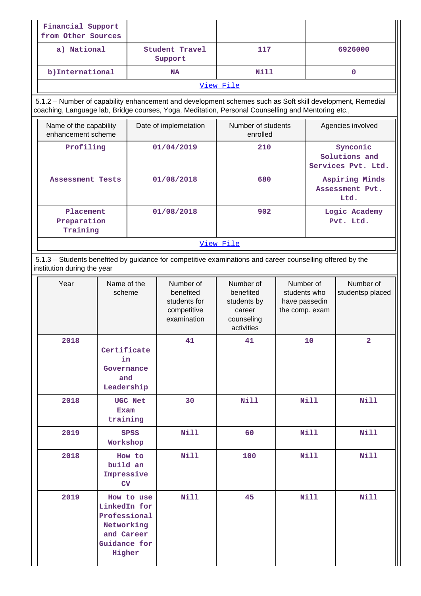| Financial Support<br>from Other Sources      |                                                                                    |                       |                                                                                                                                                                                                                 |                                                                             |                                                              |                                                 |                                           |
|----------------------------------------------|------------------------------------------------------------------------------------|-----------------------|-----------------------------------------------------------------------------------------------------------------------------------------------------------------------------------------------------------------|-----------------------------------------------------------------------------|--------------------------------------------------------------|-------------------------------------------------|-------------------------------------------|
| a) National                                  |                                                                                    |                       | Student Travel<br>Support                                                                                                                                                                                       | 117                                                                         |                                                              |                                                 | 6926000                                   |
| b) International                             |                                                                                    |                       | <b>NA</b>                                                                                                                                                                                                       | Nill                                                                        |                                                              |                                                 | $\mathbf 0$                               |
|                                              |                                                                                    |                       |                                                                                                                                                                                                                 | View File                                                                   |                                                              |                                                 |                                           |
|                                              |                                                                                    |                       | 5.1.2 - Number of capability enhancement and development schemes such as Soft skill development, Remedial<br>coaching, Language lab, Bridge courses, Yoga, Meditation, Personal Counselling and Mentoring etc., |                                                                             |                                                              |                                                 |                                           |
| Name of the capability<br>enhancement scheme |                                                                                    | Date of implemetation |                                                                                                                                                                                                                 | Number of students<br>enrolled                                              |                                                              | Agencies involved                               |                                           |
| Profiling                                    |                                                                                    |                       | 01/04/2019                                                                                                                                                                                                      | 210                                                                         |                                                              | Synconic<br>Solutions and<br>Services Pvt. Ltd. |                                           |
| Assessment Tests                             |                                                                                    |                       | 01/08/2018                                                                                                                                                                                                      | 680                                                                         |                                                              |                                                 | Aspiring Minds<br>Assessment Pvt.<br>Ltd. |
| Placement<br>Preparation<br>Training         |                                                                                    |                       | 01/08/2018                                                                                                                                                                                                      | 902                                                                         |                                                              |                                                 | Logic Academy<br>Pvt. Ltd.                |
|                                              |                                                                                    |                       |                                                                                                                                                                                                                 | View File                                                                   |                                                              |                                                 |                                           |
| institution during the year                  |                                                                                    |                       | 5.1.3 – Students benefited by guidance for competitive examinations and career counselling offered by the                                                                                                       |                                                                             |                                                              |                                                 |                                           |
| Year                                         | Name of the<br>scheme                                                              |                       | Number of<br>benefited<br>students for<br>competitive<br>examination                                                                                                                                            | Number of<br>benefited<br>students by<br>career<br>counseling<br>activities | Number of<br>students who<br>have passedin<br>the comp. exam |                                                 | Number of<br>studentsp placed             |
| 2018                                         | Certificate<br>in<br>Governance<br>and<br>Leadership                               |                       | 41                                                                                                                                                                                                              | 41                                                                          |                                                              | 10                                              | $\mathbf{2}$                              |
| 2018                                         | Exam<br>training                                                                   | <b>UGC Net</b>        | 30                                                                                                                                                                                                              | <b>Nill</b>                                                                 |                                                              | <b>Nill</b>                                     | <b>Nill</b>                               |
| 2019                                         | Workshop                                                                           | <b>SPSS</b>           | Nill                                                                                                                                                                                                            | 60                                                                          |                                                              | <b>Nill</b>                                     | <b>Nill</b>                               |
| 2018                                         | build an<br>Impressive<br>CV                                                       | How to                | <b>Nill</b>                                                                                                                                                                                                     | 100                                                                         |                                                              | <b>Nill</b>                                     | <b>Nill</b>                               |
| 2019                                         | LinkedIn for<br>Professional<br>Networking<br>and Career<br>Guidance for<br>Higher | How to use            | Nill                                                                                                                                                                                                            | 45                                                                          |                                                              | <b>Nill</b>                                     | <b>Nill</b>                               |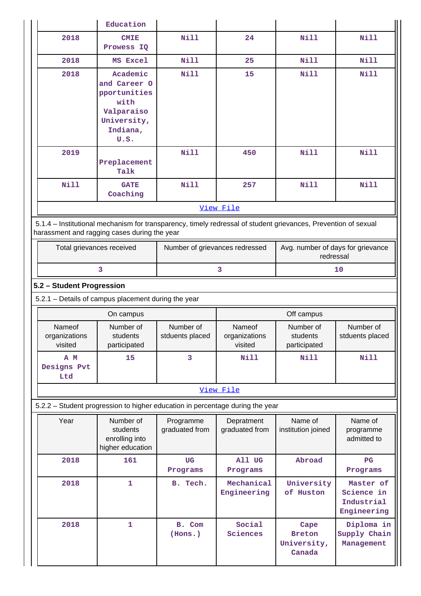|                                    | Education                                                                                                                                                      |                                |                                    |                                                |                                                      |
|------------------------------------|----------------------------------------------------------------------------------------------------------------------------------------------------------------|--------------------------------|------------------------------------|------------------------------------------------|------------------------------------------------------|
| 2018                               | <b>CMIE</b><br>Prowess IQ                                                                                                                                      | <b>Nill</b>                    | 24                                 | Nill                                           | <b>Nill</b>                                          |
| 2018                               | MS Excel                                                                                                                                                       | <b>Nill</b>                    | 25                                 | Nill                                           | <b>Nill</b>                                          |
| 2018                               | Academic<br>and Career O<br>pportunities<br>with<br>Valparaiso<br>University,<br>Indiana,<br>U.S.                                                              | <b>Nill</b>                    | 15                                 | Nill                                           | <b>Nill</b>                                          |
| 2019                               | Preplacement<br>Talk                                                                                                                                           | <b>Nill</b>                    | 450                                | <b>Nill</b>                                    | <b>Nill</b>                                          |
| <b>Nill</b>                        | <b>GATE</b><br>Coaching                                                                                                                                        | <b>Nill</b>                    | 257                                | <b>Nill</b>                                    | <b>Nill</b>                                          |
|                                    |                                                                                                                                                                |                                | View File                          |                                                |                                                      |
|                                    | 5.1.4 – Institutional mechanism for transparency, timely redressal of student grievances, Prevention of sexual<br>harassment and ragging cases during the year |                                |                                    |                                                |                                                      |
| Total grievances received          |                                                                                                                                                                | Number of grievances redressed |                                    | Avg. number of days for grievance<br>redressal |                                                      |
|                                    | 3                                                                                                                                                              | 3                              |                                    |                                                | 10                                                   |
| 5.2 - Student Progression          |                                                                                                                                                                |                                |                                    |                                                |                                                      |
|                                    | 5.2.1 - Details of campus placement during the year                                                                                                            |                                |                                    |                                                |                                                      |
|                                    | On campus                                                                                                                                                      |                                |                                    | Off campus                                     |                                                      |
| Nameof<br>organizations<br>visited | Number of<br>students<br>participated                                                                                                                          | Number of<br>stduents placed   | Nameof<br>organizations<br>visited | Number of<br>students<br>participated          | Number of<br>stduents placed                         |
| A M<br>Designs Pvt<br>Ltd          | 15                                                                                                                                                             | 3                              | Nill                               | <b>Nill</b>                                    | <b>Nill</b>                                          |
|                                    |                                                                                                                                                                |                                |                                    |                                                |                                                      |
|                                    |                                                                                                                                                                |                                | View File                          |                                                |                                                      |
|                                    | 5.2.2 – Student progression to higher education in percentage during the year                                                                                  |                                |                                    |                                                |                                                      |
| Year                               | Number of<br>students<br>enrolling into<br>higher education                                                                                                    | Programme<br>graduated from    | Depratment<br>graduated from       | Name of<br>institution joined                  | Name of<br>programme<br>admitted to                  |
| 2018                               | 161                                                                                                                                                            | <b>UG</b><br>Programs          | All UG<br>Programs                 | Abroad                                         | $_{\rm PG}$<br>Programs                              |
| 2018                               | $\mathbf 1$                                                                                                                                                    | B. Tech.                       | Mechanical<br>Engineering          | University<br>of Huston                        | Master of<br>Science in<br>Industrial<br>Engineering |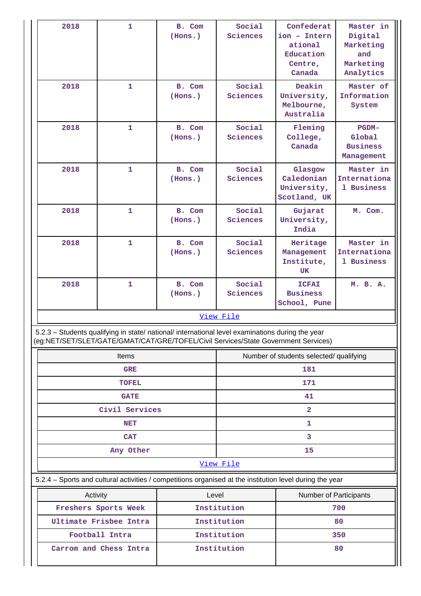| 2018                                                                                                                                                                                   | $\mathbf{1}$   | B. Com<br>(Hons.)      | Social<br>Sciences | Confederat<br>ion - Intern<br>ational<br>Education<br>Centre,<br>Canada | Master in<br>Digital<br>Marketing<br>and<br>Marketing<br>Analytics |  |
|----------------------------------------------------------------------------------------------------------------------------------------------------------------------------------------|----------------|------------------------|--------------------|-------------------------------------------------------------------------|--------------------------------------------------------------------|--|
| 2018                                                                                                                                                                                   | $\mathbf{1}$   | B. Com<br>(Hons.)      | Social<br>Sciences | Deakin<br>University,<br>Melbourne,<br>Australia                        | Master of<br>Information<br>System                                 |  |
| 2018                                                                                                                                                                                   | $\mathbf{1}$   | B. Com<br>(Hons.)      | Social<br>Sciences | Fleming<br>College,<br>Canada                                           | <b>PGDM-</b><br>Global<br><b>Business</b><br>Management            |  |
| 2018                                                                                                                                                                                   | $\mathbf{1}$   | B. Com<br>(Hons.)      | Social<br>Sciences | Glasgow<br>Caledonian<br>University,<br>Scotland, UK                    | Master in<br>Internationa<br>1 Business                            |  |
| 2018                                                                                                                                                                                   | $\mathbf 1$    | B. Com<br>(Hons.)      | Social<br>Sciences | Gujarat<br>University,<br>India                                         | M. Com.                                                            |  |
| 2018                                                                                                                                                                                   | $\mathbf{1}$   | B. Com<br>(Hons.)      | Social<br>Sciences | Heritage<br>Management<br>Institute,<br>UK                              | Master in<br>Internationa<br>1 Business                            |  |
| 2018                                                                                                                                                                                   | 1              | B. Com<br>(Hons.)      | Social<br>Sciences | <b>ICFAI</b><br><b>Business</b><br>School, Pune                         | M. B. A.                                                           |  |
|                                                                                                                                                                                        |                |                        | View File          |                                                                         |                                                                    |  |
| 5.2.3 - Students qualifying in state/ national/ international level examinations during the year<br>(eg:NET/SET/SLET/GATE/GMAT/CAT/GRE/TOFEL/Civil Services/State Government Services) |                |                        |                    |                                                                         |                                                                    |  |
| <b>Items</b>                                                                                                                                                                           |                |                        |                    | Number of students selected/ qualifying                                 |                                                                    |  |
|                                                                                                                                                                                        | <b>GRE</b>     |                        |                    | 181                                                                     |                                                                    |  |
|                                                                                                                                                                                        | <b>TOFEL</b>   |                        | 171                |                                                                         |                                                                    |  |
|                                                                                                                                                                                        | <b>GATE</b>    |                        | 41                 |                                                                         |                                                                    |  |
|                                                                                                                                                                                        | Civil Services |                        | $\overline{2}$     |                                                                         |                                                                    |  |
| <b>NET</b>                                                                                                                                                                             |                |                        | 1                  |                                                                         |                                                                    |  |
|                                                                                                                                                                                        | <b>CAT</b>     |                        |                    | 3                                                                       |                                                                    |  |
| Any Other                                                                                                                                                                              |                |                        |                    | 15                                                                      |                                                                    |  |
| View File                                                                                                                                                                              |                |                        |                    |                                                                         |                                                                    |  |
| 5.2.4 - Sports and cultural activities / competitions organised at the institution level during the year                                                                               |                |                        |                    |                                                                         |                                                                    |  |
| Level<br>Activity                                                                                                                                                                      |                | Number of Participants |                    |                                                                         |                                                                    |  |
| Freshers Sports Week                                                                                                                                                                   |                | Institution            |                    | 700                                                                     |                                                                    |  |
| Ultimate Frisbee Intra                                                                                                                                                                 |                | Institution            |                    | 80                                                                      |                                                                    |  |
| Football Intra<br>Carrom and Chess Intra                                                                                                                                               |                |                        | Institution        |                                                                         | 350                                                                |  |
|                                                                                                                                                                                        |                |                        | Institution        |                                                                         | 80                                                                 |  |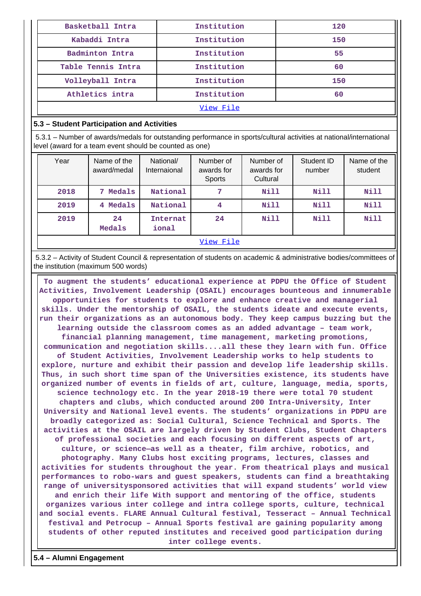| Basketball Intra   | Institution | 120 |
|--------------------|-------------|-----|
| Kabaddi Intra      | Institution | 150 |
| Badminton Intra    | Institution | 55  |
| Table Tennis Intra | Institution | 60  |
| Volleyball Intra   | Institution | 150 |
| Athletics intra    | Institution | 60  |
| View File          |             |     |

#### **5.3 – Student Participation and Activities**

 5.3.1 – Number of awards/medals for outstanding performance in sports/cultural activities at national/international level (award for a team event should be counted as one)

| Year | Name of the<br>award/medal | National/<br>Internaional | Number of<br>awards for<br>Sports | Number of<br>awards for<br>Cultural | Student ID<br>number | Name of the<br>student |
|------|----------------------------|---------------------------|-----------------------------------|-------------------------------------|----------------------|------------------------|
| 2018 | Medals<br>7                | National                  | 7                                 | Nill                                | Nill                 | Nill                   |
| 2019 | Medals<br>4                | National                  | 4                                 | <b>Nill</b>                         | Nill                 | Nill                   |
| 2019 | 24<br>Medals               | Internat<br>ional         | 24                                | <b>Nill</b>                         | Nill                 | <b>Nill</b>            |
|      | View File                  |                           |                                   |                                     |                      |                        |

 5.3.2 – Activity of Student Council & representation of students on academic & administrative bodies/committees of the institution (maximum 500 words)

 **To augment the students' educational experience at PDPU the Office of Student Activities, Involvement Leadership (OSAIL) encourages bounteous and innumerable opportunities for students to explore and enhance creative and managerial skills. Under the mentorship of OSAIL, the students ideate and execute events, run their organizations as an autonomous body. They keep campus buzzing but the learning outside the classroom comes as an added advantage – team work, financial planning management, time management, marketing promotions, communication and negotiation skills....all these they learn with fun. Office of Student Activities, Involvement Leadership works to help students to explore, nurture and exhibit their passion and develop life leadership skills. Thus, in such short time span of the Universities existence, its students have organized number of events in fields of art, culture, language, media, sports, science technology etc. In the year 2018-19 there were total 70 student chapters and clubs, which conducted around 200 Intra-University, Inter University and National level events. The students' organizations in PDPU are broadly categorized as: Social Cultural, Science Technical and Sports. The activities at the OSAIL are largely driven by Student Clubs, Student Chapters of professional societies and each focusing on different aspects of art, culture, or science—as well as a theater, film archive, robotics, and photography. Many Clubs host exciting programs, lectures, classes and activities for students throughout the year. From theatrical plays and musical performances to robo-wars and guest speakers, students can find a breathtaking range of universitysponsored activities that will expand students' world view and enrich their life With support and mentoring of the office, students organizes various inter college and intra college sports, culture, technical and social events. FLARE Annual Cultural festival, Tesseract – Annual Technical festival and Petrocup – Annual Sports festival are gaining popularity among students of other reputed institutes and received good participation during inter college events.**

**5.4 – Alumni Engagement**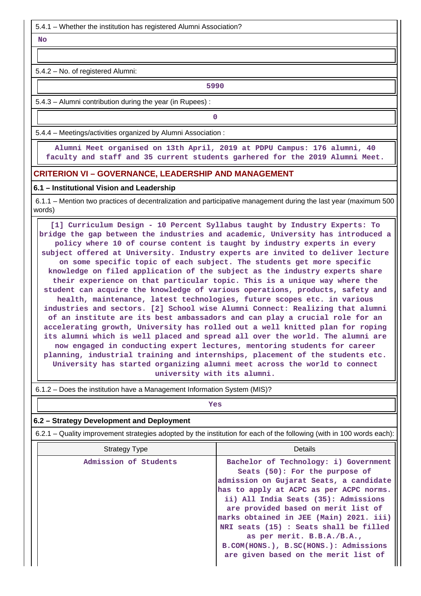5.4.1 – Whether the institution has registered Alumni Association?

 **No**

5.4.2 – No. of registered Alumni:

**5990**

5.4.3 – Alumni contribution during the year (in Rupees) :

**0**

5.4.4 – Meetings/activities organized by Alumni Association :

 **Alumni Meet organised on 13th April, 2019 at PDPU Campus: 176 alumni, 40 faculty and staff and 35 current students garhered for the 2019 Alumni Meet.**

### **CRITERION VI – GOVERNANCE, LEADERSHIP AND MANAGEMENT**

#### **6.1 – Institutional Vision and Leadership**

 6.1.1 – Mention two practices of decentralization and participative management during the last year (maximum 500 words)

 **[1] Curriculum Design - 10 Percent Syllabus taught by Industry Experts: To bridge the gap between the industries and academic, University has introduced a policy where 10 of course content is taught by industry experts in every subject offered at University. Industry experts are invited to deliver lecture on some specific topic of each subject. The students get more specific knowledge on filed application of the subject as the industry experts share their experience on that particular topic. This is a unique way where the student can acquire the knowledge of various operations, products, safety and health, maintenance, latest technologies, future scopes etc. in various industries and sectors. [2] School wise Alumni Connect: Realizing that alumni of an institute are its best ambassadors and can play a crucial role for an accelerating growth, University has rolled out a well knitted plan for roping its alumni which is well placed and spread all over the world. The alumni are now engaged in conducting expert lectures, mentoring students for career planning, industrial training and internships, placement of the students etc. University has started organizing alumni meet across the world to connect university with its alumni.**

6.1.2 – Does the institution have a Management Information System (MIS)?

| -- |
|----|

| 6.2 – Strategy Development and Deployment                                                                             |                                                                                                                                                                                                                                                                                                                                                                                                                                                  |  |  |  |
|-----------------------------------------------------------------------------------------------------------------------|--------------------------------------------------------------------------------------------------------------------------------------------------------------------------------------------------------------------------------------------------------------------------------------------------------------------------------------------------------------------------------------------------------------------------------------------------|--|--|--|
| 6.2.1 – Quality improvement strategies adopted by the institution for each of the following (with in 100 words each): |                                                                                                                                                                                                                                                                                                                                                                                                                                                  |  |  |  |
| <b>Strategy Type</b>                                                                                                  | <b>Details</b>                                                                                                                                                                                                                                                                                                                                                                                                                                   |  |  |  |
| Admission of Students                                                                                                 | Bachelor of Technology: i) Government<br>Seats (50): For the purpose of<br>admission on Gujarat Seats, a candidate<br>has to apply at ACPC as per ACPC norms.<br>ii) All India Seats (35): Admissions<br>are provided based on merit list of<br>marks obtained in JEE (Main) 2021. iii)<br>NRI seats (15) : Seats shall be filled<br>as per merit. B.B.A./B.A.,<br>B.COM(HONS.), B.SC(HONS.): Admissions<br>are given based on the merit list of |  |  |  |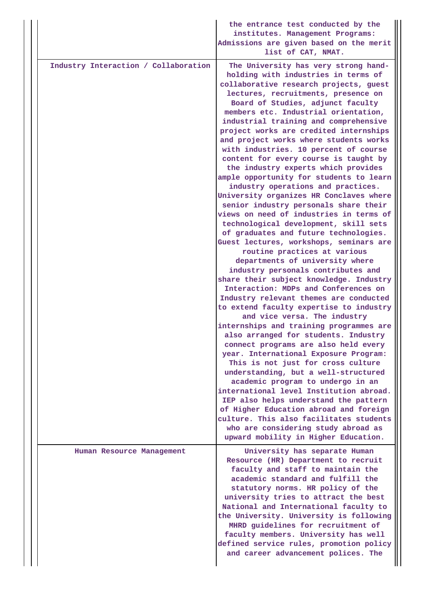|                                      | the entrance test conducted by the<br>institutes. Management Programs:<br>Admissions are given based on the merit<br>list of CAT, NMAT.                                                                                                                                                                                                                                                                                                                                                                                                                                                                                                                                                                                                                                                                                                                                                                                                                                                                                                                                                                                                                                                                                                                                                                                                                                                                                                                                                                                                                                                                                                                                                                      |
|--------------------------------------|--------------------------------------------------------------------------------------------------------------------------------------------------------------------------------------------------------------------------------------------------------------------------------------------------------------------------------------------------------------------------------------------------------------------------------------------------------------------------------------------------------------------------------------------------------------------------------------------------------------------------------------------------------------------------------------------------------------------------------------------------------------------------------------------------------------------------------------------------------------------------------------------------------------------------------------------------------------------------------------------------------------------------------------------------------------------------------------------------------------------------------------------------------------------------------------------------------------------------------------------------------------------------------------------------------------------------------------------------------------------------------------------------------------------------------------------------------------------------------------------------------------------------------------------------------------------------------------------------------------------------------------------------------------------------------------------------------------|
| Industry Interaction / Collaboration | The University has very strong hand-<br>holding with industries in terms of<br>collaborative research projects, guest<br>lectures, recruitments, presence on<br>Board of Studies, adjunct faculty<br>members etc. Industrial orientation,<br>industrial training and comprehensive<br>project works are credited internships<br>and project works where students works<br>with industries. 10 percent of course<br>content for every course is taught by<br>the industry experts which provides<br>ample opportunity for students to learn<br>industry operations and practices.<br>University organizes HR Conclaves where<br>senior industry personals share their<br>views on need of industries in terms of<br>technological development, skill sets<br>of graduates and future technologies.<br>Guest lectures, workshops, seminars are<br>routine practices at various<br>departments of university where<br>industry personals contributes and<br>share their subject knowledge. Industry<br>Interaction: MDPs and Conferences on<br>Industry relevant themes are conducted<br>to extend faculty expertise to industry<br>and vice versa. The industry<br>internships and training programmes are<br>also arranged for students. Industry<br>connect programs are also held every<br>year. International Exposure Program:<br>This is not just for cross culture<br>understanding, but a well-structured<br>academic program to undergo in an<br>international level Institution abroad.<br>IEP also helps understand the pattern<br>of Higher Education abroad and foreign<br>culture. This also facilitates students<br>who are considering study abroad as<br>upward mobility in Higher Education. |
| Human Resource Management            | University has separate Human                                                                                                                                                                                                                                                                                                                                                                                                                                                                                                                                                                                                                                                                                                                                                                                                                                                                                                                                                                                                                                                                                                                                                                                                                                                                                                                                                                                                                                                                                                                                                                                                                                                                                |
|                                      | Resource (HR) Department to recruit<br>faculty and staff to maintain the<br>academic standard and fulfill the<br>statutory norms. HR policy of the<br>university tries to attract the best<br>National and International faculty to<br>the University. University is following<br>MHRD guidelines for recruitment of<br>faculty members. University has well<br>defined service rules, promotion policy<br>and career advancement polices. The                                                                                                                                                                                                                                                                                                                                                                                                                                                                                                                                                                                                                                                                                                                                                                                                                                                                                                                                                                                                                                                                                                                                                                                                                                                               |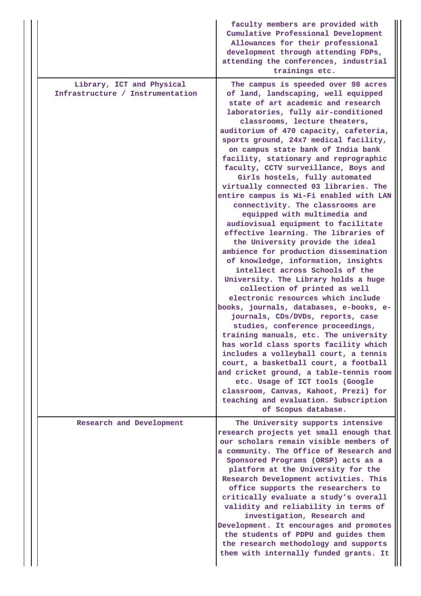|                                                               | faculty members are provided with<br>Cumulative Professional Development<br>Allowances for their professional<br>development through attending FDPs,<br>attending the conferences, industrial<br>trainings etc.                                                                                                                                                                                                                                                                                                                                                                                                                                                                                                                                                                                                                                                                                                                                                                                                                                                                                                                                                                                                                                                                                                                                                                                                                  |
|---------------------------------------------------------------|----------------------------------------------------------------------------------------------------------------------------------------------------------------------------------------------------------------------------------------------------------------------------------------------------------------------------------------------------------------------------------------------------------------------------------------------------------------------------------------------------------------------------------------------------------------------------------------------------------------------------------------------------------------------------------------------------------------------------------------------------------------------------------------------------------------------------------------------------------------------------------------------------------------------------------------------------------------------------------------------------------------------------------------------------------------------------------------------------------------------------------------------------------------------------------------------------------------------------------------------------------------------------------------------------------------------------------------------------------------------------------------------------------------------------------|
| Library, ICT and Physical<br>Infrastructure / Instrumentation | The campus is speeded over 98 acres<br>of land, landscaping, well equipped<br>state of art academic and research<br>laboratories, fully air-conditioned<br>classrooms, lecture theaters,<br>auditorium of 470 capacity, cafeteria,<br>sports ground, 24x7 medical facility,<br>on campus state bank of India bank<br>facility, stationary and reprographic<br>faculty, CCTV surveillance, Boys and<br>Girls hostels, fully automated<br>virtually connected 03 libraries. The<br>entire campus is Wi-Fi enabled with LAN<br>connectivity. The classrooms are<br>equipped with multimedia and<br>audiovisual equipment to facilitate<br>effective learning. The libraries of<br>the University provide the ideal<br>ambience for production dissemination<br>of knowledge, information, insights<br>intellect across Schools of the<br>University. The Library holds a huge<br>collection of printed as well<br>electronic resources which include<br>books, journals, databases, e-books, e-<br>journals, CDs/DVDs, reports, case<br>studies, conference proceedings,<br>training manuals, etc. The university<br>has world class sports facility which<br>includes a volleyball court, a tennis<br>court, a basketball court, a football<br>and cricket ground, a table-tennis room<br>etc. Usage of ICT tools (Google<br>classroom, Canvas, Kahoot, Prezi) for<br>teaching and evaluation. Subscription<br>of Scopus database. |
| Research and Development                                      | The University supports intensive<br>research projects yet small enough that<br>our scholars remain visible members of<br>a community. The Office of Research and<br>Sponsored Programs (ORSP) acts as a<br>platform at the University for the<br>Research Development activities. This<br>office supports the researchers to<br>critically evaluate a study's overall<br>validity and reliability in terms of<br>investigation, Research and<br>Development. It encourages and promotes<br>the students of PDPU and guides them<br>the research methodology and supports<br>them with internally funded grants. It                                                                                                                                                                                                                                                                                                                                                                                                                                                                                                                                                                                                                                                                                                                                                                                                              |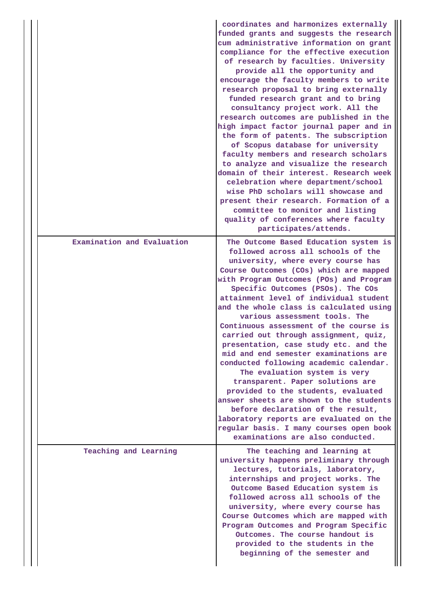|  |                            | coordinates and harmonizes externally<br>funded grants and suggests the research<br>cum administrative information on grant<br>compliance for the effective execution<br>of research by faculties. University<br>provide all the opportunity and<br>encourage the faculty members to write<br>research proposal to bring externally<br>funded research grant and to bring<br>consultancy project work. All the<br>research outcomes are published in the<br>high impact factor journal paper and in<br>the form of patents. The subscription<br>of Scopus database for university<br>faculty members and research scholars<br>to analyze and visualize the research<br>domain of their interest. Research week<br>celebration where department/school<br>wise PhD scholars will showcase and<br>present their research. Formation of a<br>committee to monitor and listing<br>quality of conferences where faculty<br>participates/attends. |
|--|----------------------------|---------------------------------------------------------------------------------------------------------------------------------------------------------------------------------------------------------------------------------------------------------------------------------------------------------------------------------------------------------------------------------------------------------------------------------------------------------------------------------------------------------------------------------------------------------------------------------------------------------------------------------------------------------------------------------------------------------------------------------------------------------------------------------------------------------------------------------------------------------------------------------------------------------------------------------------------|
|  | Examination and Evaluation | The Outcome Based Education system is<br>followed across all schools of the<br>university, where every course has<br>Course Outcomes (COs) which are mapped<br>with Program Outcomes (POs) and Program<br>Specific Outcomes (PSOs). The COs<br>attainment level of individual student<br>and the whole class is calculated using<br>various assessment tools. The<br>Continuous assessment of the course is<br>carried out through assignment, quiz,<br>presentation, case study etc. and the<br>mid and end semester examinations are<br>conducted following academic calendar.<br>The evaluation system is very<br>transparent. Paper solutions are<br>provided to the students, evaluated<br>answer sheets are shown to the students<br>before declaration of the result,<br>laboratory reports are evaluated on the<br>regular basis. I many courses open book<br>examinations are also conducted.                                      |
|  | Teaching and Learning      | The teaching and learning at<br>university happens preliminary through<br>lectures, tutorials, laboratory,<br>internships and project works. The<br>Outcome Based Education system is<br>followed across all schools of the<br>university, where every course has<br>Course Outcomes which are mapped with<br>Program Outcomes and Program Specific<br>Outcomes. The course handout is<br>provided to the students in the<br>beginning of the semester and                                                                                                                                                                                                                                                                                                                                                                                                                                                                                  |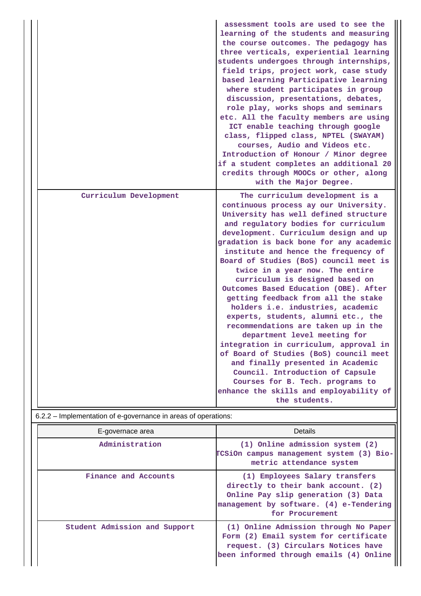|                        | assessment tools are used to see the<br>learning of the students and measuring<br>the course outcomes. The pedagogy has<br>three verticals, experiential learning<br>students undergoes through internships,<br>field trips, project work, case study<br>based learning Participative learning<br>where student participates in group<br>discussion, presentations, debates,<br>role play, works shops and seminars<br>etc. All the faculty members are using<br>ICT enable teaching through google<br>class, flipped class, NPTEL (SWAYAM)<br>courses, Audio and Videos etc.<br>Introduction of Honour / Minor degree<br>if a student completes an additional 20<br>credits through MOOCs or other, along<br>with the Major Degree.                                                                                                                                                                  |
|------------------------|-------------------------------------------------------------------------------------------------------------------------------------------------------------------------------------------------------------------------------------------------------------------------------------------------------------------------------------------------------------------------------------------------------------------------------------------------------------------------------------------------------------------------------------------------------------------------------------------------------------------------------------------------------------------------------------------------------------------------------------------------------------------------------------------------------------------------------------------------------------------------------------------------------|
| Curriculum Development | The curriculum development is a<br>continuous process ay our University.<br>University has well defined structure<br>and regulatory bodies for curriculum<br>development. Curriculum design and up<br>gradation is back bone for any academic<br>institute and hence the frequency of<br>Board of Studies (BoS) council meet is<br>twice in a year now. The entire<br>curriculum is designed based on<br>Outcomes Based Education (OBE). After<br>getting feedback from all the stake<br>holders i.e. industries, academic<br>experts, students, alumni etc., the<br>recommendations are taken up in the<br>department level meeting for<br>integration in curriculum, approval in<br>of Board of Studies (BoS) council meet<br>and finally presented in Academic<br>Council. Introduction of Capsule<br>Courses for B. Tech. programs to<br>enhance the skills and employability of<br>the students. |

|  | E-governace area              | <b>Details</b>                                                                                                                                                             |
|--|-------------------------------|----------------------------------------------------------------------------------------------------------------------------------------------------------------------------|
|  | Administration                | (1) Online admission system (2)<br>TCSiOn campus management system (3) Bio-<br>metric attendance system                                                                    |
|  | Finance and Accounts          | (1) Employees Salary transfers<br>directly to their bank account. (2)<br>Online Pay slip generation (3) Data<br>management by software. (4) e-Tendering<br>for Procurement |
|  | Student Admission and Support | (1) Online Admission through No Paper<br>Form (2) Email system for certificate<br>request. (3) Circulars Notices have<br>been informed through emails (4) Online           |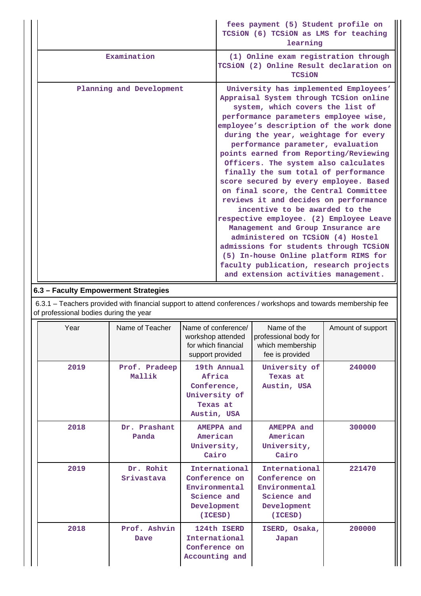|                          | fees payment (5) Student profile on<br>TCSiON (6) TCSiON as LMS for teaching<br>learning                                                                                                                                                                                                                                                                                                                                                                                                                                                                                                                                                                                                                                                                                                                                                                                |
|--------------------------|-------------------------------------------------------------------------------------------------------------------------------------------------------------------------------------------------------------------------------------------------------------------------------------------------------------------------------------------------------------------------------------------------------------------------------------------------------------------------------------------------------------------------------------------------------------------------------------------------------------------------------------------------------------------------------------------------------------------------------------------------------------------------------------------------------------------------------------------------------------------------|
| Examination              | (1) Online exam registration through<br>TCSiON (2) Online Result declaration on<br><b>TCSiON</b>                                                                                                                                                                                                                                                                                                                                                                                                                                                                                                                                                                                                                                                                                                                                                                        |
| Planning and Development | University has implemented Employees'<br>Appraisal System through TCSion online<br>system, which covers the list of<br>performance parameters employee wise,<br>employee's description of the work done<br>during the year, weightage for every<br>performance parameter, evaluation<br>points earned from Reporting/Reviewing<br>Officers. The system also calculates<br>finally the sum total of performance<br>score secured by every employee. Based<br>on final score, the Central Committee<br>reviews it and decides on performance<br>incentive to be awarded to the<br>respective employee. (2) Employee Leave<br>Management and Group Insurance are<br>administered on TCSiON (4) Hostel<br>admissions for students through TCSiON<br>(5) In-house Online platform RIMS for<br>faculty publication, research projects<br>and extension activities management. |

## **6.3 – Faculty Empowerment Strategies**

 6.3.1 – Teachers provided with financial support to attend conferences / workshops and towards membership fee of professional bodies during the year

| Year | Name of Teacher         | Name of conference/<br>workshop attended<br>for which financial<br>support provided      | Name of the<br>professional body for<br>which membership<br>fee is provided              | Amount of support |
|------|-------------------------|------------------------------------------------------------------------------------------|------------------------------------------------------------------------------------------|-------------------|
| 2019 | Prof. Pradeep<br>Mallik | 19th Annual<br>Africa<br>Conference,<br>University of<br>Texas at<br>Austin, USA         | University of<br>Texas at<br>Austin, USA                                                 | 240000            |
| 2018 | Dr. Prashant<br>Panda   | AMEPPA and<br>American<br>University,<br>Cairo                                           | AMEPPA and<br>American<br>University,<br>Cairo                                           | 300000            |
| 2019 | Dr. Rohit<br>Srivastava | International<br>Conference on<br>Environmental<br>Science and<br>Development<br>(ICESD) | International<br>Conference on<br>Environmental<br>Science and<br>Development<br>(ICESD) | 221470            |
| 2018 | Prof. Ashvin<br>Dave    | 124th ISERD<br>International<br>Conference on<br>Accounting and                          | ISERD, Osaka,<br>Japan                                                                   | 200000            |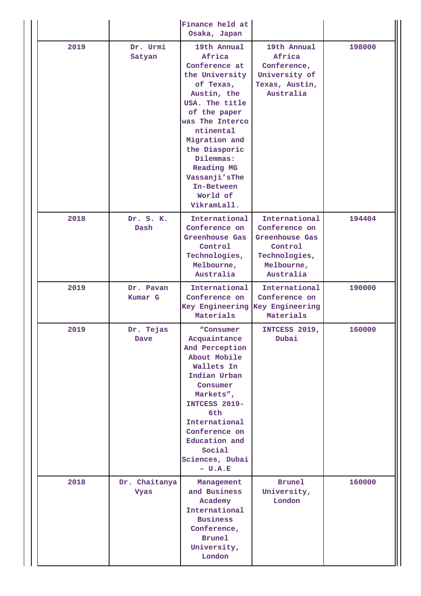|      |                              | Finance held at<br>Osaka, Japan                                                                                                                                                                                                                                               |                                                                                                         |        |
|------|------------------------------|-------------------------------------------------------------------------------------------------------------------------------------------------------------------------------------------------------------------------------------------------------------------------------|---------------------------------------------------------------------------------------------------------|--------|
| 2019 | Dr. Urmi<br>Satyan           | 19th Annual<br>Africa<br>Conference at<br>the University<br>of Texas,<br>Austin, the<br>USA. The title<br>of the paper<br>was The Interco<br>ntinental<br>Migration and<br>the Diasporic<br>Dilemmas:<br>Reading MG<br>Vassanji'sThe<br>In-Between<br>World of<br>VikramLall. | 19th Annual<br>Africa<br>Conference,<br>University of<br>Texas, Austin,<br>Australia                    | 198000 |
| 2018 | Dr. S. K.<br>Dash            | International<br>Conference on<br>Greenhouse Gas<br>Control<br>Technologies,<br>Melbourne,<br>Australia                                                                                                                                                                       | International<br>Conference on<br>Greenhouse Gas<br>Control<br>Technologies,<br>Melbourne,<br>Australia | 194404 |
| 2019 | Dr. Pavan<br><b>Kumar G</b>  | International<br>Conference on<br>Key Engineering Key Engineering<br>Materials                                                                                                                                                                                                | International<br>Conference on<br>Materials                                                             | 190000 |
| 2019 | Dr. Tejas<br>Dave            |                                                                                                                                                                                                                                                                               | INTCESS 2019,<br>Dubai                                                                                  | 160000 |
| 2018 | Dr. Chaitanya<br><b>Vyas</b> | Management<br>and Business<br>Academy<br>International<br><b>Business</b><br>Conference,<br><b>Brunel</b><br>University,<br>London                                                                                                                                            | <b>Brunel</b><br>University,<br>London                                                                  | 160000 |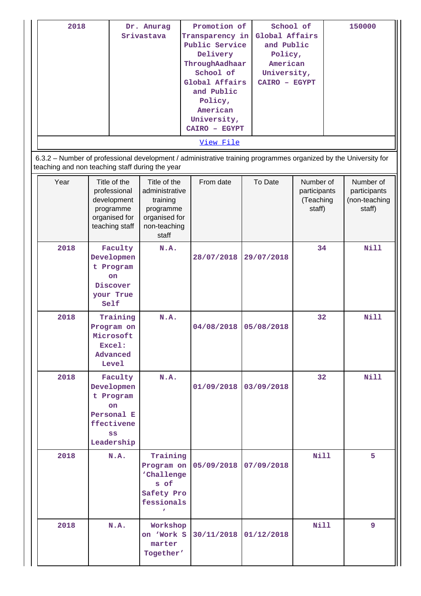| 2018                                                                                                                                                               |                                             | Dr. Anurag                                 | Promotion of    | School of      |                                        | 150000                                     |  |  |  |  |
|--------------------------------------------------------------------------------------------------------------------------------------------------------------------|---------------------------------------------|--------------------------------------------|-----------------|----------------|----------------------------------------|--------------------------------------------|--|--|--|--|
|                                                                                                                                                                    |                                             | Srivastava                                 | Transparency in | Global Affairs |                                        |                                            |  |  |  |  |
|                                                                                                                                                                    |                                             |                                            | Public Service  | and Public     |                                        |                                            |  |  |  |  |
|                                                                                                                                                                    |                                             |                                            | Delivery        | Policy,        |                                        |                                            |  |  |  |  |
|                                                                                                                                                                    |                                             |                                            | ThroughAadhaar  | American       |                                        |                                            |  |  |  |  |
|                                                                                                                                                                    |                                             |                                            | School of       | University,    |                                        |                                            |  |  |  |  |
|                                                                                                                                                                    |                                             |                                            | Global Affairs  | CAIRO - EGYPT  |                                        |                                            |  |  |  |  |
|                                                                                                                                                                    |                                             |                                            | and Public      |                |                                        |                                            |  |  |  |  |
|                                                                                                                                                                    |                                             |                                            | Policy,         |                |                                        |                                            |  |  |  |  |
|                                                                                                                                                                    |                                             |                                            | American        |                |                                        |                                            |  |  |  |  |
|                                                                                                                                                                    |                                             |                                            | University,     |                |                                        |                                            |  |  |  |  |
|                                                                                                                                                                    |                                             |                                            | CAIRO - EGYPT   |                |                                        |                                            |  |  |  |  |
|                                                                                                                                                                    |                                             |                                            | View File       |                |                                        |                                            |  |  |  |  |
| 6.3.2 – Number of professional development / administrative training programmes organized by the University for<br>teaching and non teaching staff during the year |                                             |                                            |                 |                |                                        |                                            |  |  |  |  |
| Year                                                                                                                                                               | Title of the<br>professional<br>development | Title of the<br>administrative<br>training | From date       | To Date        | Number of<br>participants<br>(Teaching | Number of<br>participants<br>(non-teaching |  |  |  |  |

|      | development<br>programme<br>organised for<br>teaching staff                              | training<br>programme<br>organised for<br>non-teaching<br>staff                            |            |            | (Teaching<br>staff) | (non-teaching<br>staff) |
|------|------------------------------------------------------------------------------------------|--------------------------------------------------------------------------------------------|------------|------------|---------------------|-------------------------|
| 2018 | Faculty<br>Developmen<br>t Program<br><b>on</b><br>Discover<br>your True<br>Self         | N.A.                                                                                       | 28/07/2018 | 29/07/2018 | 34                  | Nill                    |
| 2018 | Training<br>Program on<br>Microsoft<br>Excel:<br>Advanced<br><b>Level</b>                | N.A.                                                                                       | 04/08/2018 | 05/08/2018 | 32                  | Nill                    |
| 2018 | Faculty<br>Developmen<br>t Program<br>on<br>Personal E<br>ffectivene<br>SS<br>Leadership | N.A.                                                                                       | 01/09/2018 | 03/09/2018 | 32                  | Nill                    |
| 2018 | N.A.                                                                                     | Training<br>Program on<br>'Challenge<br>s of<br>Safety Pro<br>fessionals<br>$\overline{r}$ | 05/09/2018 | 07/09/2018 | Nill                | 5                       |
| 2018 | N.A.                                                                                     | Workshop<br>on 'Work S<br>marter<br>Together'                                              | 30/11/2018 | 01/12/2018 | Nill                | 9                       |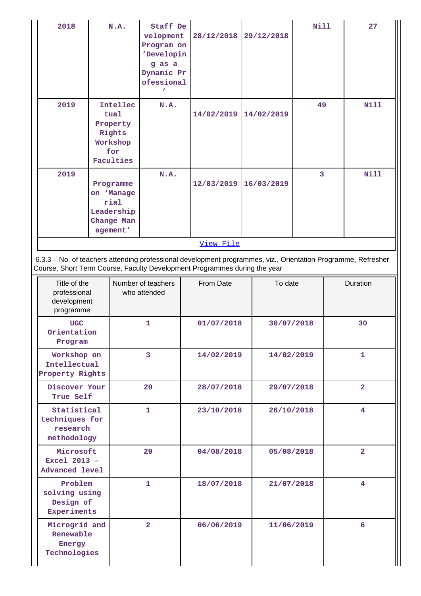| 2018                                                                                                          |                                                                                                                          | N.A.<br>Staff De<br>velopment<br>Program on<br>'Developin<br>g as a<br>Dynamic Pr<br>ofessional<br>N.A. |                                    |           | 28/12/2018 | 29/12/2018               |            | <b>Nill</b> |                | 27             |
|---------------------------------------------------------------------------------------------------------------|--------------------------------------------------------------------------------------------------------------------------|---------------------------------------------------------------------------------------------------------|------------------------------------|-----------|------------|--------------------------|------------|-------------|----------------|----------------|
| 2019                                                                                                          |                                                                                                                          | Intellec<br>tual<br>Property<br>Rights<br>Workshop<br>for<br>Faculties                                  |                                    |           | 14/02/2019 |                          | 14/02/2019 | 49          |                | <b>Nill</b>    |
| 2019                                                                                                          | Programme<br>on 'Manage<br>rial<br>Leadership<br>Change Man<br>agement'                                                  |                                                                                                         | N.A.                               |           | 12/03/2019 | 16/03/2019               |            | 3           |                | <b>Nill</b>    |
| 6.3.3 - No. of teachers attending professional development programmes, viz., Orientation Programme, Refresher |                                                                                                                          |                                                                                                         |                                    |           | View File  |                          |            |             |                |                |
| programme                                                                                                     | Course, Short Term Course, Faculty Development Programmes during the year<br>Title of the<br>professional<br>development |                                                                                                         | Number of teachers<br>who attended | From Date |            |                          | To date    |             |                | Duration       |
| <b>UGC</b><br>Orientation<br>Program                                                                          |                                                                                                                          |                                                                                                         | $\mathbf{1}$                       |           |            | 01/07/2018<br>30/07/2018 |            |             |                | 30             |
| Workshop on<br>Intellectual<br>Property Rights                                                                |                                                                                                                          |                                                                                                         | $\overline{3}$                     |           | 14/02/2019 |                          | 14/02/2019 |             | $\mathbf{1}$   |                |
| Discover Your<br>True Self                                                                                    |                                                                                                                          |                                                                                                         | 20                                 |           | 28/07/2018 |                          | 29/07/2018 |             | $\overline{2}$ |                |
| Statistical<br>techniques for<br>research<br>methodology                                                      |                                                                                                                          |                                                                                                         | 1                                  |           | 23/10/2018 |                          | 26/10/2018 |             |                | 4              |
| Microsoft<br>Excel 2013 -<br><b>Advanced level</b>                                                            |                                                                                                                          |                                                                                                         | 20                                 |           | 04/08/2018 |                          | 05/08/2018 |             |                | $\overline{2}$ |
|                                                                                                               | Problem<br>$\mathbf{1}$<br>solving using<br>Design of<br>Experiments                                                     |                                                                                                         |                                    |           | 18/07/2018 |                          | 21/07/2018 |             |                | 4              |
| Microgrid and<br>Renewable<br>Energy<br>Technologies                                                          |                                                                                                                          |                                                                                                         | $\overline{2}$                     |           | 06/06/2019 |                          | 11/06/2019 |             |                | 6              |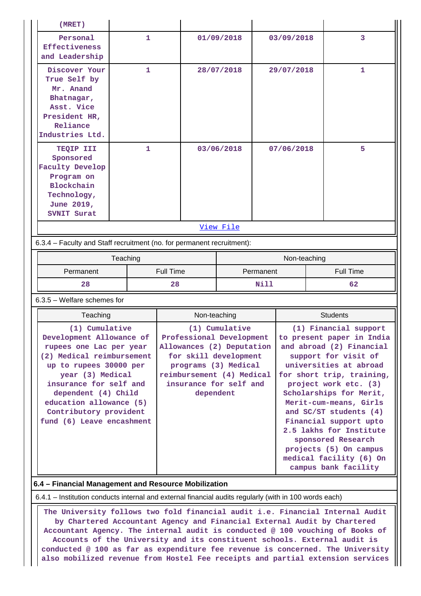| (MRET)                                                                                                                        |              |                               |                                               |                |                                                   |                                                  |    |                         |  |
|-------------------------------------------------------------------------------------------------------------------------------|--------------|-------------------------------|-----------------------------------------------|----------------|---------------------------------------------------|--------------------------------------------------|----|-------------------------|--|
| Personal<br><b>Effectiveness</b><br>and Leadership                                                                            | $\mathbf{1}$ |                               |                                               | 01/09/2018     |                                                   | 03/09/2018                                       |    | 3                       |  |
| Discover Your<br>True Self by<br>Mr. Anand<br>Bhatnagar,<br>Asst. Vice<br>President HR,<br>Reliance<br>Industries Ltd.        | $\mathbf{1}$ |                               |                                               | 28/07/2018     | 29/07/2018                                        |                                                  |    | $\mathbf{1}$            |  |
| 1<br>TEQIP III<br>Sponsored<br><b>Faculty Develop</b><br>Program on<br>Blockchain<br>Technology,<br>June 2019,<br>SVNIT Surat |              | 03/06/2018                    |                                               |                | 07/06/2018                                        |                                                  | 5  |                         |  |
|                                                                                                                               |              |                               |                                               | View File      |                                                   |                                                  |    |                         |  |
| 6.3.4 - Faculty and Staff recruitment (no. for permanent recruitment):                                                        |              |                               |                                               |                |                                                   |                                                  |    |                         |  |
| Teaching                                                                                                                      |              |                               |                                               |                |                                                   | Non-teaching                                     |    |                         |  |
| Permanent                                                                                                                     |              | <b>Full Time</b><br>Permanent |                                               |                |                                                   |                                                  |    | <b>Full Time</b>        |  |
| 28                                                                                                                            |              | 28<br>Nill                    |                                               |                |                                                   |                                                  | 62 |                         |  |
| $6.3.5$ – Welfare schemes for                                                                                                 |              |                               |                                               |                |                                                   |                                                  |    |                         |  |
| Teaching                                                                                                                      |              |                               | Non-teaching                                  |                |                                                   | <b>Students</b>                                  |    |                         |  |
| (1) Cumulative                                                                                                                |              |                               |                                               | (1) Cumulative |                                                   | (1) Financial support                            |    |                         |  |
| Development Allowance of                                                                                                      |              |                               | Professional Development                      |                |                                                   | to present paper in India                        |    |                         |  |
| rupees one Lac per year<br>(2) Medical reimbursement                                                                          |              |                               | Allowances (2) Deputation                     |                |                                                   | and abroad (2) Financial<br>support for visit of |    |                         |  |
| up to rupees 30000 per                                                                                                        |              |                               | for skill development<br>programs (3) Medical |                |                                                   |                                                  |    | universities at abroad  |  |
| year (3) Medical                                                                                                              |              |                               | reimbursement (4) Medical                     |                |                                                   | for short trip, training,                        |    |                         |  |
| insurance for self and                                                                                                        |              |                               | insurance for self and                        |                |                                                   | project work etc. (3)                            |    |                         |  |
| dependent (4) Child                                                                                                           |              |                               | dependent                                     |                |                                                   | Scholarships for Merit,                          |    |                         |  |
| education allowance (5)<br>Contributory provident                                                                             |              |                               |                                               |                | Merit-cum-means, Girls<br>and SC/ST students (4)  |                                                  |    |                         |  |
| fund (6) Leave encashment                                                                                                     |              |                               |                                               |                |                                                   |                                                  |    | Financial support upto  |  |
|                                                                                                                               |              |                               |                                               |                |                                                   |                                                  |    | 2.5 lakhs for Institute |  |
|                                                                                                                               |              |                               |                                               |                |                                                   |                                                  |    | sponsored Research      |  |
|                                                                                                                               |              |                               |                                               |                | projects (5) On campus<br>medical facility (6) On |                                                  |    |                         |  |
|                                                                                                                               |              |                               |                                               |                |                                                   |                                                  |    |                         |  |
| campus bank facility                                                                                                          |              |                               |                                               |                |                                                   |                                                  |    |                         |  |

6.4.1 – Institution conducts internal and external financial audits regularly (with in 100 words each)

 **The University follows two fold financial audit i.e. Financial Internal Audit by Chartered Accountant Agency and Financial External Audit by Chartered Accountant Agency. The internal audit is conducted @ 100 vouching of Books of Accounts of the University and its constituent schools. External audit is conducted @ 100 as far as expenditure fee revenue is concerned. The University also mobilized revenue from Hostel Fee receipts and partial extension services**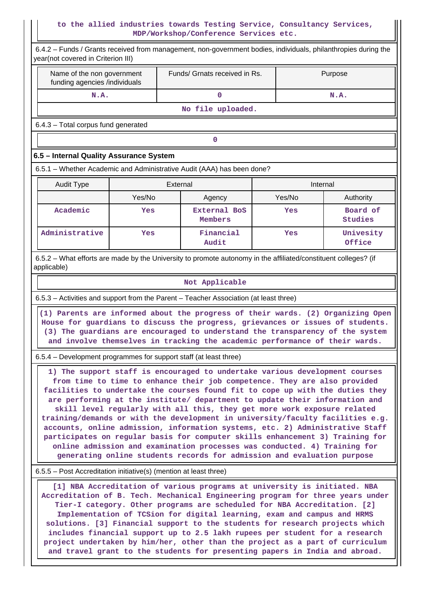### **to the allied industries towards Testing Service, Consultancy Services, MDP/Workshop/Conference Services etc.**

|                                                                                                                                                                                                                                                                                                                                                                                                                                                                                                                                                                                                                                                                                                                                                                                                                                                                                       |        |          | MDP/Workshop/Conference Services etc.                                                                                                                                                                                                                                                                                                                                                                                                                                                                                                                                                                                                             |        |                                                                                 |  |  |  |
|---------------------------------------------------------------------------------------------------------------------------------------------------------------------------------------------------------------------------------------------------------------------------------------------------------------------------------------------------------------------------------------------------------------------------------------------------------------------------------------------------------------------------------------------------------------------------------------------------------------------------------------------------------------------------------------------------------------------------------------------------------------------------------------------------------------------------------------------------------------------------------------|--------|----------|---------------------------------------------------------------------------------------------------------------------------------------------------------------------------------------------------------------------------------------------------------------------------------------------------------------------------------------------------------------------------------------------------------------------------------------------------------------------------------------------------------------------------------------------------------------------------------------------------------------------------------------------------|--------|---------------------------------------------------------------------------------|--|--|--|
| 6.4.2 - Funds / Grants received from management, non-government bodies, individuals, philanthropies during the<br>year(not covered in Criterion III)                                                                                                                                                                                                                                                                                                                                                                                                                                                                                                                                                                                                                                                                                                                                  |        |          |                                                                                                                                                                                                                                                                                                                                                                                                                                                                                                                                                                                                                                                   |        |                                                                                 |  |  |  |
| Name of the non government<br>funding agencies /individuals                                                                                                                                                                                                                                                                                                                                                                                                                                                                                                                                                                                                                                                                                                                                                                                                                           |        |          | Funds/ Grnats received in Rs.                                                                                                                                                                                                                                                                                                                                                                                                                                                                                                                                                                                                                     |        | Purpose                                                                         |  |  |  |
| N.A.                                                                                                                                                                                                                                                                                                                                                                                                                                                                                                                                                                                                                                                                                                                                                                                                                                                                                  |        |          | $\mathbf 0$                                                                                                                                                                                                                                                                                                                                                                                                                                                                                                                                                                                                                                       |        | N.A.                                                                            |  |  |  |
|                                                                                                                                                                                                                                                                                                                                                                                                                                                                                                                                                                                                                                                                                                                                                                                                                                                                                       |        |          | No file uploaded.                                                                                                                                                                                                                                                                                                                                                                                                                                                                                                                                                                                                                                 |        |                                                                                 |  |  |  |
| 6.4.3 - Total corpus fund generated                                                                                                                                                                                                                                                                                                                                                                                                                                                                                                                                                                                                                                                                                                                                                                                                                                                   |        |          |                                                                                                                                                                                                                                                                                                                                                                                                                                                                                                                                                                                                                                                   |        |                                                                                 |  |  |  |
|                                                                                                                                                                                                                                                                                                                                                                                                                                                                                                                                                                                                                                                                                                                                                                                                                                                                                       |        |          | 0                                                                                                                                                                                                                                                                                                                                                                                                                                                                                                                                                                                                                                                 |        |                                                                                 |  |  |  |
| 6.5 - Internal Quality Assurance System                                                                                                                                                                                                                                                                                                                                                                                                                                                                                                                                                                                                                                                                                                                                                                                                                                               |        |          |                                                                                                                                                                                                                                                                                                                                                                                                                                                                                                                                                                                                                                                   |        |                                                                                 |  |  |  |
| 6.5.1 – Whether Academic and Administrative Audit (AAA) has been done?                                                                                                                                                                                                                                                                                                                                                                                                                                                                                                                                                                                                                                                                                                                                                                                                                |        |          |                                                                                                                                                                                                                                                                                                                                                                                                                                                                                                                                                                                                                                                   |        |                                                                                 |  |  |  |
| Audit Type                                                                                                                                                                                                                                                                                                                                                                                                                                                                                                                                                                                                                                                                                                                                                                                                                                                                            |        | External |                                                                                                                                                                                                                                                                                                                                                                                                                                                                                                                                                                                                                                                   |        | Internal                                                                        |  |  |  |
|                                                                                                                                                                                                                                                                                                                                                                                                                                                                                                                                                                                                                                                                                                                                                                                                                                                                                       | Yes/No |          | Agency                                                                                                                                                                                                                                                                                                                                                                                                                                                                                                                                                                                                                                            | Yes/No | Authority                                                                       |  |  |  |
| Academic                                                                                                                                                                                                                                                                                                                                                                                                                                                                                                                                                                                                                                                                                                                                                                                                                                                                              | Yes    |          | <b>External BoS</b><br>Members                                                                                                                                                                                                                                                                                                                                                                                                                                                                                                                                                                                                                    | Yes    | Board of<br><b>Studies</b>                                                      |  |  |  |
| Administrative                                                                                                                                                                                                                                                                                                                                                                                                                                                                                                                                                                                                                                                                                                                                                                                                                                                                        | Yes    |          | Financial<br>Audit                                                                                                                                                                                                                                                                                                                                                                                                                                                                                                                                                                                                                                | Yes    | Univesity<br>Office                                                             |  |  |  |
| 6.5.2 – What efforts are made by the University to promote autonomy in the affiliated/constituent colleges? (if<br>applicable)                                                                                                                                                                                                                                                                                                                                                                                                                                                                                                                                                                                                                                                                                                                                                        |        |          |                                                                                                                                                                                                                                                                                                                                                                                                                                                                                                                                                                                                                                                   |        |                                                                                 |  |  |  |
|                                                                                                                                                                                                                                                                                                                                                                                                                                                                                                                                                                                                                                                                                                                                                                                                                                                                                       |        |          | Not Applicable                                                                                                                                                                                                                                                                                                                                                                                                                                                                                                                                                                                                                                    |        |                                                                                 |  |  |  |
| 6.5.3 - Activities and support from the Parent - Teacher Association (at least three)                                                                                                                                                                                                                                                                                                                                                                                                                                                                                                                                                                                                                                                                                                                                                                                                 |        |          |                                                                                                                                                                                                                                                                                                                                                                                                                                                                                                                                                                                                                                                   |        |                                                                                 |  |  |  |
|                                                                                                                                                                                                                                                                                                                                                                                                                                                                                                                                                                                                                                                                                                                                                                                                                                                                                       |        |          | House for guardians to discuss the progress, grievances or issues of students.<br>(3) The guardians are encouraged to understand the transparency of the system<br>and involve themselves in tracking the academic performance of their wards.                                                                                                                                                                                                                                                                                                                                                                                                    |        | (1) Parents are informed about the progress of their wards. (2) Organizing Open |  |  |  |
|                                                                                                                                                                                                                                                                                                                                                                                                                                                                                                                                                                                                                                                                                                                                                                                                                                                                                       |        |          |                                                                                                                                                                                                                                                                                                                                                                                                                                                                                                                                                                                                                                                   |        |                                                                                 |  |  |  |
| 6.5.4 – Development programmes for support staff (at least three)<br>1) The support staff is encouraged to undertake various development courses<br>from time to time to enhance their job competence. They are also provided<br>facilities to undertake the courses found fit to cope up with the duties they<br>are performing at the institute/ department to update their information and<br>skill level regularly with all this, they get more work exposure related<br>training/demands or with the development in university/faculty facilities e.g.<br>accounts, online admission, information systems, etc. 2) Administrative Staff<br>participates on regular basis for computer skills enhancement 3) Training for<br>online admission and examination processes was conducted. 4) Training for<br>generating online students records for admission and evaluation purpose |        |          |                                                                                                                                                                                                                                                                                                                                                                                                                                                                                                                                                                                                                                                   |        |                                                                                 |  |  |  |
| 6.5.5 – Post Accreditation initiative(s) (mention at least three)                                                                                                                                                                                                                                                                                                                                                                                                                                                                                                                                                                                                                                                                                                                                                                                                                     |        |          |                                                                                                                                                                                                                                                                                                                                                                                                                                                                                                                                                                                                                                                   |        |                                                                                 |  |  |  |
|                                                                                                                                                                                                                                                                                                                                                                                                                                                                                                                                                                                                                                                                                                                                                                                                                                                                                       |        |          | [1] NBA Accreditation of various programs at university is initiated. NBA<br>Accreditation of B. Tech. Mechanical Engineering program for three years under<br>Tier-I category. Other programs are scheduled for NBA Accreditation. [2]<br>Implementation of TCSion for digital learning, exam and campus and HRMS<br>solutions. [3] Financial support to the students for research projects which<br>includes financial support up to 2.5 lakh rupees per student for a research<br>project undertaken by him/her, other than the project as a part of curriculum<br>and travel grant to the students for presenting papers in India and abroad. |        |                                                                                 |  |  |  |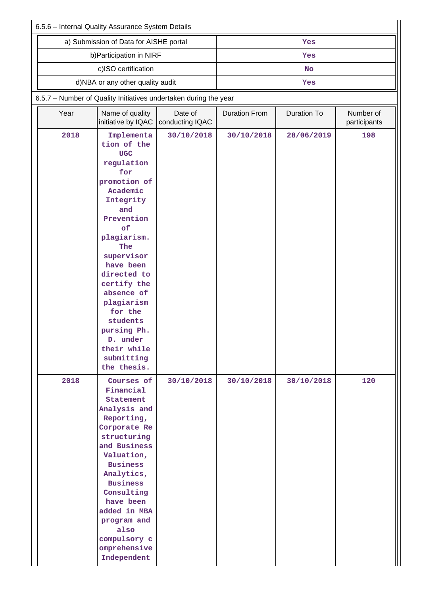|      | 6.5.6 - Internal Quality Assurance System Details                                                                                                                                                                                                                                                                                         |                 |                      |                    |              |  |  |  |  |  |  |
|------|-------------------------------------------------------------------------------------------------------------------------------------------------------------------------------------------------------------------------------------------------------------------------------------------------------------------------------------------|-----------------|----------------------|--------------------|--------------|--|--|--|--|--|--|
|      | a) Submission of Data for AISHE portal                                                                                                                                                                                                                                                                                                    |                 |                      | Yes                |              |  |  |  |  |  |  |
|      | b) Participation in NIRF                                                                                                                                                                                                                                                                                                                  |                 |                      | Yes                |              |  |  |  |  |  |  |
|      | c)ISO certification                                                                                                                                                                                                                                                                                                                       |                 |                      | <b>No</b>          |              |  |  |  |  |  |  |
|      | d)NBA or any other quality audit                                                                                                                                                                                                                                                                                                          |                 |                      | Yes                |              |  |  |  |  |  |  |
|      | 6.5.7 - Number of Quality Initiatives undertaken during the year                                                                                                                                                                                                                                                                          |                 |                      |                    |              |  |  |  |  |  |  |
| Year | Name of quality                                                                                                                                                                                                                                                                                                                           | Date of         | <b>Duration From</b> | <b>Duration To</b> | Number of    |  |  |  |  |  |  |
|      | initiative by IQAC                                                                                                                                                                                                                                                                                                                        | conducting IQAC |                      |                    | participants |  |  |  |  |  |  |
| 2018 | Implementa<br>tion of the<br><b>UGC</b><br>regulation<br>for<br>promotion of<br>Academic<br>Integrity<br>and<br>Prevention<br>of<br>plagiarism.<br>The<br>supervisor<br>have been<br>directed to<br>certify the<br>absence of<br>plagiarism<br>for the<br>students<br>pursing Ph.<br>D. under<br>their while<br>submitting<br>the thesis. | 30/10/2018      | 30/10/2018           | 28/06/2019         | 198          |  |  |  |  |  |  |
| 2018 | Courses of<br>Financial<br>Statement<br>Analysis and<br>Reporting,<br>Corporate Re<br>structuring<br>and Business<br>Valuation,<br><b>Business</b><br>Analytics,<br><b>Business</b><br>Consulting<br>have been<br>added in MBA<br>program and<br>also<br>compulsory c<br>omprehensive<br>Independent                                      | 30/10/2018      | 30/10/2018           | 30/10/2018         | 120          |  |  |  |  |  |  |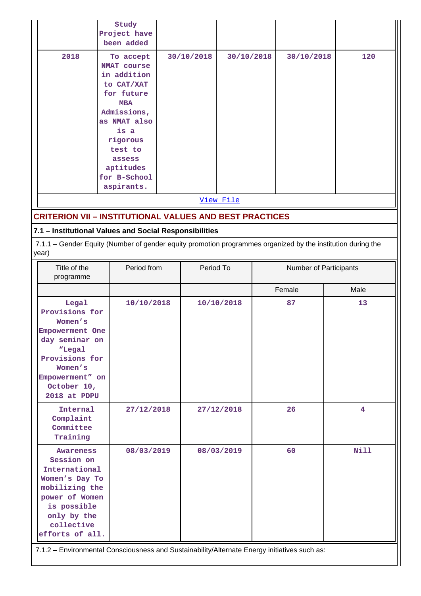|                                                                                                                                                                                                                                                                      | Study<br>Project have<br>been added                                                                                                                                                                         |  |            |                                                                                           |  |                        |             |  |  |
|----------------------------------------------------------------------------------------------------------------------------------------------------------------------------------------------------------------------------------------------------------------------|-------------------------------------------------------------------------------------------------------------------------------------------------------------------------------------------------------------|--|------------|-------------------------------------------------------------------------------------------|--|------------------------|-------------|--|--|
| 2018                                                                                                                                                                                                                                                                 | To accept<br><b>NMAT</b> course<br>in addition<br>to CAT/XAT<br>for future<br><b>MBA</b><br>Admissions,<br>as NMAT also<br>is a<br>rigorous<br>test to<br>assess<br>aptitudes<br>for B-School<br>aspirants. |  | 30/10/2018 | 30/10/2018<br>View File<br><b>CRITERION VII - INSTITUTIONAL VALUES AND BEST PRACTICES</b> |  | 30/10/2018             | 120         |  |  |
|                                                                                                                                                                                                                                                                      |                                                                                                                                                                                                             |  |            |                                                                                           |  |                        |             |  |  |
|                                                                                                                                                                                                                                                                      |                                                                                                                                                                                                             |  |            |                                                                                           |  |                        |             |  |  |
| year)                                                                                                                                                                                                                                                                | 7.1 - Institutional Values and Social Responsibilities<br>7.1.1 - Gender Equity (Number of gender equity promotion programmes organized by the institution during the                                       |  |            |                                                                                           |  |                        |             |  |  |
| Title of the<br>programme                                                                                                                                                                                                                                            | Period from                                                                                                                                                                                                 |  | Period To  |                                                                                           |  | Number of Participants |             |  |  |
|                                                                                                                                                                                                                                                                      |                                                                                                                                                                                                             |  |            |                                                                                           |  | Female                 | Male        |  |  |
| Legal<br>Provisions for<br>Women's<br>Empowerment One<br>day seminar on<br>"Legal<br>Provisions for<br>Women's<br>Empowerment" on<br>October 10,<br>2018 at PDPU                                                                                                     | 10/10/2018                                                                                                                                                                                                  |  |            | 10/10/2018                                                                                |  | 87                     | 13          |  |  |
| Internal<br>Complaint<br>Committee<br>Training                                                                                                                                                                                                                       | 27/12/2018                                                                                                                                                                                                  |  |            | 27/12/2018                                                                                |  | 26                     | 4           |  |  |
| <b>Awareness</b><br>Session on<br>International<br>Women's Day To<br>mobilizing the<br>power of Women<br>is possible<br>only by the<br>collective<br>efforts of all.<br>7.1.2 - Environmental Consciousness and Sustainability/Alternate Energy initiatives such as: | 08/03/2019                                                                                                                                                                                                  |  |            | 08/03/2019                                                                                |  | 60                     | <b>Nill</b> |  |  |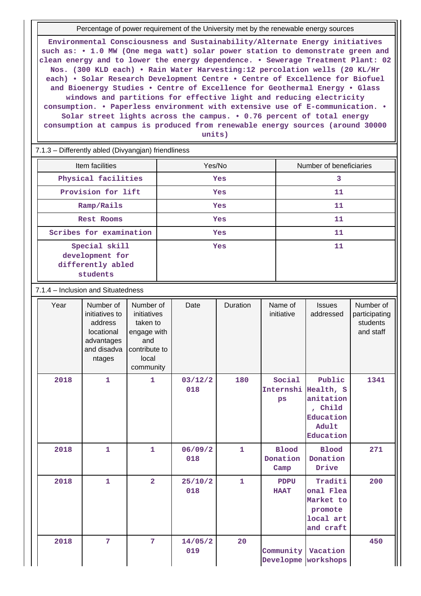Percentage of power requirement of the University met by the renewable energy sources

**Environmental Consciousness and Sustainability/Alternate Energy initiatives such as: • 1.0 MW (One mega watt) solar power station to demonstrate green and clean energy and to lower the energy dependence. • Sewerage Treatment Plant: 02 Nos. (300 KLD each) • Rain Water Harvesting:12 percolation wells (20 KL/Hr each) • Solar Research Development Centre • Centre of Excellence for Biofuel and Bioenergy Studies • Centre of Excellence for Geothermal Energy • Glass windows and partitions for effective light and reducing electricity consumption. • Paperless environment with extensive use of E-communication. • Solar street lights across the campus. • 0.76 percent of total energy consumption at campus is produced from renewable energy sources (around 30000 units)**

7.1.3 – Differently abled (Divyangjan) friendliness

| Item facilities                                                   | Yes/No     | Number of beneficiaries |  |  |
|-------------------------------------------------------------------|------------|-------------------------|--|--|
| Physical facilities                                               | <b>Yes</b> | 3                       |  |  |
| Provision for lift                                                | <b>Yes</b> | 11                      |  |  |
| Ramp/Rails                                                        | <b>Yes</b> | 11                      |  |  |
| <b>Rest Rooms</b>                                                 | <b>Yes</b> | 11                      |  |  |
| Scribes for examination                                           | <b>Yes</b> | 11                      |  |  |
| Special skill<br>development for<br>differently abled<br>students | <b>Yes</b> | 11                      |  |  |

7.1.4 – Inclusion and Situatedness

| Year | Number of<br>initiatives to<br>address<br>locational<br>advantages<br>and disadva<br>ntages | Number of<br>initiatives<br>taken to<br>engage with<br>and<br>contribute to<br>local<br>community | Date           | Duration       | Name of<br>initiative            | <b>Issues</b><br>addressed                                                     | Number of<br>participating<br>students<br>and staff |
|------|---------------------------------------------------------------------------------------------|---------------------------------------------------------------------------------------------------|----------------|----------------|----------------------------------|--------------------------------------------------------------------------------|-----------------------------------------------------|
| 2018 | $\mathbf{1}$                                                                                | $\mathbf{1}$                                                                                      | 03/12/2<br>018 | 180            | Social<br>Internshi<br>ps        | Public<br>Health, S<br>anitation<br>, Child<br>Education<br>Adult<br>Education | 1341                                                |
| 2018 | $\overline{1}$                                                                              | $\mathbf{1}$                                                                                      | 06/09/2<br>018 | $\overline{1}$ | <b>Blood</b><br>Donation<br>Camp | <b>Blood</b><br>Donation<br>Drive                                              | 271                                                 |
| 2018 | 1                                                                                           | $\overline{2}$                                                                                    | 25/10/2<br>018 | $\mathbf{1}$   | <b>PDPU</b><br><b>HAAT</b>       | Traditi<br>onal Flea<br>Market to<br>promote<br>local art<br>and craft         | 200                                                 |
| 2018 | $7\phantom{.0}$                                                                             | 7                                                                                                 | 14/05/2<br>019 | 20             | Community<br>Developme           | Vacation<br>workshops                                                          | 450                                                 |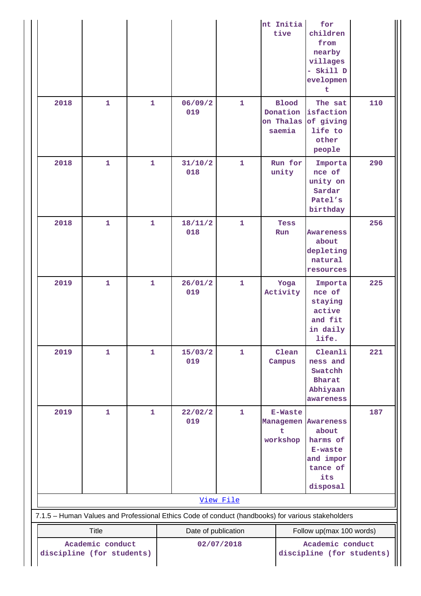|                                                                                                                                     |              |              |                                                                                                   |              | nt Initia<br>tive                                      | for<br>children<br>from<br>nearby<br>villages<br>- Skill D<br>evelopmen<br>t |     |  |
|-------------------------------------------------------------------------------------------------------------------------------------|--------------|--------------|---------------------------------------------------------------------------------------------------|--------------|--------------------------------------------------------|------------------------------------------------------------------------------|-----|--|
| 2018                                                                                                                                | $\mathbf{1}$ | $\mathbf{1}$ | 06/09/2<br>019                                                                                    | $\mathbf{1}$ | <b>Blood</b><br>Donation<br>on Thalas<br>saemia        | The sat<br>isfaction<br>of giving<br>life to<br>other<br>people              | 110 |  |
| 2018                                                                                                                                | $\mathbf{1}$ | 1            | 31/10/2<br>018                                                                                    | $\mathbf{1}$ | Run for<br>unity                                       | Importa<br>nce of<br>unity on<br>Sardar<br>Patel's<br>birthday               | 290 |  |
| 2018                                                                                                                                | $\mathbf{1}$ | $\mathbf{1}$ | 18/11/2<br>018                                                                                    | $\mathbf{1}$ | Tess<br>Run                                            | <b>Awareness</b><br>about<br>depleting<br>natural<br>resources               | 256 |  |
| 2019                                                                                                                                | $\mathbf{1}$ | $\mathbf{1}$ | 26/01/2<br>019                                                                                    | $\mathbf{1}$ | Yoga<br>Activity                                       | Importa<br>nce of<br>staying<br>active<br>and fit<br>in daily<br>life.       | 225 |  |
| 2019                                                                                                                                | $\mathbf{1}$ | 1            | 15/03/2<br>019                                                                                    | 1            | Clean<br>Campus                                        | Cleanli<br>ness and<br>Swatchh<br>Bharat<br>Abhiyaan<br>awareness            | 221 |  |
| 2019                                                                                                                                | 1            | 1            | 22/02/2<br>019                                                                                    | 1            | <b>E-Waste</b><br>Managemen Awareness<br>t<br>workshop | about<br>harms of<br>E-waste<br>and impor<br>tance of<br>its<br>disposal     | 187 |  |
|                                                                                                                                     |              |              |                                                                                                   | View File    |                                                        |                                                                              |     |  |
|                                                                                                                                     |              |              | 7.1.5 - Human Values and Professional Ethics Code of conduct (handbooks) for various stakeholders |              |                                                        |                                                                              |     |  |
|                                                                                                                                     | Title        |              |                                                                                                   |              |                                                        | Follow up(max 100 words)                                                     |     |  |
| Date of publication<br>Academic conduct<br>Academic conduct<br>02/07/2018<br>discipline (for students)<br>discipline (for students) |              |              |                                                                                                   |              |                                                        |                                                                              |     |  |

 $\prod$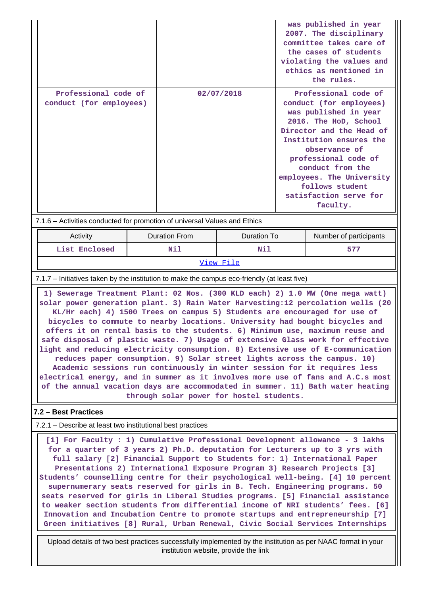|                                                                                                                                                                                                                                                                                                                                                                                                                                                                                                                                                                                                                                                                                                                                                                                                                                                                                                                                                             |                      |            |             |                                                                                                                                                                                                                                                                                                             | was published in year<br>2007. The disciplinary<br>committee takes care of<br>the cases of students<br>violating the values and<br>ethics as mentioned in<br>the rules. |
|-------------------------------------------------------------------------------------------------------------------------------------------------------------------------------------------------------------------------------------------------------------------------------------------------------------------------------------------------------------------------------------------------------------------------------------------------------------------------------------------------------------------------------------------------------------------------------------------------------------------------------------------------------------------------------------------------------------------------------------------------------------------------------------------------------------------------------------------------------------------------------------------------------------------------------------------------------------|----------------------|------------|-------------|-------------------------------------------------------------------------------------------------------------------------------------------------------------------------------------------------------------------------------------------------------------------------------------------------------------|-------------------------------------------------------------------------------------------------------------------------------------------------------------------------|
| Professional code of<br>conduct (for employees)                                                                                                                                                                                                                                                                                                                                                                                                                                                                                                                                                                                                                                                                                                                                                                                                                                                                                                             |                      | 02/07/2018 |             | Professional code of<br>conduct (for employees)<br>was published in year<br>2016. The HoD, School<br>Director and the Head of<br>Institution ensures the<br>observance of<br>professional code of<br>conduct from the<br>employees. The University<br>follows student<br>satisfaction serve for<br>faculty. |                                                                                                                                                                         |
| 7.1.6 - Activities conducted for promotion of universal Values and Ethics                                                                                                                                                                                                                                                                                                                                                                                                                                                                                                                                                                                                                                                                                                                                                                                                                                                                                   |                      |            |             |                                                                                                                                                                                                                                                                                                             |                                                                                                                                                                         |
| Activity                                                                                                                                                                                                                                                                                                                                                                                                                                                                                                                                                                                                                                                                                                                                                                                                                                                                                                                                                    | <b>Duration From</b> |            | Duration To |                                                                                                                                                                                                                                                                                                             | Number of participants                                                                                                                                                  |
| List Enclosed                                                                                                                                                                                                                                                                                                                                                                                                                                                                                                                                                                                                                                                                                                                                                                                                                                                                                                                                               | Nil                  |            | Nil         |                                                                                                                                                                                                                                                                                                             | 577                                                                                                                                                                     |
| View File                                                                                                                                                                                                                                                                                                                                                                                                                                                                                                                                                                                                                                                                                                                                                                                                                                                                                                                                                   |                      |            |             |                                                                                                                                                                                                                                                                                                             |                                                                                                                                                                         |
| 7.1.7 – Initiatives taken by the institution to make the campus eco-friendly (at least five)                                                                                                                                                                                                                                                                                                                                                                                                                                                                                                                                                                                                                                                                                                                                                                                                                                                                |                      |            |             |                                                                                                                                                                                                                                                                                                             |                                                                                                                                                                         |
| 1) Sewerage Treatment Plant: 02 Nos. (300 KLD each) 2) 1.0 MW (One mega watt)<br>solar power generation plant. 3) Rain Water Harvesting:12 percolation wells (20<br>KL/Hr each) 4) 1500 Trees on campus 5) Students are encouraged for use of<br>bicycles to commute to nearby locations. University had bought bicycles and<br>offers it on rental basis to the students. 6) Minimum use, maximum reuse and<br>safe disposal of plastic waste. 7) Usage of extensive Glass work for effective<br>light and reducing electricity consumption. 8) Extensive use of E-communication<br>reduces paper consumption. 9) Solar street lights across the campus. 10)<br>Academic sessions run continuously in winter session for it requires less<br>electrical energy, and in summer as it involves more use of fans and A.C.s most<br>of the annual vacation days are accommodated in summer. 11) Bath water heating<br>through solar power for hostel students. |                      |            |             |                                                                                                                                                                                                                                                                                                             |                                                                                                                                                                         |
| 7.2 - Best Practices                                                                                                                                                                                                                                                                                                                                                                                                                                                                                                                                                                                                                                                                                                                                                                                                                                                                                                                                        |                      |            |             |                                                                                                                                                                                                                                                                                                             |                                                                                                                                                                         |
| 7.2.1 – Describe at least two institutional best practices                                                                                                                                                                                                                                                                                                                                                                                                                                                                                                                                                                                                                                                                                                                                                                                                                                                                                                  |                      |            |             |                                                                                                                                                                                                                                                                                                             |                                                                                                                                                                         |
| [1] For Faculty : 1) Cumulative Professional Development allowance - 3 lakhs<br>for a quarter of 3 years 2) Ph.D. deputation for Lecturers up to 3 yrs with<br>full salary [2] Financial Support to Students for: 1) International Paper<br>Presentations 2) International Exposure Program 3) Research Projects [3]<br>Students' counselling centre for their psychological well-being. [4] 10 percent<br>supernumerary seats reserved for girls in B. Tech. Engineering programs. 50                                                                                                                                                                                                                                                                                                                                                                                                                                                                      |                      |            |             |                                                                                                                                                                                                                                                                                                             |                                                                                                                                                                         |

**seats reserved for girls in Liberal Studies programs. [5] Financial assistance to weaker section students from differential income of NRI students' fees. [6] Innovation and Incubation Centre to promote startups and entrepreneurship [7] Green initiatives [8] Rural, Urban Renewal, Civic Social Services Internships**

 Upload details of two best practices successfully implemented by the institution as per NAAC format in your institution website, provide the link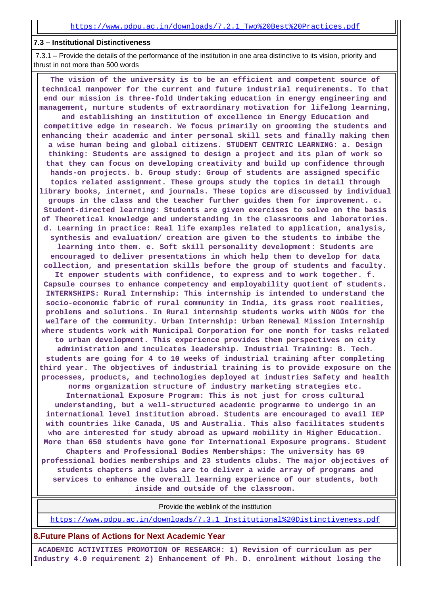#### **7.3 – Institutional Distinctiveness**

 7.3.1 – Provide the details of the performance of the institution in one area distinctive to its vision, priority and thrust in not more than 500 words

 **The vision of the university is to be an efficient and competent source of technical manpower for the current and future industrial requirements. To that end our mission is three-fold Undertaking education in energy engineering and management, nurture students of extraordinary motivation for lifelong learning, and establishing an institution of excellence in Energy Education and competitive edge in research. We focus primarily on grooming the students and enhancing their academic and inter personal skill sets and finally making them a wise human being and global citizens. STUDENT CENTRIC LEARNING: a. Design thinking: Students are assigned to design a project and its plan of work so that they can focus on developing creativity and build up confidence through hands-on projects. b. Group study: Group of students are assigned specific topics related assignment. These groups study the topics in detail through library books, internet, and journals. These topics are discussed by individual groups in the class and the teacher further guides them for improvement. c. Student-directed learning: Students are given exercises to solve on the basis of Theoretical knowledge and understanding in the classrooms and laboratories. d. Learning in practice: Real life examples related to application, analysis, synthesis and evaluation/ creation are given to the students to imbibe the learning into them. e. Soft skill personality development: Students are encouraged to deliver presentations in which help them to develop for data collection, and presentation skills before the group of students and faculty. It empower students with confidence, to express and to work together. f. Capsule courses to enhance competency and employability quotient of students. INTERNSHIPS: Rural Internship: This internship is intended to understand the socio-economic fabric of rural community in India, its grass root realities, problems and solutions. In Rural internship students works with NGOs for the welfare of the community. Urban Internship: Urban Renewal Mission Internship where students work with Municipal Corporation for one month for tasks related to urban development. This experience provides them perspectives on city administration and inculcates leadership. Industrial Training: B. Tech. students are going for 4 to 10 weeks of industrial training after completing third year. The objectives of industrial training is to provide exposure on the processes, products, and technologies deployed at industries Safety and health norms organization structure of industry marketing strategies etc. International Exposure Program: This is not just for cross cultural understanding, but a well-structured academic programme to undergo in an international level institution abroad. Students are encouraged to avail IEP with countries like Canada, US and Australia. This also facilitates students who are interested for study abroad as upward mobility in Higher Education. More than 650 students have gone for International Exposure programs. Student Chapters and Professional Bodies Memberships: The university has 69 professional bodies memberships and 23 students clubs. The major objectives of students chapters and clubs are to deliver a wide array of programs and services to enhance the overall learning experience of our students, both inside and outside of the classroom.**

Provide the weblink of the institution

[https://www.pdpu.ac.in/downloads/7.3.1\\_Institutional%20Distinctiveness.pdf](https://www.pdpu.ac.in/downloads/7.3.1_Institutional%20Distinctiveness.pdf)

**8.Future Plans of Actions for Next Academic Year**

 **ACADEMIC ACTIVITIES PROMOTION OF RESEARCH: 1) Revision of curriculum as per Industry 4.0 requirement 2) Enhancement of Ph. D. enrolment without losing the**